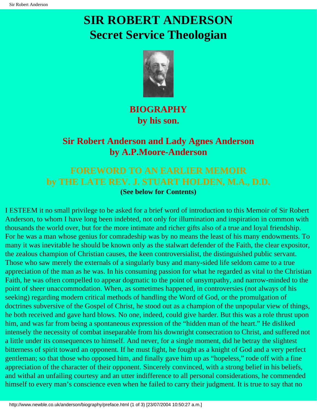# **SIR ROBERT ANDERSON Secret Service Theologian**



## **BIOGRAPHY by his son.**

## **Sir Robert Anderson and Lady Agnes Anderson by A.P.Moore-Anderson**

## **FOREWORD TO AN EARLIER MEMOIR by THE LATE REV. J. STUART HOLDEN, M.A., D.D. (See below for Contents)**

I ESTEEM it no small privilege to be asked for a brief word of introduction to this Memoir of Sir Robert Anderson, to whom I have long been indebted, not only for illumination and inspiration in common with thousands the world over, but for the more intimate and richer gifts also of a true and loyal friendship. For he was a man whose genius for comradeship was by no means the least of his many endowments. To many it was inevitable he should be known only as the stalwart defender of the Faith, the clear expositor, the zealous champion of Christian causes, the keen controversialist, the distinguished public servant. Those who saw merely the externals of a singularly busy and many-sided life seldom came to a true appreciation of the man as he was. In his consuming passion for what he regarded as vital to the Christian Faith, he was often compelled to appear dogmatic to the point of unsympathy, and narrow-minded to the point of sheer unaccommodation. When, as sometimes happened, in controversies (not always of his seeking) regarding modern critical methods of handling the Word of God, or the promulgation of doctrines subversive of the Gospel of Christ, he stood out as a champion of the unpopular view of things, he both received and gave hard blows. No one, indeed, could give harder. But this was a role thrust upon him, and was far from being a spontaneous expression of the "hidden man of the heart." He disliked intensely the necessity of combat inseparable from his downright consecration to Christ, and suffered not a little under its consequences to himself. And never, for a single moment, did he betray the slightest bitterness of spirit toward an opponent. If he must fight, he fought as a knight of God and a very perfect gentleman; so that those who opposed him, and finally gave him up as "hopeless," rode off with a fine appreciation of the character of their opponent. Sincerely convinced, with a strong belief in his beliefs, and withal an unfailing courtesy and an utter indifference to all personal considerations, he commended himself to every man's conscience even when he failed to carry their judgment. It is true to say that no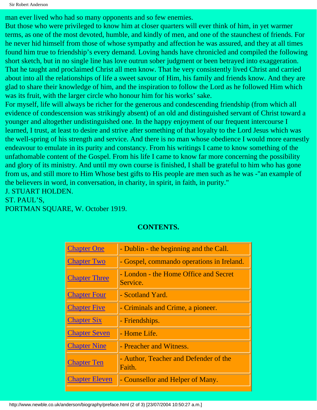```
Sir Robert Anderson
```
man ever lived who had so many opponents and so few enemies.

But those who were privileged to know him at closer quarters will ever think of him, in yet warmer terms, as one of the most devoted, humble, and kindly of men, and one of the staunchest of friends. For he never hid himself from those of whose sympathy and affection he was assured, and they at all times found him true to friendship's every demand. Loving hands have chronicled and compiled the following short sketch, but in no single line has love outrun sober judgment or been betrayed into exaggeration. That he taught and proclaimed Christ all men know. That he very consistently lived Christ and carried about into all the relationships of life a sweet savour of Him, his family and friends know. And they are glad to share their knowledge of him, and the inspiration to follow the Lord as he followed Him which was its fruit, with the larger circle who honour him for his works' sake.

For myself, life will always be richer for the generous and condescending friendship (from which all evidence of condescension was strikingly absent) of an old and distinguished servant of Christ toward a younger and altogether undistinguished one. In the happy enjoyment of our frequent intercourse I learned, I trust, at least to desire and strive after something of that loyalty to the Lord Jesus which was the well-spring of his strength and service. And there is no man whose obedience I would more earnestly endeavour to emulate in its purity and constancy. From his writings I came to know something of the unfathomable content of the Gospel. From his life I came to know far more concerning the possibility and glory of its ministry. And until my own course is finished, I shall be grateful to him who has gone from us, and still more to Him Whose best gifts to His people are men such as he was -"an example of the believers in word, in conversation, in charity, in spirit, in faith, in purity."

J. STUART HOLDEN.

ST. PAUL'S,

PORTMAN SQUARE, W. October 1919.

| <b>Chapter One</b>    | - Dublin - the beginning and the Call.            |
|-----------------------|---------------------------------------------------|
| <b>Chapter Two</b>    | - Gospel, commando operations in Ireland.         |
| <b>Chapter Three</b>  | - London - the Home Office and Secret<br>Service. |
| <b>Chapter Four</b>   | - Scotland Yard.                                  |
| <b>Chapter Five</b>   | - Criminals and Crime, a pioneer.                 |
| <b>Chapter Six</b>    | - Friendships.                                    |
| <b>Chapter Seven</b>  | - Home Life.                                      |
| <b>Chapter Nine</b>   | - Preacher and Witness.                           |
| <b>Chapter Ten</b>    | - Author, Teacher and Defender of the<br>Faith.   |
| <b>Chapter Eleven</b> | - Counsellor and Helper of Many.                  |

### **CONTENTS.**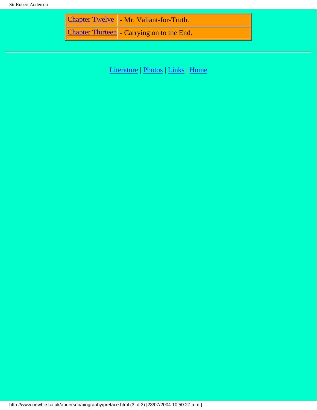| <b>Chapter Twelve   - Mr. Valiant-for-Truth.</b> |
|--------------------------------------------------|
| Chapter Thirteen - Carrying on to the End.       |

[Literature](http://www.newble.co.uk/anderson/literature.html) | [Photos](http://www.newble.co.uk/anderson/photos.html) | [Links](http://www.newble.co.uk/anderson/links.html) | [Home](http://www.newble.co.uk/anderson/index.html)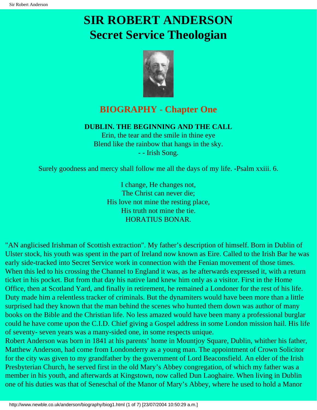# <span id="page-3-0"></span>**SIR ROBERT ANDERSON Secret Service Theologian**



## **BIOGRAPHY - Chapter One**

### **DUBLIN. THE BEGINNING AND THE CALL**

Erin, the tear and the smile in thine eye Blend like the rainbow that hangs in the sky. - - Irish Song.

Surely goodness and mercy shall follow me all the days of my life. -Psalm xxiii. 6.

I change, He changes not, The Christ can never die; His love not mine the resting place, His truth not mine the tie. HORATIUS BONAR.

"AN anglicised Irishman of Scottish extraction". My father's description of himself. Born in Dublin of Ulster stock, his youth was spent in the part of Ireland now known as Eire. Called to the Irish Bar he was early side-tracked into Secret Service work in connection with the Fenian movement of those times. When this led to his crossing the Channel to England it was, as he afterwards expressed it, with a return ticket in his pocket. But from that day his native land knew him only as a visitor. First in the Home Office, then at Scotland Yard, and finally in retirement, he remained a Londoner for the rest of his life. Duty made him a relentless tracker of criminals. But the dynamiters would have been more than a little surprised had they known that the man behind the scenes who hunted them down was author of many books on the Bible and the Christian life. No less amazed would have been many a professional burglar could he have come upon the C.I.D. Chief giving a Gospel address in some London mission hail. His life of seventy- seven years was a many-sided one, in some respects unique.

Robert Anderson was born in 1841 at his parents' home in Mountjoy Square, Dublin, whither his father, Matthew Anderson, had come from Londonderry as a young man. The appointment of Crown Solicitor for the city was given to my grandfather by the government of Lord Beaconsfield. An elder of the Irish Presbyterian Church, he served first in the old Mary's Abbey congregation, of which my father was a member in his youth, and afterwards at Kingstown, now called Dun Laoghaire. When living in Dublin one of his duties was that of Seneschal of the Manor of Mary's Abbey, where he used to hold a Manor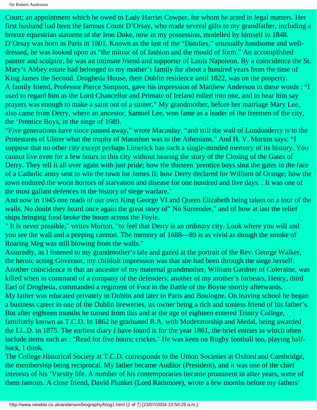Sir Robert Anderson

Court; an appointment which he owed to Lady Harriet Cowper, for whom he acted in legal matters. Her first husband had been the famous Count D'Orsay, who made several gifts to my grandfather, including a bronze equestrian statuette of the Iron Duke, now in my possession, modelled by himself in 1848. D'Orsay was born in Paris in 1801. Known as the last of the "Dandies," unusually handsome and welldressed, he was looked upon as "the mirror of of fashion and the mould of form." An accomplished painter and sculptor, he was an intimate friend and supporter of Louis Napoleon. By a coincidence the St. Mary's Abbey estate had belonged to my mother's family for about a hundred years from the time of King James the Second. Drogheda House, their Dublin residence until 1822, was on the property. A family friend, Professor Pierce Simpson, gave his impression of Matthew Anderson in these words : "I used to regard him as the Lord Chancellor and Primate of Ireland rolled into one, and to hear him say prayers was enough to make a saint out of a sinner." My grandmother, before her marriage Mary Lee, also came from Derry, where an ancestor, Samuel Lee, won fame as a leader of the freemen of the city, the 'Prentice Boys, in the siege of 1689.

"Five generations have since passed away," wrote Macaulay, "and still the wall of Londonderry is to the Protestants of Ulster what the trophy of Marathon was to the Athenians." And H. V. Morton says: "I suppose that no other city except perhaps Limerick has such a single-minded memory of its history. You cannot live even for a few hours in this city without hearing the story of the Closing of the Gates of Derry. They tell it all over again with just pride; how the thirteen 'prentice boys shut the gates in the face of a Catholic army sent to win the town for James II; how Derry declared for William of Orange; how the town endured the worst horrors of starvation and disease for one hundred and five days. . It was one of the most gallant defences in the history of siege warfare."

And now in 1945 one reads of our own King George VI and Queen Elizabeth being taken on a tour of the walls. No doubt they heard once again the great story of" No Surrender," and of how at last the relief ships bringing food broke the boom across the Foyle.

" It is never possible," writes Morton, "to feel that Derry is an ordinary city. Look where you will and you see the wall and a peeping cannon. The memory of 1688—89 is as vivid as though the smoke of Roaring Meg was still blowing from the walls."

Assuredly, as I listened to my grandmother's tale and gazed at the portrait of the Rev. George Walker, the heroic acting Governor, my childish impression was that she had been through the siege herself. Another coincidence is that an ancestor of my maternal grandmother, William Gardner of Coleraine, was killed when in command of a company of the defenders; another of my mother's forbears, Henry, third Earl of Drogheda, commanded a regiment of Foot in the Battle of the Boyne shortly afterwards. My father was educated privately in Dublin and later in Paris and Boulogne. On leaving school he began a business career in one of the Dublin breweries, its owner being a rich and sonless friend of his father's. But after eighteen months he turned from this and at the age of eighteen entered Trinity College, familiarly known as T.C.D. In 1862 he graduated B.A. with Moderatorship and Medal, being awarded the LL.D. in 1875. The earliest diary I have found is for the year 1861, the brief entries in which often include items such as : "Read for five hours; cricket." He was keen on Rugby football too, playing halfback, I think.

The College Historical Society at T.C.D. corresponds to the Union Societies at Oxford and Cambridge, the membership being reciprocal. My father became Auditor (President), and it was one of the chief interests of his 'Varsity life. A number of his contemporaries became prominent in after years, some of them famous. A close friend, David Plunket (Lord Rathmore), wrote a few months before my fathers'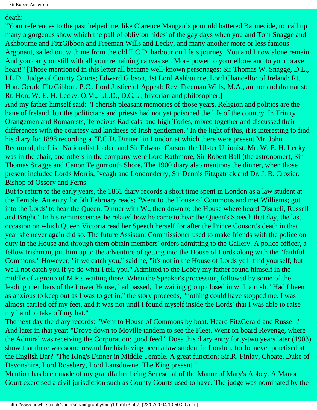### death:

"Your references to the past helped me, like Clarence Mangan's poor old battered Barmecide, to 'call up many a gorgeous show which the pall of oblivion hides' of the gay days when you and Tom Snagge and Ashbourne and FitzGibbon and Freeman Wills and Lecky, and many another more or less famous Argonaut, sailed out with me from the old T.C.D. harbour on life's journey. You and I now alone remain. And you carry on still with all your remaining canvas set. More power to your elbow and to your brave heart!" [Those mentioned in this letter all became well-known personages: Sir Thomas W. Snagge, D.L., LL.D., Judge of County Courts; Edward Gibson, 1st Lord Ashbourne, Lord Chancellor of Ireland; Rt. Hon. Gerald FitzGibbon, P.C., Lord Justice of Appeal; Rev. Freeman Wills, M.A., author and dramatist; Rt. Hon. W. E. H. Lecky, O.M., LL.D., D.C.L., historian and philosopher.]

And my father himself said: "I cherish pleasant memories of those years. Religion and politics are the bane of Ireland, but the politicians and priests had not yet poisoned the life of the country. In Trinity, Orangemen and Romanists, 'ferocious Radicals' and high Tories, mixed together and discussed their differences with the courtesy and kindness of Irish gentlemen." In the light of this, it is interesting to find his diary for 1898 recording a "T.C.D. Dinner" in London at which there were present Mr. John Redmond, the Irish Nationalist leader, and Sir Edward Carson, the Ulster Unionist. Mr. W. E. H. Lecky was in the chair, and others in the company were Lord Rathmore, Sir Robert Ball (the astronomer), Sir Thomas Snagge and Canon Teignmouth Shore. The 1900 diary also mentions the dinner, when those present included Lords Morris, Iveagh and Londonderry, Sir Dennis Fitzpatrick and Dr. J. B. Crozier, Bishop of Ossory and Ferns.

But to return to the early years, the 1861 diary records a short time spent in London as a law student at the Temple. An entry for 5th February reads: "Went to the House of Commons and met Williams; got into the Lords' to hear the Queen. Dinner with W., then down to the House where heard Disraeli, Russell and Bright." In his reminiscences he related how he came to hear the Queen's Speech that day, the last occasion on which Queen Victoria read her Speech herself for after the Prince Consort's death in that year she never again did so. The future Assistant Commissioner used to make friends with the police on duty in the House and through them obtain members' orders admitting to the Gallery. A police officer, a fellow Irishman, put him up to the adventure of getting into the House of Lords along with the "faithful Commons." However, "if we catch you," said he, "it's not in the House of Lords ye'll find yourself; but we'll not catch you if ye do what I tell you." Admitted to the Lobby my father found himself in the middle of a group of M.P.s waiting there. When the Speaker's procession, followed by some of the leading members of the Lower House, had passed, the waiting group closed in with a rush. "Had I been as anxious to keep out as I was to get in," the story proceeds, "nothing could have stopped me. I was almost carried off my feet, and it was not until I found myself inside the Lords' that I was able to raise my hand to take off my hat."

The next day the diary records: "Went to House of Commons by boat. Heard FitzGerald and Russell." And later in that year: "Drove down to Moville tandem to see the Fleet. Went on board Revenge, where the Admiral was receiving the Corporation: good feed." Does this diary entry forty-two years later (1903) show that there was some reward for his having been a law student in London, for he never practised at the English Bar? "The King's Dinner in Middle Temple. A great function; Sir.R. Finlay, Choate, Duke of Devonshire, Lord Rosebery, Lord Lansdowne. The King present."

Mention has been made of my grandfather being Seneschal of the Manor of Mary's Abbey. A Manor Court exercised a civil jurisdiction such as County Courts used to have. The judge was nominated by the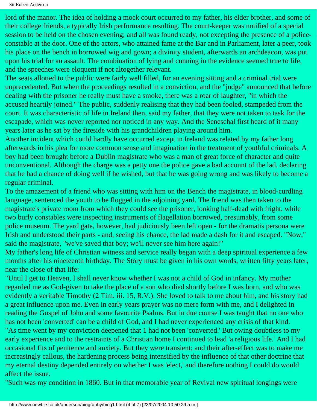lord of the manor. The idea of holding a mock court occurred to my father, his elder brother, and some of their college friends, a typically Irish performance resulting. The court-keeper was notified of a special session to be held on the chosen evening; and all was found ready, not excepting the presence of a policeconstable at the door. One of the actors, who attained fame at the Bar and in Parliament, later a peer, took his place on the bench in borrowed wig and gown; a divinity student, afterwards an archdeacon, was put upon his trial for an assault. The combination of lying and cunning in the evidence seemed true to life, and the speeches were eloquent if not altogether relevant.

The seats allotted to the public were fairly well filled, for an evening sitting and a criminal trial were unprecedented. But when the proceedings resulted in a conviction, and the "judge" announced that before dealing with the prisoner he really must have a smoke, there was a roar of laughter, "in which the accused heartily joined." The public, suddenly realising that they had been fooled, stampeded from the court. It was characteristic of life in Ireland then, said my father, that they were not taken to task for the escapade, which was never reported nor noticed in any way. And the Seneschal first heard of it many years later as he sat by the fireside with his grandchildren playing around him.

Another incident which could hardly have occurred except in Ireland was related by my father long afterwards in his plea for more common sense and imagination in the treatment of youthful criminals. A boy had been brought before a Dublin magistrate who was a man of great force of character and quite unconventional. Although the charge was a petty one the police gave a bad account of the lad, declaring that he had a chance of doing well if he wished, but that he was going wrong and was likely to become a regular criminal.

To the amazement of a friend who was sitting with him on the Bench the magistrate, in blood-curdling language, sentenced the youth to be flogged in the adjoining yard. The friend was then taken to the magistrate's private room from which they could see the prisoner, looking half-dead with fright, while two burly constables were inspecting instruments of flagellation borrowed, presumably, from some police museum. The yard gate, however, had judiciously been left open - for the dramatis persona were Irish and understood their parts - and, seeing his chance, the lad made a dash for it and escaped. "Now," said the magistrate, "we've saved that boy; we'll never see him here again!"

My father's long life of Christian witness and service really began with a deep spiritual experience a few months after his nineteenth birthday. The Story must be given in his own words, written fifty years later, near the close of that life:

"Until I get to Heaven, I shall never know whether I was not a child of God in infancy. My mother regarded me as God-given to take the place of a son who died shortly before I was born, and who was evidently a veritable Timothy (2 Tim. iii. 15, R.V.). She loved to talk to me about him, and his story had a great influence upon me. Even in early years prayer was no mere form with me, and I delighted in reading the Gospel of John and some favourite Psalms. But in due course I was taught that no one who has not been 'converted' can be a child of God, and I had never experienced any crisis of that kind. "As time went by my conviction deepened that 1 had not been 'converted.' But owing doubtless to my early experience and to the restraints of a Christian home I continued to lead 'a religious life.' And I had occasional fits of penitence and anxiety. But they were transient; and their after-effect was to make me increasingly callous, the hardening process being intensified by the influence of that other doctrine that my eternal destiny depended entirely on whether I was 'elect,' and therefore nothing I could do would affect the issue.

"Such was my condition in 1860. But in that memorable year of Revival new spiritual longings were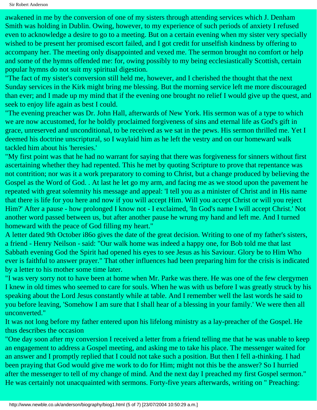awakened in me by the conversion of one of my sisters through attending services which J. Denham Smith was holding in Dublin. Owing, however, to my experience of such periods of anxiety I refused even to acknowledge a desire to go to a meeting. But on a certain evening when my sister very specially wished to be present her promised escort failed, and I got credit for unselfish kindness by offering to accompany her. The meeting only disappointed and vexed me. The sermon brought no comfort or help and some of the hymns offended me: for, owing possibly to my being ecclesiastically Scottish, certain popular hymns do not suit my spiritual digestion.

"The fact of my sister's conversion still held me, however, and I cherished the thought that the next Sunday services in the Kirk might bring me blessing. But the morning service left me more discouraged than ever; and I made up my mind that if the evening one brought no relief I would give up the quest, and seek to enjoy life again as best I could.

"The evening preacher was Dr. John Hall, afterwards of New York. His sermon was of a type to which we are now accustomed, for he boldly proclaimed forgiveness of sins and eternal life as God's gift in grace, unreserved and unconditional, to be received as we sat in the pews. His sermon thrilled me. Yet I deemed his doctrine unscriptural, so I waylaid him as he left the vestry and on our homeward walk tackled him about his 'heresies.'

"My first point was that he had no warrant for saying that there was forgiveness for sinners without first ascertaining whether they had repented. This he met by quoting Scripture to prove that repentance was not contrition; nor was it a work preparatory to coming to Christ, but a change produced by believing the Gospel as the Word of God. . At last he let go my arm, and facing me as we stood upon the pavement he repeated with great solemnity his message and appeal: 'I tell you as a minister of Christ and in His name that there is life for you here and now if you will accept Him. Will you accept Christ or will you reject Him?' After a pause - how prolonged I know not - I exclaimed, 'In God's name I will accept Christ.' Not another word passed between us, but after another pause he wrung my hand and left me. And I turned homeward with the peace of God filling my heart."

A letter dated 9th October i86o gives the date of the great decision. Writing to one of my father's sisters, a friend - Henry Neilson - said: "Our walk home was indeed a happy one, for Bob told me that last Sabbath evening God the Spirit had opened his eyes to see Jesus as his Saviour. Glory be to Him Who ever is faithful to answer prayer." That other influences had been preparing him for the crisis is indicated by a letter to his mother some time later.

"I was very sorry not to have been at home when Mr. Parke was there. He was one of the few clergymen I knew in old times who seemed to care for souls. When he was with us before I was greatly struck by his speaking about the Lord Jesus constantly while at table. And I remember well the last words he said to you before leaving, 'Somehow I am sure that I shall hear of a blessing in your family.' We were then all unconverted."

It was not long before my father entered upon his lifelong ministry as a lay-preacher of the Gospel. He thus describes the occasion

"One day soon after my conversion I received a letter from a friend telling me that he was unable to keep an engagement to address a Gospel meeting, and asking me to take his place. The messenger waited for an answer and I promptly replied that I could not take such a position. But then I fell a-thinking. I had been praying that God would give me work to do for Him; might not this be the answer? So I hurried after the messenger to tell of my change of mind. And the next day I preached my first Gospel sermon." He was certainly not unacquainted with sermons. Forty-five years afterwards, writing on " Preaching: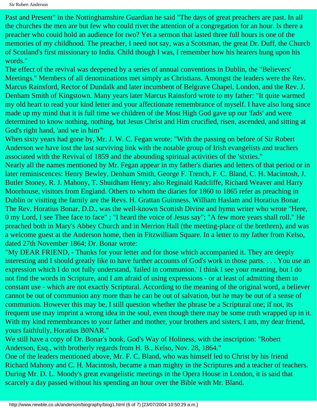Past and Present" in the Nottinghamshire Guardian he said "The days of great preachers are past. In all the churches the men are but few who could rivet the attention of a congregation for an hour. Is there a preacher who could hold an audience for two? Yet a sermon that lasted three full hours is one of the memories of my childhood. The preacher, I need not say, was a Scotsman, the great Dr. Duff, the Church of Scotland's first missionary to India. Child though I was, I remember how his hearers hung upon his words."

The effect of the revival was deepened by a series of annual conventions in Dublin, the "Believers' Meetings." Members of all denominations met simply as Christians. Amongst the leaders were the Rev. Marcus Rainsford, Rector of Dundalk and later incumbent of Belgrave Chapel, London, and the Rev. J. Denham Smith of Kingstown. Many years later Marcus Rainsford wrote to my father: "It quite warmed my old heart to read your kind letter and your affectionate remembrance of myself. I have also long since made up my mind that it is full time we children of the Most High God gave up our 'fads' and were determined to know nothing, nothing, but Jesus Christ and Him crucified, risen, ascended, and sitting at God's right hand, 'and we in him'"

When sixty years had gone by, Mr. J. W. C. Fegan wrote: "With the passing on before of Sir Robert Anderson we have lost the last surviving link with the notable group of Irish evangelists and teachers associated with the Revival of 1859 and the abounding spiritual activities of the 'sixties." Nearly all the names mentioned by Mr. Fegan appear in my father's diaries and letters of that period or in later reminiscences: Henry Bewley, Denham Smith, George F. Trench, F. C. Bland, C. H. Macintosh, J. Butler Stoney, R. J. Mahony, T. Shuidham Henry; also Reginald Radcliffe, Richard Weaver and Harry Moorhouse, visitors from England. Others to whom the diaries for 1860 to 1865 refer as preaching in Dublin or visiting the family are the Revs. H. Grattan Guinness, William Haslam and Horatius Bonar. The Rev. Horatius Bonar, D.D., was the well-known Scottish Divine and hymn writer who wrote "Here, 0 my Lord, I see Thee face to face" ; "I heard the voice of Jesus say"; "A few more years shall roll." He preached both in Mary's Abbey Church and in Merrion Hall (the meeting-place of the brethren), and was a welcome guest at the Anderson home, then in Fitzwilliam Square. In a letter to my father from Kelso, dated 27th November 1864; Dr. Bonar wrote:

"My DEAR FRIEND, - Thanks for your letter and for those which accompanied it. They are deeply interesting and I should greatly like to have further accounts of God's work in those parts. . . . You use an expression which I do not fully understand, 'failed in communion.' I think I see your meaning, but I do not find the words in Scripture, and I am afraid of using expressions - or at least of admitting them to constant use - which are not exactly Scriptural. According to the meaning of the original word, a believer cannot be out of communion any more than he can be out of salvation, but he may be out of a sense of communion. However this may be, I still question whether the phrase be a Scriptural one; if not, its frequent use may imprint a wrong idea in the soul, even though there may be some truth wrapped up in it. With my kind remembrances to your father and mother, your brothers and sisters, I am, my dear friend, yours faithfully, Horatius B0NAR."

We still have a copy of Dr. Bonar's book, God's Way of Holiness, with the inscription: "Robert Anderson, Esq., with brotherly regards from H. B., Kelso, Nov. 28, 1864."

One of the leaders mentioned above, Mr. F. C. Bland, who was himself led to Christ by his friend Richard Mahony and C. H. Macintosh, became a man mighty in the Scriptures and a teacher of teachers. During Mr. D. L. Moody's great evangelistic meetings in the Opera House in London, it is said that scarcely a day passed without his spending an hour over the Bible with Mr. Bland.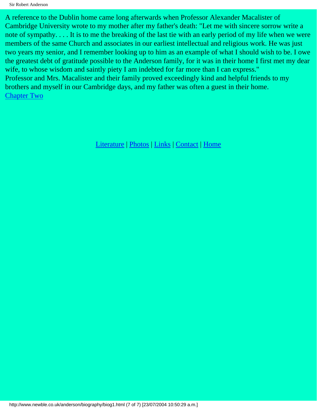A reference to the Dublin home came long afterwards when Professor Alexander Macalister of Cambridge University wrote to my mother after my father's death: "Let me with sincere sorrow write a note of sympathy. . . . It is to me the breaking of the last tie with an early period of my life when we were members of the same Church and associates in our earliest intellectual and religious work. He was just two years my senior, and I remember looking up to him as an example of what I should wish to be. I owe the greatest debt of gratitude possible to the Anderson family, for it was in their home I first met my dear wife, to whose wisdom and saintly piety I am indebted for far more than I can express." Professor and Mrs. Macalister and their family proved exceedingly kind and helpful friends to my brothers and myself in our Cambridge days, and my father was often a guest in their home. [Chapter Two](#page-10-0)

[Literature](http://www.newble.co.uk/anderson/literature.html) | [Photos](http://www.newble.co.uk/anderson/photos.html) | [Links](http://www.newble.co.uk/anderson/links.html) | [Contact](mailto:aln3639@netscape.net) | [Home](http://www.newble.co.uk/anderson/index.html)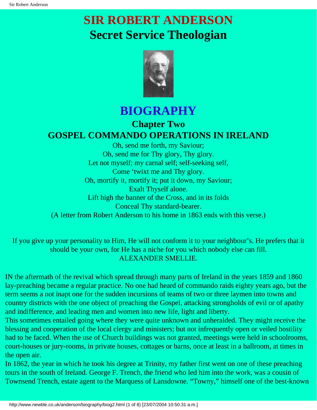# <span id="page-10-0"></span>**SIR ROBERT ANDERSON Secret Service Theologian**



## **BIOGRAPHY**

## **Chapter Two GOSPEL COMMANDO OPERATIONS IN IRELAND**

Oh, send me forth, my Saviour; Oh, send me for Thy glory, Thy glory. Let not myself; my carnal self; self-seeking self, Come 'twixt me and Thy glory. Oh, mortify it, mortify it; put it down, my Saviour; Exalt Thyself alone. Lift high the banner of the Cross, and in its folds Conceal Thy standard-bearer. (A letter from Robert Anderson to his home in 1863 ends with this verse.)

If you give up your personality to Him, He will not conform it to your neighbour's. He prefers that it should be your own, for He has a niche for you which nobody else can fill. ALEXANDER SMELLIE.

IN the aftermath of the revival which spread through many parts of Ireland in the years 1859 and 1860 lay-preaching became a regular practice. No one had heard of commando raids eighty years ago, but the term seems a not inapt one for the sudden incursions of teams of two or three laymen into towns and country districts with the one object of preaching the Gospel, attacking strongholds of evil or of apathy and indifference, and leading men and women into new life, light and liberty.

This sometimes entailed going where they were quite unknown and unheralded. They might receive the blessing and cooperation of the local clergy and ministers; but not infrequently open or veiled hostility had to be faced. When the use of Church buildings was not granted, meetings were held in schoolrooms, court-houses or jury-rooms, in private houses, cottages or barns, once at least in a ballroom, at times in the open air.

In 1862, the year in which he took his degree at Trinity, my father first went on one of these preaching tours in the south of Ireland. George F. Trench, the friend who led him into the work, was a cousin of Townsend Trench, estate agent to the Marquess of Lansdowne. "Towny," himself one of the best-known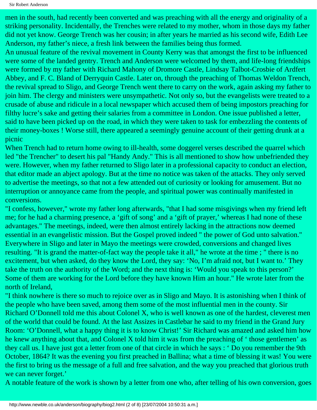Sir Robert Anderson

men in the south, had recently been converted and was preaching with all the energy and originality of a striking personality. Incidentally, the Trenches were related to my mother, whom in those days my father did not yet know. George Trench was her cousin; in after years he married as his second wife, Edith Lee Anderson, my father's niece, a fresh link between the families being thus formed.

An unusual feature of the revival movement in County Kerry was that amongst the first to be influenced were some of the landed gentry. Trench and Anderson were welcomed by them, and life-long friendships were formed by my father with Richard Mahony of Dromore Castle, Lindsay Talbot-Crosbie of Ardfert Abbey, and F. C. Bland of Derryquin Castle. Later on, through the preaching of Thomas Weldon Trench, the revival spread to Sligo, and George Trench went there to carry on the work, again asking my father to join him. The clergy and ministers were unsympathetic. Not only so, but the evangelists were treated to a crusade of abuse and ridicule in a local newspaper which accused them of being impostors preaching for filthy lucre's sake and getting their salaries from a committee in London. One issue published a letter, said to have been picked up on the road, in which they were taken to task for embezzling the contents of their money-boxes ! Worse still, there appeared a seemingly genuine account of their getting drunk at a picnic

When Trench had to return home owing to ill-health, some doggerel verses described the quarrel which led "the Trencher" to desert his pal "Handy Andy." This is all mentioned to show how unbefriended they were. However, when my father returned to Sligo later in a professional capacity to conduct an election, that editor made an abject apology. But at the time no notice was taken of the attacks. They only served to advertise the meetings, so that not a few attended out of curiosity or looking for amusement. But no interruption or annoyance came from the people, and spiritual power was continually manifested in conversions.

"I confess, however," wrote my father long afterwards, "that I had some misgivings when my friend left me; for he had a charming presence, a 'gift of song' and a 'gift of prayer,' whereas I had none of these advantages." The meetings, indeed, were then almost entirely lacking in the attractions now deemed essential in an evangelistic mission. But the Gospel proved indeed " the power of God unto salvation." Everywhere in Sligo and later in Mayo the meetings were crowded, conversions and changed lives resulting. "It is grand the matter-of-fact way the people take it all," he wrote at the time ; " there is no excitement, but when asked, do they know the Lord, they say: 'No, I'm afraid not, but I want to.' They take the truth on the authority of the Word; and the next thing is: 'Would you speak to this person?' Some of them are working for the Lord before they have known Him an hour." He wrote later from the north of Ireland,

"I think nowhere is there so much to rejoice over as in Sligo and Mayo. It is astonishing when I think of the people who have been saved, among them some of the most influential men in the county. Sir Richard O'Donnell told me this about Colonel X, who is well known as one of the hardest, cleverest men of the world that could be found. At the last Assizes in Castlebar he said to my friend in the Grand Jury Room: 'O'Donnell, what a happy thing it is to know Christ!' Sir Richard was amazed and asked him how he knew anything about that, and Colonel X told him it was from the preaching of ' those gentlemen' as they call us. I have just got a letter from one of that circle in which he says : ' Do you remember the 9th October, 1864? It was the evening you first preached in Ballina; what a time of blessing it was! You were the first to bring us the message of a full and free salvation, and the way you preached that glorious truth we can never forget.'

A notable feature of the work is shown by a letter from one who, after telling of his own conversion, goes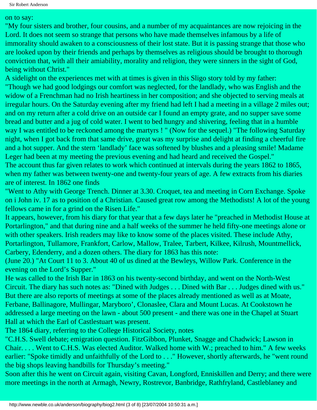#### on to say:

"My four sisters and brother, four cousins, and a number of my acquaintances are now rejoicing in the Lord. It does not seem so strange that persons who have made themselves infamous by a life of immorality should awaken to a consciousness of their lost state. But it is passing strange that those who are looked upon by their friends and perhaps by themselves as religious should be brought to thorough conviction that, with all their amiability, morality and religion, they were sinners in the sight of God, being without Christ."

A sidelight on the experiences met with at times is given in this Sligo story told by my father: "Though we had good lodgings our comfort was neglected, for the landlady, who was English and the widow of a Frenchman had no Irish heartiness in her composition; and she objected to serving meals at irregular hours. On the Saturday evening after my friend had left I had a meeting in a village 2 miles out; and on my return after a cold drive on an outside car I found an empty grate, and no supper save some bread and butter and a jug of cold water. I went to bed hungry and shivering, feeling that in a humble way I was entitled to be reckoned among the martyrs ! " (Now for the sequel.) "The following Saturday night, when I got back from that same drive, great was my surprise and delight at finding a cheerful fire and a hot supper. And the stern 'landlady' face was softened by blushes and a pleasing smile! Madame Leger had been at my meeting the previous evening and had heard and received the Gospel." The account thus far given relates to work which continued at intervals during the years 1862 to 1865, when my father was between twenty-one and twenty-four years of age. A few extracts from his diaries are of interest. In 1862 one finds

"Went to Athy with George Trench. Dinner at 3.30. Croquet, tea and meeting in Corn Exchange. Spoke on i John iv. 17 as to position of a Christian. Caused great row among the Methodists! A lot of the young fellows came in for a grind on the Risen Life."

It appears, however, from his diary for that year that a few days later he "preached in Methodist House at Portarlington," and that during nine and a half weeks of the summer he held fifty-one meetings alone or with other speakers. Irish readers may like to know some of the places visited. These include Athy, Portarlington, Tullamore, Frankfort, Carlow, Mallow, Tralee, Tarbert, Kilkee, Kilrush, Mountmellick, Carbery, Edenderry, and a dozen others. The diary for 1863 has this note:

(June 20.) "At Court 11 to 3. About 40 of us dined at the Bewleys, Willow Park. Conference in the evening on the Lord's Supper."

He was called to the Irish Bar in 1863 on his twenty-second birthday, and went on the North-West Circuit. The diary has such notes as: "Dined with Judges . . . Dined with Bar . . . Judges dined with us." But there are also reports of meetings at some of the places already mentioned as well as at Moate, Ferbane, Ballinagore, Mullingar, Maryboro', Clonaslee, Clara and Mount Lucas. At Cookstown he addressed a large meeting on the lawn - about 500 present - and there was one in the Chapel at Stuart Hall at which the Earl of Castlestuart was present.

The 1864 diary, referring to the College Historical Society, notes

"C.H.S. Swell debate; emigration question. FitzGibbon, Plunket, Snagge and Chadwick; Lawson in Chair. . . . Went to C.H.S. Was elected Auditor. Walked home with W.; preached to him." A few weeks earlier: "Spoke timidly and unfaithfully of the Lord to . . ." However, shortly afterwards, he "went round the big shops leaving handbills for Thursday's meeting."

Soon after this he went on Circuit again, visiting Cavan, Longford, Enniskillen and Derry; and there were more meetings in the north at Armagh, Newry, Rostrevor, Banbridge, Rathfryland, Castleblaney and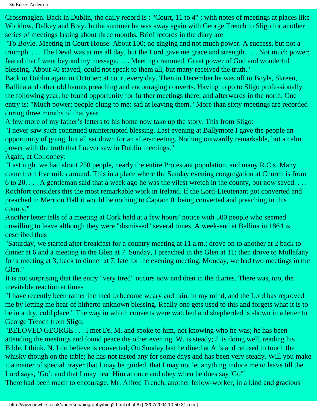Crossmaglen. Back in Dublin, the daily record is : "Court, 11 to 4" ; with notes of meetings at places like Wicklow, Dalkey and Bray. In the summer he was away again with George Trench to Sligo for another series of meetings lasting about three months. Brief records in the diary are

"To Boyle. Meeting in Court House. About 100; no singing and not much power. A success, but not a triumph. . . . The Devil was at me all day, but the Lord gave me grace and strength. . . . Not much power; feared that I went beyond my message. . . . Meeting crammed. Great power of God and wonderful blessing. About 40 stayed; could not speak to them all, but many received the truth."

Back to Dublin again in October; at court every day. Then in December he was off to Boyle, Skreen, Ballina and other old haunts preaching and encouraging converts. Having to go to Sligo professionally the following year, he found opportunity for further meetings there, and afterwards in the north. One entry is: "Much power; people clung to me; sad at leaving them." More than sixty meetings are recorded during three months of that year.

A few more of my father's letters to his home now take up the story. This from Sligo:

"I never saw such continued uninterrupted blessing. Last evening at Ballymote I gave the people an opportunity of going, but all sat down for an after-meeting. Nothing outwardly remarkable, but a calm power with the truth that I never saw in Dublin meetings."

Again, at Collooney:

"Last night we had about 250 people, nearly the entire Protestant population, and many R.C.s. Many come from five miles around. This in a place where the Sunday evening congregation at Church is from 6 to 20. . . . A gentleman said that a week ago he was the vilest wretch in the county, but now saved. . . . Rochfort considers this the most remarkable work in Ireland. If the Lord-Lieutenant got converted and preached in Merrion Hall it would be nothing to Captain 0. being converted and preaching in this county."

Another letter tells of a meeting at Cork held at a few hours' notice with 500 people who seemed unwilling to leave although they were "dismissed" several times. A week-end at Ballina in 1864 is described thus

"Saturday, we started after breakfast for a country meeting at 11 a.m.; drove on to another at 2 back to dinner at 6 and a meeting in the Glen at 7. Sunday, I preached in the Glen at 11; then drove to Mullafany for a meeting at 3; back to dinner at 7, late for the evening meeting. Monday, we had two meetings in the Glen."

It is not surprising that the entry "very tired" occurs now and then in the diaries. There was, too, the inevitable reaction at times

"I have recently been rather inclined to become weary and faint in my mind, and the Lord has reproved me by letting me hear of hitherto unknown blessing. Really one gets used to this and forgets what it is to be in a dry, cold place." The way in which converts were watched and shepherded is shown in a letter to George Trench from Sligo:

"BELOVED GEORGE . . . I met Dr. M. and spoke to him, not knowing who he was; he has been attending the meetings and found peace the other evening. W. is steady; J. is doing well, reading his Bible, I think. N. I do believe is converted; On Sunday last he dined at A.'s and refused to touch the whisky though on the table; he has not tasted any for some days and has been very steady. Will you make it a matter of special prayer that I may be guided, that I may not let anything induce me to leave till the Lord says, 'Go'; and that I may hear Him at once and obey when he does say 'Go'"

There had been much to encourage. Mr. Alfred Trench, another fellow-worker, in a kind and gracious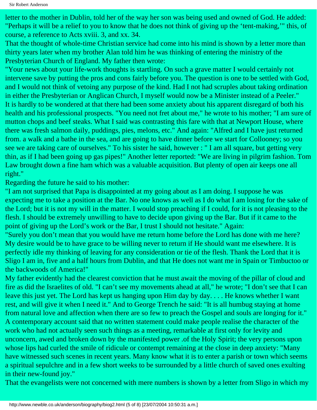letter to the mother in Dublin, told her of the way her son was being used and owned of God. He added: "Perhaps it will be a relief to you to know that he does not think of giving up the 'tent-making,'" this, of course, a reference to Acts xviii. 3, and xx. 34.

That the thought of whole-time Christian service had come into his mind is shown by a letter more than thirty years later when my brother Alan told him he was thinking of entering the ministry of the Presbyterian Church of England. My father then wrote:

"Your news about your life-work thoughts is startling. On such a grave matter I would certainly not intervene save by putting the pros and cons fairly before you. The question is one to be settled with God, and I would not think of vetoing any purpose of the kind. Had I not had scruples about taking ordination in either the Presbyterian or Anglican Church, I myself would now be a Minister instead of a Peeler." It is hardly to be wondered at that there had been some anxiety about his apparent disregard of both his health and his professional prospects. "You need not fret about me," he wrote to his mother; "I am sure of mutton chops and beef steaks. What I said was contrasting this fare with that at Newport House, where there was fresh salmon daily, puddings, pies, melons, etc." And again: "Alfred and I have just returned from. a walk and a bathe in the sea, and are going to have dinner before we start for Collooney; so you see we are taking care of ourselves." To his sister he said, however : " I am all square, but getting very thin, as if I had been going up gas pipes!" Another letter reported: "We are living in pilgrim fashion. Tom Law brought down a fine ham which was a valuable acquisition. But plenty of open air keeps one all right."

Regarding the future he said to his mother:

"I am not surprised that Papa is disappointed at my going about as I am doing. I suppose he was expecting me to take a position at the Bar. No one knows as well as I do what I am losing for the sake of the Lord; but it is not my will in the matter. I would stop preaching if I could, for it is not pleasing to the flesh. I should be extremely unwilling to have to decide upon giving up the Bar. But if it came to the point of giving up the Lord's work or the Bar, I trust I should not hesitate." Again:

"Surely you don't mean that you would have me return home before the Lord has done with me here? My desire would be to have grace to be willing never to return if He should want me elsewhere. It is perfectly idle my thinking of leaving for any consideration or tie of the flesh. Thank the Lord that it is Sligo I am in, five and a half hours from Dublin, and that He does not want me in Spain or Timbuctoo or the backwoods of America!"

My father evidently had the clearest conviction that he must await the moving of the pillar of cloud and fire as did the Israelites of old. "I can't see my movements ahead at all," he wrote; "I don't see that I can leave this just yet. The Lord has kept us hanging upon Him day by day. . . . He knows whether I want rest, and will give it when I need it." And to George Trench he said: "It is all humbug staying at home from natural love and affection when there are so few to preach the Gospel and souls are longing for it." A contemporary account said that no written statement could make people realise the character of the work who had not actually seen such things as a meeting, remarkable at first only for levity and unconcern, awed and broken down by the manifested power .of the Holy Spirit; the very persons upon whose lips had curled the smile of ridicule or contempt remaining at the close in deep anxiety: "Many have witnessed such scenes in recent years. Many know what it is to enter a parish or town which seems a spiritual sepulchre and in a few short weeks to be surrounded by a little church of saved ones exulting in their new-found joy."

That the evangelists were not concerned with mere numbers is shown by a letter from Sligo in which my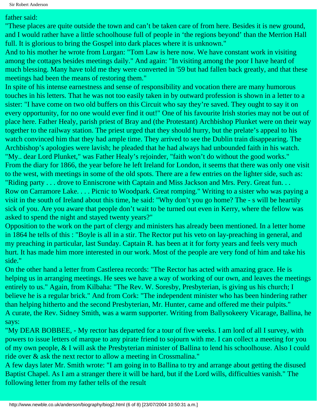### father said:

"These places are quite outside the town and can't be taken care of from here. Besides it is new ground, and I would rather have a little schoolhouse full of people in 'the regions beyond' than the Merrion Hall full. It is glorious to bring the Gospel into dark places where it is unknown."

And to his mother he wrote from Lurgan: "Tom Law is here now. We have constant work in visiting among the cottages besides meetings daily." And again: "In visiting among the poor I have heard of much blessing. Many have told me they were converted in '59 but had fallen back greatly, and that these meetings had been the means of restoring them."

In spite of his intense earnestness and sense of responsibility and vocation there are many humorous touches in his letters. That he was not too easily taken in by outward profession is shown in a letter to a sister: "I have come on two old buffers on this Circuit who say they're saved. They ought to say it on every opportunity, for no one would ever find it out!" One of his favourite Irish stories may not be out of place here. Father Healy, parish priest of Bray and (the Protestant) Archbishop Plunket were on their way together to the railway station. The priest urged that they should hurry, but the prelate's appeal to his watch convinced him that they had ample time. They arrived to see the Dublin train disappearing. The Archbishop's apologies were lavish; he pleaded that he had always had unbounded faith in his watch. "My.. dear Lord Plunket," was Father Healy's rejoinder, "faith won't do without the good works." From the diary for 1866, the year before he left Ireland for London, it seems that there was only one visit to the west, with meetings in some of the old spots. There are a few entries on the lighter side, such as: "Riding party . . . drove to Enniscrone with Captain and Miss Jackson and Mrs. Pery. Great fun. . . Row on Carramore Lake. . . . Picnic to Woodpark. Great romping." Writing to a sister who was paying a visit in the south of Ireland about this time, he said: "Why don't you go home? The - s will be heartily sick of you. Are you aware that people don't wait to be turned out even in Kerry, where the fellow was asked to spend the night and stayed twenty years?"

Opposition to the work on the part of clergy and ministers has already been mentioned. In a letter home in 1864 he tells of this : "Boyle is all in a stir. The Rector put his veto on lay-preaching in general, and my preaching in particular, last Sunday. Captain R. has been at it for forty years and feels very much hurt. It has made him more interested in our work. Most of the people are very fond of him and take his side."

On the other hand a letter from Castlerea records: "The Rector has acted with amazing grace. He is helping us in arranging meetings. He sees we have a way of working of our own, and leaves the meetings entirely to us." Again, from Kilbaha: "The Rev. W. Soresby, Presbyterian, is giving us his church; I believe he is a regular brick." And from Cork: "The independent minister who has been hindering rather than helping hitherto and the second Presbyterian, Mr. Hunter, came and offered me their pulpits." A curate, the Rev. Sidney Smith, was a warm supporter. Writing from Ballysokeery Vicarage, Ballina, he says:

"My DEAR BOBBEE, - My rector has departed for a tour of five weeks. I am lord of all I survey, with powers to issue letters of marque to any pirate friend to sojourn with me. I can collect a meeting for you of my own people, & I will ask the Presbyterian minister of Ballina to lend his schoolhouse. Also I could ride over & ask the next rector to allow a meeting in Crossmalina."

A few days later Mr. Smith wrote: "I am going in to Ballina to try and arrange about getting the disused Baptist Chapel. As I am a stranger there it will be hard, but if the Lord wills, difficulties vanish." The following letter from my father tells of the result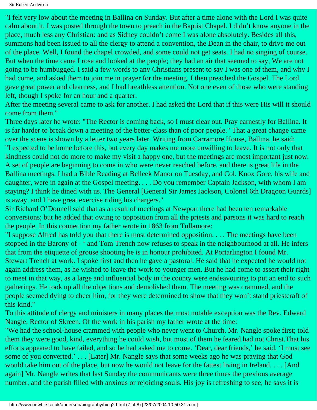"I felt very low about the meeting in Ballina on Sunday. But after a time alone with the Lord I was quite calm about it. I was posted through the town to preach in the Baptist Chapel. I didn't know anyone in the place, much less any Christian: and as Sidney couldn't come I was alone absolutely. Besides all this, summons had been issued to all the clergy to attend a convention, the Dean in the chair, to drive me out of the place. Well, I found the chapel crowded, and some could not get seats. I had no singing of course. But when the time came I rose and looked at the people; they had an air that seemed to say, We are not going to be humbugged. I said a few words to any Christians present to say I was one of them, and why I had come, and asked them to join me in prayer for the meeting. I then preached the Gospel. The Lord gave great power and clearness, and I had breathless attention. Not one even of those who were standing left, though I spoke for an hour and a quarter.

After the meeting several came to ask for another. I had asked the Lord that if this were His will it should come from them."

Three days later he wrote: "The Rector is coming back, so I must clear out. Pray earnestly for Ballina. It is far harder to break down a meeting of the better-class than of poor people." That a great change came over the scene is shown by a letter two years later. Writing from Carramore House, Ballina, he said: "I expected to be home before this, but every day makes me more unwilling to leave. It is not only that kindness could not do more to make my visit a happy one, but the meetings are most important just now. A set of people are beginning to come in who were never reached before, and there is great life in the Ballina meetings. I had a Bible Reading at Belleek Manor on Tuesday, and Col. Knox Gore, his wife and daughter, were in again at the Gospel meeting. . . . Do you remember Captain Jackson, with whom I am staying? I think he dined with us. The General [General Sir James Jackson, Colonel 6th Dragoon Guards] is away, and I have great exercise riding his chargers."

Sir Richard O'Donnell said that as a result of meetings at Newport there had been ten remarkable conversions; but he added that owing to opposition from all the priests and parsons it was hard to reach the people. In this connection my father wrote in 1863 from Tullamore:

"I suppose Alfred has told you that there is most determined opposition. . . . The meetings have been stopped in the Barony of - ' and Tom Trench now refuses to speak in the neighbourhood at all. He infers that from the etiquette of grouse shooting he is in honour prohibited. At Portarlington I found Mr. Stewart Trench at work. I spoke first and then he gave a pastoral. He said that he expected he would not again address them, as he wished to leave the work to younger men. But he had come to assert their right to meet in that way, as a large and influential body in the county were endeavouring to put an end to such gatherings. He took up all the objections and demolished them. The meeting was crammed, and the people seemed dying to cheer him, for they were determined to show that they won't stand priestcraft of this kind."

To this attitude of clergy and ministers in many places the most notable exception was the Rev. Edward Nangle, Rector of Skreen. Of the work in his parish my father wrote at the time:

"We had the school-house crammed with people who never went to Church. Mr. Nangle spoke first; told them they were good, kind, everything he could wish, but most of them he feared had not Christ.That his efforts appeared to have failed, and so he had asked me to come. 'Dear, dear friends,' he said, 'I must see some of you converted.' . . . [Later] Mr. Nangle says that some weeks ago he was praying that God would take him out of the place, but now he would not leave for the fattest living in Ireland. . . . [And again] Mr. Nangle writes that last Sunday the communicants were three times the previous average number, and the parish filled with anxious or rejoicing souls. His joy is refreshing to see; he says it is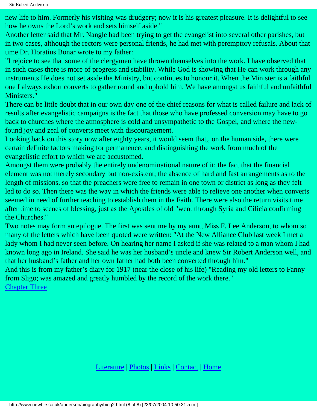new life to him. Formerly his visiting was drudgery; now it is his greatest pleasure. It is delightful to see how he owns the Lord's work and sets himself aside."

Another letter said that Mr. Nangle had been trying to get the evangelist into several other parishes, but in two cases, although the rectors were personal friends, he had met with peremptory refusals. About that time Dr. Horatius Bonar wrote to my father:

"I rejoice to see that some of the clergymen have thrown themselves into the work. I have observed that in such cases there is more of progress and stability. While God is showing that He can work through any instruments He does not set aside the Ministry, but continues to honour it. When the Minister is a faithful one I always exhort converts to gather round and uphold him. We have amongst us faithful and unfaithful Ministers."

There can be little doubt that in our own day one of the chief reasons for what is called failure and lack of results after evangelistic campaigns is the fact that those who have professed conversion may have to go back to churches where the atmosphere is cold and unsympathetic to the Gospel, and where the newfound joy and zeal of converts meet with discouragement.

Looking back on this story now after eighty years, it would seem that,, on the human side, there were certain definite factors making for permanence, and distinguishing the work from much of the evangelistic effort to which we are accustomed.

Amongst them were probably the entirely undenominational nature of it; the fact that the financial element was not merely secondary but non-existent; the absence of hard and fast arrangements as to the length of missions, so that the preachers were free to remain in one town or district as long as they felt led to do so. Then there was the way in which the friends were able to relieve one another when converts seemed in need of further teaching to establish them in the Faith. There were also the return visits time after time to scenes of blessing, just as the Apostles of old "went through Syria and Cilicia confirming the Churches."

Two notes may form an epilogue. The first was sent me by my aunt, Miss F. Lee Anderson, to whom so many of the letters which have been quoted were written: "At the New Alliance Club last week I met a lady whom I had never seen before. On hearing her name I asked if she was related to a man whom I had known long ago in Ireland. She said he was her husband's uncle and knew Sir Robert Anderson well, and that her husband's father and her own father had both been converted through him."

And this is from my father's diary for 1917 (near the close of his life) "Reading my old letters to Fanny from Sligo; was amazed and greatly humbled by the record of the work there."

[Chapter Three](#page-18-0)

[Literature](http://www.newble.co.uk/anderson/literature.html) | [Photos](http://www.newble.co.uk/anderson/photos.html) | [Links](http://www.newble.co.uk/anderson/links.html) | [Contact](mailto:aln3639@netscape.net) | [Home](http://www.newble.co.uk/anderson/index.html)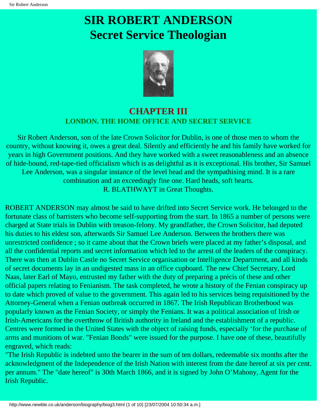# <span id="page-18-0"></span>**SIR ROBERT ANDERSON Secret Service Theologian**



### **CHAPTER III LONDON. THE HOME OFFICE AND SECRET SERVICE**

Sir Robert Anderson, son of the late Crown Solicitor for Dublin, is one of those men to whom the country, without knowing it, owes a great deal. Silently and efficiently he and his family have worked for years in high Government positions. And they have worked with a sweet reasonableness and an absence of hide-bound, red-tape-tied officialism which is as delightful as it is exceptional. His brother, Sir Samuel Lee Anderson, was a singular instance of the level head and the sympathising mind. It is a rare combination and an exceedingly fine one. Hard heads, soft hearts. R. BLATHWAYT in Great Thoughts.

ROBERT ANDERSON may almost be said to have drifted into Secret Service work. He belonged to the fortunate class of barristers who become self-supporting from the start. In 1865 a number of persons were charged at State trials in Dublin with treason-felony. My grandfather, the Crown Solicitor, had deputed his duties to his eldest son, afterwards Sir Samuel Lee Anderson. Between the brothers there was unrestricted confidence ; so it came about that the Crown briefs were placed at my father's disposal, and all the confidential reports and secret information which led to the arrest of the leaders of the conspiracy. There was then at Dublin Castle no Secret Service organisation or Intelligence Department, and all kinds of secret documents lay in an undigested mass in an office cupboard. The new Chief Secretary, Lord Naas, later Earl of Mayo, entrusted my father with the duty of preparing a précis of these and other official papers relating to Fenianism. The task completed, he wrote a history of the Fenian conspiracy up to date which proved of value to the government. This again led to his services being requisitioned by the Attorney-General when a Fenian outbreak occurred in 1867. The Irish Republican Brotherhood was popularly known as the Fenian Society, or simply the Fenians. It was a political association of Irish or Irish-Americans for the overthrow of British authority in Ireland and the establishment of a republic. Centres were formed in the United States with the object of raising funds, especially 'for the purchase of arms and munitions of war. "Fenian Bonds" were issued for the purpose. I have one of these, beautifully engraved, which reads:

"The Irish Republic is indebted unto the bearer in the sum of ten dollars, redeemable six months after the acknowledgment of the Independence of the Irish Nation with interest from the date hereof at six per cent. per annum." The "date hereof" is 30th March 1866, and it is signed by John O'Mahony, Agent for the Irish Republic.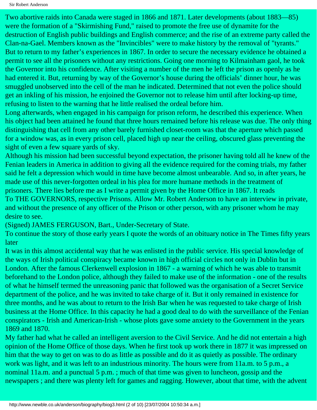Sir Robert Anderson

Two abortive raids into Canada were staged in 1866 and 1871. Later developments (about 1883—85) were the formation of a "Skirmishing Fund," raised to promote the free use of dynamite for the destruction of English public buildings and English commerce; and the rise of an extreme party called the Clan-na-Gael. Members known as the "Invincibles" were to make history by the removal of "tyrants." But to return to my father's experiences in 1867. In order to secure the necessary evidence he obtained a permit to see all the prisoners without any restrictions. Going one morning to Kilmainham gaol, he took the Governor into his confidence. After visiting a number of the men he left the prison as openly as he had entered it. But, returning by way of the Governor's house during the officials' dinner hour, he was smuggled unobserved into the cell of the man he indicated. Determined that not even the police should get an inkling of his mission, he enjoined the Governor not to release him until after locking-up time, refusing to listen to the warning that he little realised the ordeal before him.

Long afterwards, when engaged in his campaign for prison reform, he described this experience. When his object had been attained he found that three hours remained before his release was due. The only thing distinguishing that cell from any other barely furnished closet-room was that the aperture which passed for a window was, as in every prison cell, placed high up near the ceiling, obscured glass preventing the sight of even a few square yards of sky.

Although his mission had been successful beyond expectation, the prisoner having told all he knew of the Fenian leaders in America in addition to giving all the evidence required for the coming trials, my father said he felt a depression which would in time have become almost unbearable. And so, in after years, he made use of this never-forgotten ordeal in his plea for more humane methods in the treatment of prisoners. There lies before me as I write a permit given by the Home Office in 1867. It reads To THE GOVERNORS, respective Prisons. Allow Mr. Robert Anderson to have an interview in private, and without the presence of any officer of the Prison or other person, with any prisoner whom he may desire to see.

(Signed) JAMES FERGUSON, Bart., Under-Secretary of State.

To continue the story of those early years I quote the words of an obituary notice in The Times fifty years later

It was in this almost accidental way that he was enlisted in the public service. His special knowledge of the ways of Irish political conspiracy became known in high official circles not only in Dublin but in London. After the famous Clerkenwell explosion in 1867 - a warning of which he was able to transmit beforehand to the London police, although they failed to make use of the information - one of the results of what he himself termed the unreasoning panic that followed was the organisation of a Secret Service department of the police, and he was invited to take charge of it. But it only remained in existence for three months, and he was about to return to the Irish Bar when he was requested to take charge of Irish business at the Home Office. In this capacity he had a good deal to do with the surveillance of the Fenian conspirators - Irish and American-Irish - whose plots gave some anxiety to the Government in the years 1869 and 1870.

My father had what he called an intelligent aversion to the Civil Service. And he did not entertain a high opinion of the Home Office of those days. When he first took up work there in 1877 it was impressed on him that the way to get on was to do as little as possible and do it as quietly as possible. The ordinary work was light, and it was left to an industrious minority. The hours were from 11a.m. to 5 p.m., a nominal 11a.m. and a punctual 5 p.m.; much of that time was given to luncheon, gossip and the newspapers ; and there was plenty left for games and ragging. However, about that time, with the advent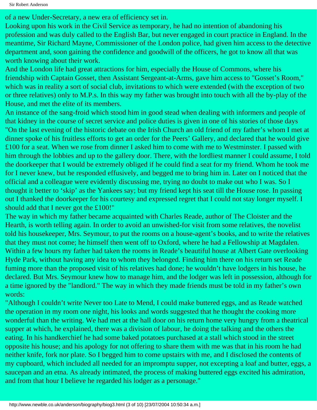of a new Under-Secretary, a new era of efficiency set in.

Looking upon his work in the Civil Service as temporary, he had no intention of abandoning his profession and was duly called to the English Bar, but never engaged in court practice in England. In the meantime, Sir Richard Mayne, Commissioner of the London police, had given him access to the detective department and, soon gaining the confidence and goodwill of the officers, he got to know all that was worth knowing about their work.

And the London life had great attractions for him, especially the House of Commons, where his friendship with Captain Gosset, then Assistant Sergeant-at-Arms, gave him access to "Gosset's Room," which was in reality a sort of social club, invitations to which were extended (with the exception of two or three relatives) only to M.P.s. In this way my father was brought into touch with all the by-play of the House, and met the elite of its members.

An instance of the sang-froid which stood him in good stead when dealing with informers and people of that kidney in the course of secret service and police duties is given in one of his stories of those days "On the last evening of the historic debate on the Irish Church an old friend of my father's whom I met at dinner spoke of his fruitless efforts to get an order for the Peers' Gallery, and declared that he would give £100 for a seat. When we rose from dinner I asked him to come with me to Westminster. I passed with him through the lobbies and up to the gallery door. There, with the lordliest manner I could assume, I told the doorkeeper that I would be extremely obliged if he could find a seat for my friend. Whom he took me for I never knew, but he responded effusively, and begged me to bring him in. Later on I noticed that the official and a colleague were evidently discussing me, trying no doubt to make out who I was. So I thought it better to 'skip' as the Yankees say; but my friend kept his seat till the House rose. In passing out I thanked the doorkeeper for his courtesy and expressed regret that I could not stay longer myself. I should add that I never got the £100!"

The way in which my father became acquainted with Charles Reade, author of The Cloister and the Hearth, is worth telling again. In order to avoid an unwished-for visit from some relatives, the novelist told his housekeeper, Mrs. Seymour, to put the rooms on a house-agent's books, and to write the relatives that they must not come; he himself then went off to Oxford, where he had a Fellowship at Magdalen. Within a few hours my father had taken the rooms in Reade's beautiful house at Albert Gate overlooking Hyde Park, without having any idea to whom they belonged. Finding him there on his return set Reade fuming more than the proposed visit of his relatives had done; he wouldn't have lodgers in his house, he declared. But Mrs. Seymour knew how to manage him, and the lodger was left in possession, although for a time ignored by the "landlord." The way in which they made friends must be told in my father's own words:

"Although I couldn't write Never too Late to Mend, I could make buttered eggs, and as Reade watched the operation in my room one night, his looks and words suggested that he thought the cooking more wonderful than the writing. We had met at the hall door on his return home very hungry from a theatrical supper at which, he explained, there was a division of labour, he doing the talking and the others the eating. In his handkerchief he had some baked potatoes purchased at a stall which stood in the street opposite his house; and his apology for not offering to share them with me was that in his room he had neither knife, fork nor plate. So I begged him to come upstairs with me, and I disclosed the contents of my cupboard, which included all needed for an impromptu supper, not excepting a loaf and butter, eggs, a saucepan and an etna. As already intimated, the process of making buttered eggs excited his admiration, and from that hour I believe he regarded his lodger as a personage."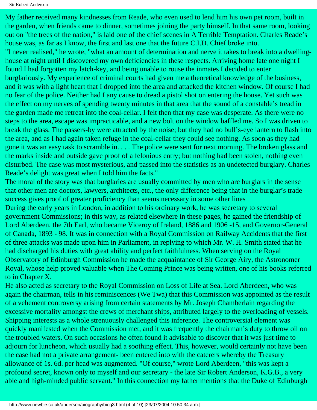My father received many kindnesses from Reade, who even used to lend him his own pet room, built in the garden, when friends came to dinner, sometimes joining the party himself. In that same room, looking out on "the trees of the nation," is laid one of the chief scenes in A Terrible Temptation. Charles Reade's house was, as far as I know, the first and last one that the future C.I.D. Chief broke into. "I never realised," he wrote, "what an amount of determination and nerve it takes to break into a dwellinghouse at night until I discovered my own deficiencies in these respects. Arriving home late one night I found I had forgotten my latch-key, and being unable to rouse the inmates I decided to enter burglariously. My experience of criminal courts had given me a theoretical knowledge of the business, and it was with a light heart that I dropped into the area and attacked the kitchen window. Of course I had no fear of the police. Neither had I any cause to dread a pistol shot on entering the house. Yet such was the effect on my nerves of spending twenty minutes in that area that the sound of a constable's tread in the garden made me retreat into the coal-cellar. I felt then that my case was desperate. As there were no steps to the area, escape was impracticable, and a new bolt on the window baffled me. So I was driven to break the glass. The passers-by were attracted by the noise; but they had no bull's-eye lantern to flash into the area, and as I had again taken refuge in the coal-cellar they could see nothing. As soon as they had gone it was an easy task to scramble in. . . . The police were sent for next morning. The broken glass and the marks inside and outside gave proof of a felonious entry; but nothing had been stolen, nothing even disturbed. The case was most mysterious, and passed into the statistics as an undetected burglary. Charles Reade's delight was great when I told him the facts."

The moral of the story was that burglaries are usually committed by men who are burglars in the sense that other men are doctors, lawyers, architects, etc., the only difference being that in the burglar's trade success gives proof of greater proficiency than seems necessary in some other lines During the early years in London, in addition to his ordinary work, he was secretary to several government Commissions; in this way, as related elsewhere in these pages, he gained the friendship of Lord Aberdeen, the 7th Earl, who became Viceroy of Ireland, 1886 and 1906 -15, and Governor-General of Canada, 1893 - 98. It was in connection with a Royal Commission on Railway Accidents that the first of three attacks was made upon him in Parliament, in replying to which Mr. W. H. Smith stated that he had discharged his duties with great ability and perfect faithfulness. When serving on the Royal Observatory of Edinburgh Commission he made the acquaintance of Sir George Airy, the Astronomer Royal, whose help proved valuable when The Coming Prince was being written, one of his books referred to in Chapter X.

He also acted as secretary to the Royal Commission on Loss of Life at Sea. Lord Aberdeen, who was again the chairman, tells in his reminiscences (We Twa) that this Commission was appointed as the result of a vehement controversy arising from certain statements by Mr. Joseph Chamberlain regarding the excessive mortality amongst the crews of merchant ships, attributed largely to the overloading of vessels. Shipping interests as a whole strenuously challenged this inference. The controversial element was quickly manifested when the Commission met, and it was frequently the chairman's duty to throw oil on the troubled waters. On such occasions he often found it advisable to discover that it was just time to adjourn for luncheon, which usually had a soothing effect. This, however, would certainly not have been the case had not a private arrangement- been entered into with the caterers whereby the Treasury allowance of 1s. 6d. per head was augmented. "Of course," wrote Lord Aberdeen, "this was kept a profound secret, known only to myself and our secretary - the late Sir Robert Anderson, K.G.B., a very able and high-minded public servant." In this connection my father mentions that the Duke of Edinburgh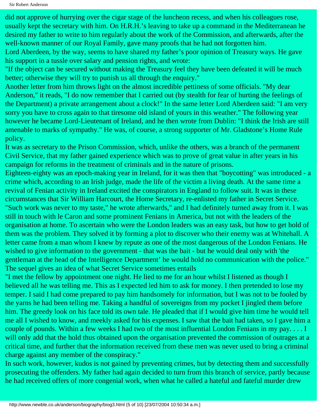Sir Robert Anderson

did not approve of hurrying over the cigar stage of the luncheon recess, and when his colleagues rose, usually kept the secretary with him. On H.R.H.'s leaving to take up a command in the Mediterranean he desired my father to write to him regularly about the work of the Commission, and afterwards, after the well-known manner of our Royal Family, gave many proofs that he had not forgotten him.

Lord Aberdeen, by the way, seems to have shared my father's poor opinion of Treasury ways. He gave his support in a tussle over salary and pension rights, and wrote:

"If the object can be secured without making the Treasury feel they have been defeated it will be much better; otherwise they will try to punish us all through the enquiry."

Another letter from him throws light on the almost incredible pettiness of some officials. "My dear Anderson," it reads, "I do now remember that I carried out (by stealth for fear of hurting the feelings of the Department) a private arrangement about a clock!" In the same letter Lord Aberdeen said: "I am very sorry you have to cross again to that tiresome old island of yours in this weather." The following year however he became Lord-Lieutenant of Ireland, and he then wrote from Dublin: "I think the Irish are still amenable to marks of sympathy." He was, of course, a strong supporter of Mr. Gladstone's Home Rule policy.

It was as secretary to the Prison Commission, which, unlike the others, was a branch of the permanent Civil Service, that my father gained experience which was to prove of great value in after years in his campaign for reforms in the treatment of criminals and in the nature of prisons.

Eighteen-eighty was an epoch-making year in Ireland, for it was then that "boycotting" was introduced - a crime which, according to an Irish judge, made the life of the victim a living death. At the same time a revival of Fenian activity in Ireland excited the conspirators in England to follow suit. It was in these circumstances that Sir William Harcourt, the Home Secretary, re-enlisted my father in Secret Service. "Such work was never to my taste," he wrote afterwards," and I had definitely turned away from it. I was still in touch with le Caron and some prominent Fenians in America, but not with the leaders of the organisation at home. To ascertain who were the London leaders was an easy task, but how to get hold of them was the problem. They solved it by forming a plot to discover who their enemy was at Whitehall. A letter came from a man whom I knew by repute as one of the most dangerous of the London Fenians. He wished to give information to the government - that was the bait - but he would deal only with 'the gentleman at the head of the Intelligence Department' he would hold no communication with the police." The sequel gives an idea of what Secret Service sometimes entails

"I met the fellow by appointment one night. He lied to me for an hour whilst I listened as though I believed all he was telling me. This as I expected led him to ask for money. I then pretended to lose my temper. I said I had come prepared to pay him handsomely for information, but I was not to be fooled by the yarns he had been telling me. Taking a handful of sovereigns from my pocket I jingled them before him. The greedy look on his face told its own tale. He pleaded that if I would give him time he would tell me all I wished to know, and meekly asked for his expenses. I saw that the bait had taken, so I gave him a couple of pounds. Within a few weeks I had two of the most influential London Fenians in my pay. . . . I will only add that the hold thus obtained upon the organisation prevented the commission of outrages at a critical time, and further that the information received from these men was never used to bring a criminal charge against any member of the conspiracy."

In such work, however, kudos is not gained by preventing crimes, but by detecting them and successfully prosecuting the offenders. My father had again decided to turn from this branch of service, partly because he had received offers of more congenial work, when what he called a hateful and fateful murder drew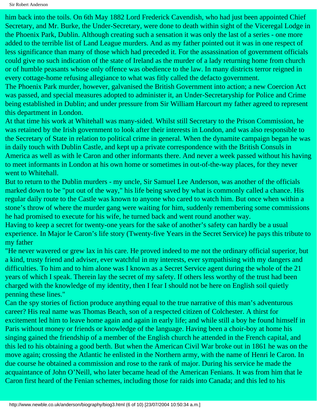Sir Robert Anderson

him back into the toils. On 6th May 1882 Lord Frederick Cavendish, who had just been appointed Chief Secretary, and Mr. Burke, the Under-Secretary, were done to death within sight of the Viceregal Lodge in the Phoenix Park, Dublin. Although creating such a sensation it was only the last of a series - one more added to the terrible list of Land League murders. And as my father pointed out it was in one respect of less significance than many of those which had preceded it. For the assassination of government officials could give no such indication of the state of Ireland as the murder of a lady returning home from church or of humble peasants whose only offence was obedience to the law. In many districts terror reigned in every cottage-home refusing allegiance to what was fitly called the defacto government.

The Phoenix Park murder, however, galvanised the British Government into action; a new Coercion Act was passed, and special measures adopted to administer it, an Under-Secretaryship for Police and Crime being established in Dublin; and under pressure from Sir William Harcourt my father agreed to represent this department in London.

At that time his work at Whitehall was many-sided. Whilst still Secretary to the Prison Commission, he was retained by the Irish government to look after their interests in London, and was also responsible to the Secretary of State in relation to political crime in general. When the dynamite campaign began he was in daily touch with Dublin Castle, and kept up a private correspondence with the British Consuls in America as well as with le Caron and other informants there. And never a week passed without his having to meet informants in London at his own home or sometimes in out-of-the-way places, for they never went to Whitehall.

But to return to the Dublin murders - my uncle, Sir Samuel Lee Anderson, was another of the officials marked down to be "put out of the way," his life being saved by what is commonly called a chance. His regular daily route to the Castle was known to anyone who cared to watch him. But once when within a stone's throw of where the murder gang were waiting for him, suddenly remembering some commissions he had promised to execute for his wife, he turned back and went round another way.

Having to keep a secret for twenty-one years for the sake of another's safety can hardly be a usual experience. In Major le Caron's life story (Twenty-five Years in the Secret Service) he pays this tribute to my father

"He never wavered or grew lax in his care. He proved indeed to me not the ordinary official superior, but a kind, trusty friend and adviser, ever watchful in my interests, ever sympathising with my dangers and difficulties. To him and to him alone was I known as a Secret Service agent during the whole of the 21 years of which I speak. Therein lay the secret of my safety. If others less worthy of the trust had been charged with the knowledge of my identity, then I fear I should not be here on English soil quietly penning these lines."

Can the spy stories of fiction produce anything equal to the true narrative of this man's adventurous career? His real name was Thomas Beach, son of a respected citizen of Colchester. A thirst for excitement led him to leave home again and again in early life; and while still a boy he found himself in Paris without money or friends or knowledge of the language. Having been a choir-boy at home his singing gained the friendship of a member of the English church he attended in the French capital, and this led to his obtaining a good berth. But when the American Civil War broke out in 1861 he was on the move again; crossing the Atlantic he enlisted in the Northern army, with the name of Henri le Caron. In due course he obtained a commission and rose to the rank of major. During his service he made the acquaintance of John O'Neill, who later became head of the American Fenians. It was from him that le Caron first heard of the Fenian schemes, including those for raids into Canada; and this led to his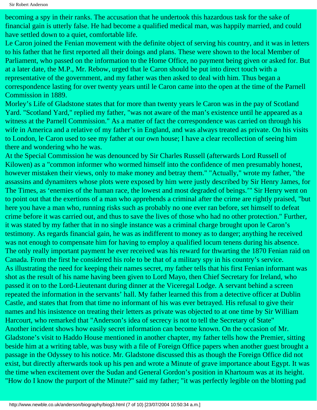becoming a spy in their ranks. The accusation that he undertook this hazardous task for the sake of financial gain is utterly false. He had become a qualified medical man, was happily married, and could have settled down to a quiet, comfortable life.

Le Caron joined the Fenian movement with the definite object of serving his country, and it was in letters to his father that he first reported all their doings and plans. These were shown to the local Member of Parliament, who passed on the information to the Home Office, no payment being given or asked for. But at a later date, the M.P., Mr. Rebow, urged that le Caron should be put into direct touch with a representative of the government, and my father was then asked to deal with him. Thus began a correspondence lasting for over twenty years until le Caron came into the open at the time of the Parnell Commission in 1889.

Morley's Life of Gladstone states that for more than twenty years le Caron was in the pay of Scotland Yard. "Scotland Yard," replied my father, "was not aware of the man's existence until he appeared as a witness at the Parnell Commission." As a matter of fact the correspondence was carried on through his wife in America and a relative of my father's in England, and was always treated as private. On his visits to London, le Caron used to see my father at our own house; I have a clear recollection of seeing him there and wondering who he was.

At the Special Commission he was denounced by Sir Charles Russell (afterwards Lord Russell of Kilowen) as a "common informer who wormed himself into the confidence of men presumably honest, however mistaken their views, only to make money and betray them." "Actually," wrote my father, "the assassins and dynamiters whose plots were exposed by him were justly described by Sir Henry James, for The Times, as 'enemies of the human race, the lowest and most degraded of beings.'" Sir Henry went on to point out that the exertions of a man who apprehends a criminal after the crime are rightly praised, "but here you have a man who, running risks such as probably no one ever ran before, set himself to defeat crime before it was carried out, and thus to save the lives of those who had no other protection." Further, it was stated by my father that in no single instance was a criminal charge brought upon le Caron's testimony. As regards financial gain, he was as indifferent to money as to danger; anything he received was not enough to compensate him for having to employ a qualified locum tenens during his absence. The only really important payment he ever received was his reward for thwarting the 1870 Fenian raid on Canada. From the first he considered his role to be that of a military spy in his country's service. As illustrating the need for keeping their names secret, my father tells that his first Fenian informant was shot as the result of his name having been given to Lord Mayo, then Chief Secretary for Ireland, who passed it on to the Lord-Lieutenant during dinner at the Viceregal Lodge. A servant behind a screen repeated the information in the servants' hall. My father learned this from a detective officer at Dublin Castle, and states that from that time no informant of his was ever betrayed. His refusal to give their names and his insistence on treating their letters as private was objected to at one time by Sir William Harcourt, who remarked that "Anderson's idea of secrecy is not to tell the Secretary of State" Another incident shows how easily secret information can become known. On the occasion of Mr. Gladstone's visit to Haddo House mentioned in another chapter, my father tells how the Premier, sitting beside him at a writing table, was busy with a file of Foreign Office papers when another guest brought a passage in the Odyssey to his notice. Mr. Gladstone discussed this as though the Foreign Office did not exist, but directly afterwards took up his pen and wrote a Minute of grave importance about Egypt. It was the time when excitement over the Sudan and General Gordon's position in Khartoum was at its height. "How do I know the purport of the Minute?" said my father; "it was perfectly legible on the blotting pad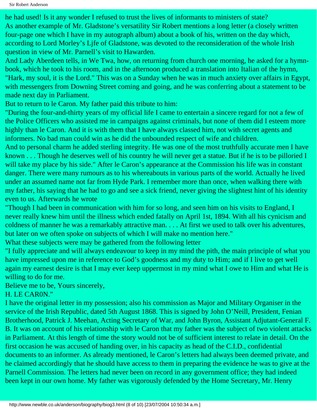he had used! Is it any wonder I refused to trust the lives of informants to ministers of state? As another example of Mr. Gladstone's versatility Sir Robert mentions a long letter (a closely written four-page one which I have in my autograph album) about a book of his, written on the day which, according to Lord Morley's Ljfe of Gladstone, was devoted to the reconsideration of the whole Irish question in view of Mr. Parnell's visit to Hawarden.

And Lady Aberdeen tells, in We Twa, how, on returning from church one morning, he asked for a hymnbook, which he took to his room, and in the afternoon produced a translation into Italian of the hymn, "Hark, my soul, it is the Lord." This was on a Sunday when he was in much anxiety over affairs in Egypt, with messengers from Downing Street coming and going, and he was conferring about a statement to be made next day in Parliament.

But to return to le Caron. My father paid this tribute to him:

"During the four-and-thirty years of my official life I came to entertain a sincere regard for not a few of the Police Officers who assisted me in campaigns against criminals, but none of them did I esteem more highly than le Caron. And it is with them that I have always classed him, not with secret agents and informers. No bad man could win as he did the unbounded respect of wife and children.

And to personal charm he added sterling integrity. He was one of the most truthfully accurate men I have known . . . Though he deserves well of his country he will never get a statue. But if he is to be pilloried I will take my place by his side." After le Caron's appearance at the Commission his life was in constant danger. There were many rumours as to his whereabouts in various parts of the world. Actually he lived under an assumed name not far from Hyde Park. I remember more than once, when walking there with my father, his saying that he had to go and see a sick friend, never giving the slightest hint of his identity even to us. Afterwards he wrote

"Though I had been in communication with him for so long, and seen him on his visits to England, I never really knew him until the illness which ended fatally on April 1st, 1894. With all his cynicism and coldness of manner he was a remarkably attractive man. . . . At first we used to talk over his adventures, but later on we often spoke on subjects of which I will make no mention here."

What these subjects were may be gathered from the following letter

"I fully appreciate and will always endeavour to keep in my mind the pith, the main principle of what you have impressed upon me in reference to God's goodness and my duty to Him; and if I live to get well again my earnest desire is that I may ever keep uppermost in my mind what I owe to Him and what He is willing to do for me.

Believe me to be, Yours sincerely,

H. LE CAR0N."

I have the original letter in my possession; also his commission as Major and Military Organiser in the service of the Irish Republic, dated 5th August 1868. This is signed by John O'Neill, President, Fenian Brotherhood, Patrick J. Meehan, Acting Secretary of War, and John Byron, Assistant Adjutant-General F. B. It was on account of his relationship with le Caron that my father was the subject of two violent attacks in Parliament. At this length of time the story would not be of sufficient interest to relate in detail. On the first occasion he was accused of handing over, in his capacity as head of the C.I.D., confidential documents to an informer. As already mentioned, le Caron's letters had always been deemed private, and he claimed accordingly that he should have access to them in preparing the evidence he was to give at the Parnell Commission. The letters had never been on record in any government office; they had indeed been kept in our own home. My father was vigorously defended by the Home Secretary, Mr. Henry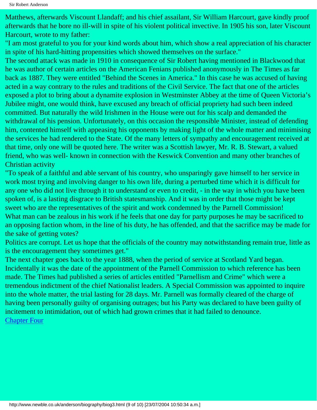Matthews, afterwards Viscount Llandaff; and his chief assailant, Sir William Harcourt, gave kindly proof afterwards that he bore no ill-will in spite of his violent political invective. In 1905 his son, later Viscount Harcourt, wrote to my father:

"I am most grateful to you for your kind words about him, which show a real appreciation of his character in spite of his hard-hitting propensities which showed themselves on the surface."

The second attack was made in 1910 in consequence of Sir Robert having mentioned in Blackwood that he was author of certain articles on the American Fenians published anonymously in The Times as far back as 1887. They were entitled "Behind the Scenes in America." In this case he was accused of having acted in a way contrary to the rules and traditions of the Civil Service. The fact that one of the articles exposed a plot to bring about a dynamite explosion in Westminster Abbey at the time of Queen Victoria's Jubilee might, one would think, have excused any breach of official propriety had such been indeed committed. But naturally the wild Irishmen in the House were out for his scalp and demanded the withdrawal of his pension. Unfortunately, on this occasion the responsible Minister, instead of defending him, contented himself with appeasing his opponents by making light of the whole matter and minimising the services he had rendered to the State. Of the many letters of sympathy and encouragement received at that time, only one will be quoted here. The writer was a Scottish lawyer, Mr. R. B. Stewart, a valued friend, who was well- known in connection with the Keswick Convention and many other branches of Christian activity

"To speak of a faithful and able servant of his country, who unsparingly gave himself to her service in work most trying and involving danger to his own life, during a perturbed time which it is difficult for any one who did not live through it to understand or even to credit, - in the way in which you have been spoken of, is a lasting disgrace to British statesmanship. And it was in order that those might be kept sweet who are the representatives of the spirit and work condemned by the Parnell Commission! What man can be zealous in his work if he feels that one day for party purposes he may be sacrificed to an opposing faction whom, in the line of his duty, he has offended, and that the sacrifice may be made for the sake of getting votes?

Politics are corrupt. Let us hope that the officials of the country may notwithstanding remain true, little as is the encouragement they sometimes get."

The next chapter goes back to the year 1888, when the period of service at Scotland Yard began. Incidentally it was the date of the appointment of the Parnell Commission to which reference has been made. The Times had published a series of articles entitled "Parnellism and Crime" which were a tremendous indictment of the chief Nationalist leaders. A Special Commission was appointed to inquire into the whole matter, the trial lasting for 28 days. Mr. Parnell was formally cleared of the charge of having been personally guilty of organising outrages; but his Party was declared to have been guilty of incitement to intimidation, out of which had grown crimes that it had failed to denounce. **[Chapter Four](#page-28-0)**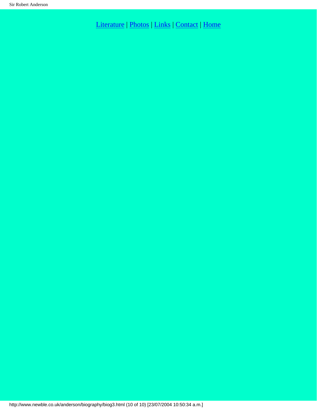[Literature](http://www.newble.co.uk/anderson/literature.html) | [Photos](http://www.newble.co.uk/anderson/photos.html) | [Links](http://www.newble.co.uk/anderson/links.html) | [Contact](mailto:aln3639@netscape.net) | [Home](http://www.newble.co.uk/anderson/index.html)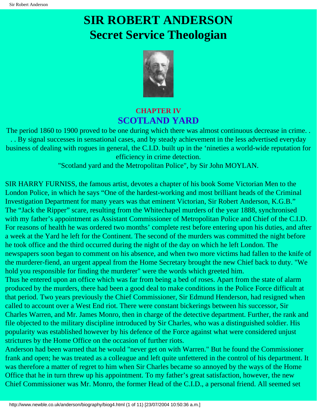# <span id="page-28-0"></span>**SIR ROBERT ANDERSON Secret Service Theologian**



## **CHAPTER IV SCOTLAND YARD**

The period 1860 to 1900 proved to be one during which there was almost continuous decrease in crime. . . . By signal successes in sensational cases, and by steady achievement in the less advertised everyday business of dealing with rogues in general, the C.I.D. built up in the 'nineties a world-wide reputation for efficiency in crime detection.

"Scotland yard and the Metropolitan Police", by Sir John MOYLAN.

SIR HARRY FURNISS, the famous artist, devotes a chapter of his book Some Victorian Men to the London Police, in which he says "One of the hardest-working and most brilliant heads of the Criminal Investigation Department for many years was that eminent Victorian, Sir Robert Anderson, K.G.B." The "Jack the Ripper" scare, resulting from the Whitechapel murders of the year 1888, synchronised with my father's appointment as Assistant Commissioner of Metropolitan Police and Chief of the C.I.D. For reasons of health he was ordered two months' complete rest before entering upon his duties, and after a week at the Yard he left for the Continent. The second of the murders was committed the night before he took office and the third occurred during the night of the day on which he left London. The newspapers soon began to comment on his absence, and when two more victims had fallen to the knife of the murderer-fiend, an urgent appeal from the Home Secretary brought the new Chief back to duty. "We hold you responsible for finding the murderer" were the words which greeted him.

Thus he entered upon an office which was far from being a bed of roses. Apart from the state of alarm produced by the murders, there had been a good deal to make conditions in the Police Force difficult at that period. Two years previously the Chief Commissioner, Sir Edmund Henderson, had resigned when called to account over a West End riot. There were constant bickerings between his successor, Sir Charles Warren, and Mr. James Monro, then in charge of the detective department. Further, the rank and file objected to the military discipline introduced by Sir Charles, who was a distinguished soldier. His popularity was established however by his defence of the Force against what were considered unjust strictures by the Home Office on the occasion of further riots.

Anderson had been warned that he would "never get on with Warren." But he found the Commissioner frank and open; he was treated as a colleague and left quite unfettered in the control of his department. It was therefore a matter of regret to him when Sir Charles became so annoyed by the ways of the Home Office that he in turn threw up his appointment. To my father's great satisfaction, however, the new Chief Commissioner was Mr. Monro, the former Head of the C.I.D., a personal friend. All seemed set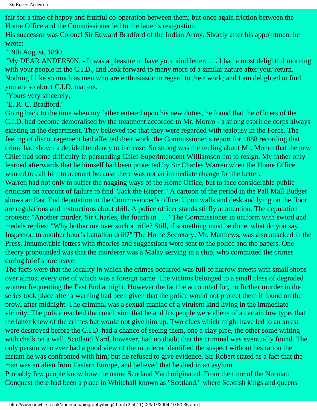fair for a time of happy and fruitful co-operation between them; but once again friction between the Home Office and the Commissioner led to the latter's resignation.

His successor was Colonel Sir Edward Bradford of the Indian Army. Shortly after his appointment he wrote:

"19th August, 1890.

"My DEAR ANDER50N, - It was a pleasure to have your kind letter. . . . I had a most delightful morning with your people in the C.I.D., and look forward to many more of a similar nature after your return. Nothing I like so much as men who are enthusiastic in regard to their work; and I am delighted to find you are so about C.I.D. matters.

"Yours very sincerely,

"E. R. C. Bradford."

Going back to the time when my father entered upon his new duties, he found that the officers of the C.I.D. had become demoralised by the treatment accorded to Mr. Monro - a strong esprit de corps always existing in the department. They believed too that they were regarded with jealousy in the Force. The feeling of discouragement had affected their work, the Commissioner's report for 1888 recording that crime had shown a decided tendency to increase. So strong was the feeling about Mr. Monro that the new Chief had some difficulty in persuading Chief-Superintendent Williamson not to resign. My father only learned afterwards that he himself had been protected by Sir Charles Warren when the Home Office wanted to call him to account because there was not an immediate change for the better.

Warren had not only to suffer the nagging ways of the Home Office, but to face considerable public criticism on account of failure to find "Jack the Ripper." A cartoon of the period in the Pall Mall Budget shows an East End deputation in the Commissioner's office. Upon walls and desk and lying on the floor are regulations and instructions about drill. A police officer stands stiffly at attention. The deputation protests: "Another murder, Sir Charles, the fourth in . . ." The Commissioner in uniform with sword and medals replies: "Why bother me over such a trifle? Still, if something must be done, what do you say, Inspector, to another hour's battalion drill?" The Home Secretary, Mr. Matthews, was also attacked in the Press. Innumerable letters with theories and suggestions were sent to the police and the papers. One theory propounded was that the murderer was a Malay serving in a ship, who committed the crimes during brief shore leave.

The facts were that the locality in which the crimes occurred was full of narrow streets with small shops over almost every one of which was a foreign name. The victims belonged to a small class of degraded women frequenting the East End at night. However the fact be accounted for, no further murder in the series took place after a warning had been given that the police would not protect them if found on the prowl after midnight. The criminal was a sexual maniac of a virulent kind living in the immediate vicinity. The police reached the conclusion that he and his people were aliens of a certain low type, that the latter knew of the crimes but would not give him up. Two clues which might have led to an arrest were destroyed before the C.I.D. had a chance of seeing them, one a clay pipe, the other some writing with chalk on a wall. Scotland Yard, however, had no doubt that the criminal was eventually found. The only person who ever had a good view of the murderer identified the suspect without hesitation the instant he was confronted with him; but he refused to give evidence. Sir Robert stated as a fact that the man was an alien from Eastern Europe, and believed that he died in an asylum.

Probably few people know how the name Scotland Yard originated. From the time of the Norman Conquest there had been a place in Whitehall known as "Scotland," where Scottish kings and queens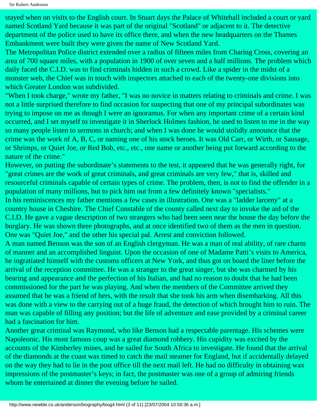Sir Robert Anderson

stayed when on visits to the English court. In Stuart days the Palace of Whitehall included a court or yard named Scotland Yard because it was part of the original "Scotland" or adjacent to it. The detective department of the police used to have its office there, and when the new headquarters on the Thames Embankment were built they were given the name of New Scotland Yard.

The Metropolitan Police district extended over a radius of fifteen miles from Charing Cross, covering an area of 700 square miles, with a population in 1900 of over seven and a half millions. The problem which daily faced the C.I.D. was to find criminals hidden in such a crowd. Like a spider in the midst of a monster web, the Chief was in touch with inspectors attached to each of the twenty-one divisions into which Greater London was subdivided.

"When I took charge," wrote my father, "I was no novice in matters relating to criminals and crime. I was not a little surprised therefore to find occasion for suspecting that one of my principal subordinates was trying to impose on me as though I were an ignoramus. For when any important crime of a certain kind occurred, and I set myself to investigate it in Sherlock Holmes fashion, he used to listen to me in the way so many people listen to sermons in church; and when I was done he would stolidly announce that the crime was the work of A, B, C, or naming one of his stock heroes. It was Old Carr, or Wirth, or Sausage, or Shrimps, or Quiet Joe, or Red Bob, etc., etc., one name or another being put forward according to the nature of the crime."

However, on putting the subordinate's statements to the test, it appeared that he was generally right, for "great crimes are the work of great criminals, and great criminals are very few," that is, skilled and resourceful criminals capable of certain types of crime. The problem, then, is not to find the offender in a population of many millions, but to pick him out from a few definitely known "specialists."

In his reminiscences my father mentions a few cases in illustration. One was a "ladder larceny" at a country house in Cheshire. The Chief Constable of the county called next day to invoke the aid of the C.I.D. He gave a vague description of two strangers who had been seen near the house the day before the burglary. He was shown three photographs, and at once identified two of them as the men in question. One was "Quiet Joe," and the other his special pal. Arrest and conviction followed.

A man named Benson was the son of an English clergyman. He was a man of real ability, of rare charm of manner and an accomplished linguist. Upon the occasion of one of Madame Patti's visits to America, he ingratiated himself with the customs officers at New York, and thus got on board the liner before the arrival of the reception committee. He was a stranger to the great singer, but she was charmed by his bearing and appearance and the perfection of his Italian, and had no reason to doubt that he had been commissioned for the part he was playing. And when the members of the Committee arrived they assumed that he was a friend of hers, with the result that she took his arm when disembarking. All this was done with a view to the carrying out of a huge fraud, the detection of which brought him to ruin. The man was capable of filling any position; but the life of adventure and ease provided by a criminal career had a fascination for him.

Another great criminal was Raymond, who like Benson had a respectable parentage. His schemes were Napoleonic. His most famous coup was a great diamond robbery. His cupidity was excited by the accounts of the Kimberley mines, and he sailed for South Africa to investigate. He found that the arrival of the diamonds at the coast was timed to catch the mail steamer for England, but if accidentally delayed on the way they had to lie in the post office till the next mail left. He had no difficulty in obtaining wax impressions of the postmaster's keys; in fact, the postmaster was one of a group of admiring friends whom he entertained at dinner the evening before he sailed.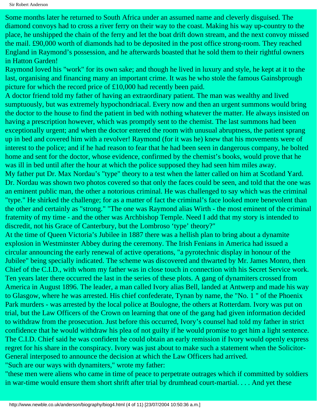Sir Robert Anderson

Some months later he returned to South Africa under an assumed name and cleverly disguised. The diamond convoys had to cross a river ferry on their way to the coast. Making his way up-country to the place, he unshipped the chain of the ferry and let the boat drift down stream, and the next convoy missed the mail. £90,000 worth of diamonds had to be deposited in the post office strong-room. They reached England in Raymond's possession, and he afterwards boasted that he sold them to their rightful owners in Hatton Garden!

Raymond loved his "work" for its own sake; and though he lived in luxury and style, he kept at it to the last, organising and financing many an important crime. It was he who stole the famous Gainsbprough picture for which the record price of £10,000 had recently been paid.

A doctor friend told my father of having an extraordinary patient. The man was wealthy and lived sumptuously, but was extremely hypochondriacal. Every now and then an urgent summons would bring the doctor to the house to find the patient in bed with nothing whatever the matter. He always insisted on having a prescription however, which was promptly sent to the chemist. The last summons had been exceptionally urgent; and when the doctor entered the room with unusual abruptness, the patient sprang up in bed and covered him with a revolver! Raymond (for it was he) knew that his movements were of interest to the police; and if he had reason to fear that he had been seen in dangerous company, he bolted home and sent for the doctor, whose evidence, confirmed by the chemist's books, would prove that he was ill in bed until after the hour at which the police supposed they had seen him miles away.

My father put Dr. Max Nordau's "type" theory to a test when the latter called on him at Scotland Yard. Dr. Nordau was shown two photos covered so that only the faces could be seen, and told that the one was an eminent public man, the other a notorious criminal. He was challenged to say which was the criminal "type." He shirked the challenge; for as a matter of fact the criminal's face looked more benevolent than the other and certainly as "strong." "The one was Raymond alias Wirth - the most eminent of the criminal fraternity of my time - and the other was Archbishop Temple. Need I add that my story is intended to discredit, not his Grace of Canterbury, but the Lombroso 'type' theory?"

At the time of Queen Victoria's Jubilee in 1887 there was a hellish plan to bring about a dynamite explosion in Westminster Abbey during the ceremony. The Irish Fenians in America had issued a circular announcing the early renewal of active operations, "a pyrotechnic display in honour of the Jubilee" being specially indicated. The scheme was discovered and thwarted by Mr. James Monro, then Chief of the C.I.D., with whom my father was in close touch in connection with his Secret Service work. Ten years later there occurred the last in the series of these plots. A gang of dynamiters crossed from America in August 1896. The leader, a man called Ivory alias Bell, landed at Antwerp and made his way to Glasgow, where he was arrested. His chief confederate, Tynan by name, the "No. 1 " of the Phoenix Park murders - was arrested by the local police at Boulogne, the others at Rotterdam. Ivory was put on trial, but the Law Officers of the Crown on learning that one of the gang had given information decided to withdraw from the prosecution. Just before this occurred, Ivory's counsel had told my father in strict confidence that he would withdraw his plea of not guilty if he would promise to get him a light sentence. The C.I.D. Chief said he was confident he could obtain an early remission if Ivory would openly express regret for his share in the conspiracy. Ivory was just about to make such a statement when the Solicitor-General interposed to announce the decision at which the Law Officers had arrived.

"Such are our ways with dynamiters," wrote my father:

"these men were aliens who came in time of peace to perpetrate outrages which if committed by soldiers in war-time would ensure them short shrift after trial by drumhead court-martial. . . . And yet these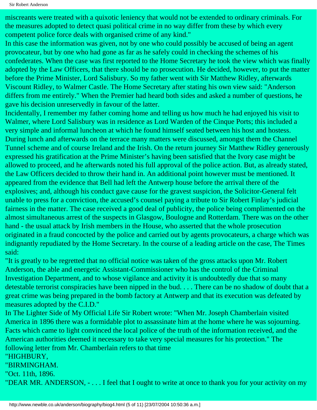miscreants were treated with a quixotic leniency that would not be extended to ordinary criminals. For the measures adopted to detect quasi political crime in no way differ from these by which every competent police force deals with organised crime of any kind."

In this case the information was given, not by one who could possibly be accused of being an agent provocateur, but by one who had gone as far as he safely could in checking the schemes of his confederates. When the case was first reported to the Home Secretary he took the view which was finally adopted by the Law Officers, that there should be no prosecution. He decided, however, to put the matter before the Prime Minister, Lord Salisbury. So my father went with Sir Matthew Ridley, afterwards Viscount Ridley, to Walmer Castle. The Home Secretary after stating his own view said: "Anderson differs from me entirely." When the Premier had heard both sides and asked a number of questions, he gave his decision unreservedly in favour of the latter.

Incidentally, I remember my father coming home and telling us how much he had enjoyed his visit to Walmer, where Lord Salisbury was in residence as Lord Warden of the Cinque Ports; this included a very simple and informal luncheon at which he found himself seated between his host and hostess. During lunch and afterwards on the terrace many matters were discussed, amongst them the Channel Tunnel scheme and of course Ireland and the Irish. On the return journey Sir Matthew Ridley generously expressed his gratification at the Prime Minister's having been satisfied that the Ivory case might be allowed to proceed, and he afterwards noted his full approval of the police action. But, as already stated, the Law Officers decided to throw their hand in. An additional point however must be mentioned. It appeared from the evidence that Bell had left the Antwerp house before the arrival there of the explosives; and, although his conduct gave cause for the gravest suspicion, the Solicitor-General felt unable to press for a conviction, the accused's counsel paying a tribute to Sir Robert Finlay's judicial fairness in the matter. The case received a good deal of publicity, the police being complimented on the almost simultaneous arrest of the suspects in Glasgow, Boulogne and Rotterdam. There was on the other hand - the usual attack by Irish members in the House, who asserted that the whole prosecution originated in a fraud concocted by the police and carried out by agents provocateurs, a charge which was indignantly repudiated by the Home Secretary. In the course of a leading article on the case, The Times said:

"It is greatly to be regretted that no official notice was taken of the gross attacks upon Mr. Robert Anderson, the able and energetic Assistant-Commissioner who has the control of the Criminal Investigation Department, and to whose vigilance and activity it is undoubtedly due that so many detestable terrorist conspiracies have been nipped in the bud. . . . There can be no shadow of doubt that a great crime was being prepared in the bomb factory at Antwerp and that its execution was defeated by measures adopted by the C.I.D."

In The Lighter Side of My Official Life Sir Robert wrote: "When Mr. Joseph Chamberlain visited America in 1896 there was a formidable plot to assassinate him at the home where he was sojourning. Facts which came to light convinced the local police of the truth of the information received, and the American authorities deemed it necessary to take very special measures for his protection." The following letter from Mr. Chamberlain refers to that time

### "HIGHBURY,

"BIRMINGHAM.

"Oct. 11th, 1896.

"DEAR MR. ANDERSON, - . . . I feel that I ought to write at once to thank you for your activity on my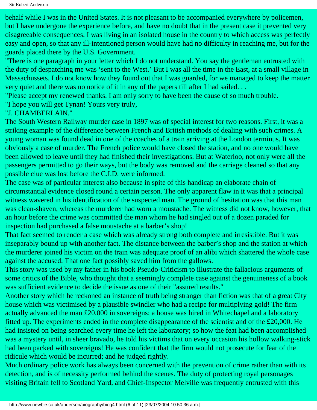behalf while I was in the United States. It is not pleasant to be accompanied everywhere by policemen, but I have undergone the experience before, and have no doubt that in the present case it prevented very disagreeable consequences. I was living in an isolated house in the country to which access was perfectly easy and open, so that any ill-intentioned person would have had no difficulty in reaching me, but for the guards placed there by the U.S. Government.

"There is one paragraph in your letter which I do not understand. You say the gentleman entrusted with the duty of despatching me was 'sent to the West.' But I was all the time in the East, at a small village in Massachussets. I do not know how they found out that I was guarded, for we managed to keep the matter very quiet and there was no notice of it in any of the papers till after I had sailed. . .

"Please accept my renewed thanks. I am only sorry to have been the cause of so much trouble.

"I hope you will get Tynan! Yours very truly,

"J. CHAMBERLAIN."

The South Western Railway murder case in 1897 was of special interest for two reasons. First, it was a striking example of the difference between French and British methods of dealing with such crimes. A young woman was found dead in one of the coaches of a train arriving at the London terminus. It was obviously a case of murder. The French police would have closed the station, and no one would have been allowed to leave until they had finished their investigations. But at Waterloo, not only were all the passengers permitted to go their ways, but the body was removed and the carriage cleaned so that any possible clue was lost before the C.I.D. were informed.

The case was of particular interest also because in spite of this handicap an elaborate chain of circumstantial evidence closed round a certain person. The only apparent flaw in it was that a principal witness wavered in his identification of the suspected man. The ground of hesitation was that this man was clean-shaven, whereas the murderer had worn a moustache. The witness did not know, however, that an hour before the crime was committed the man whom he had singled out of a dozen paraded for inspection had purchased a false moustache at a barber's shop!

That fact seemed to render a case which was already strong both complete and irresistible. But it was inseparably bound up with another fact. The distance between the barber's shop and the station at which the murderer joined his victim on the train was adequate proof of an alibi which shattered the whole case against the accused. That one fact possibly saved him from the gallows.

This story was used by my father in his book Pseudo-Criticism to illustrate the fallacious arguments of some critics of the Bible, who thought that a seemingly complete case against the genuineness of a book was sufficient evidence to decide the issue as one of their "assured results."

Another story which he reckoned an instance of truth being stranger than fiction was that of a great City house which was victimised by a plausible swindler who had a recipe for multiplying gold! The firm actually advanced the man £20,000 in sovereigns; a house was hired in Whitechapel and a laboratory fitted up. The experiments ended in the complete disappearance of the scientist and of the £20,000. He had insisted on being searched every time he left the laboratory; so how the feat had been accomplished was a mystery until, in sheer bravado, he told his victims that on every occasion his hollow walking-stick had been packed with sovereigns! He was confident that the firm would not prosecute for fear of the ridicule which would be incurred; and he judged rightly.

Much ordinary police work has always been concerned with the prevention of crime rather than with its detection, and is of necessity performed behind the scenes. The duty of protecting royal personages visiting Britain fell to Scotland Yard, and Chief-Inspector Melville was frequently entrusted with this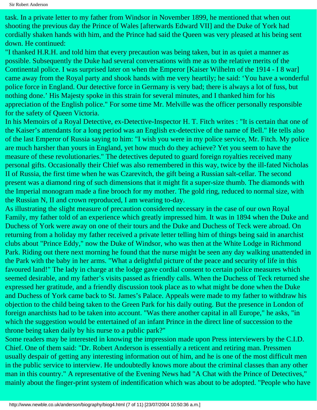task. In a private letter to my father from Windsor in November 1899, he mentioned that when out shooting the previous day the Prince of Wales [afterwards Edward VII] and the Duke of York had cordially shaken hands with him, and the Prince had said the Queen was very pleased at his being sent down. He continued:

"I thanked H.R.H. and told him that every precaution was being taken, but in as quiet a manner as possible. Subsequently the Duke had several conversations with me as to the relative merits of the Continental police. I was surprised later on when the Emperor [Kaiser Wilhelm of the 1914 - I 8 war] came away from the Royal party and shook hands with me very heartily; he said: 'You have a wonderful police force in England. Our detective force in Germany is very bad; there is always a lot of fuss, but nothing done.' His Majesty spoke in this strain for several minutes, and I thanked him for his appreciation of the English police." For some time Mr. Melville was the officer personally responsible for the safety of Queen Victoria.

In his Memoirs of a Royal Detective, ex-Detective-Inspector H. T. Fitch writes : "It is certain that one of the Kaiser's attendants for a long period was an English ex-detective of the name of Bell." He tells also of the last Emperor of Russia saying to him: "I wish you were in my police service, Mr. Fitch. My police are much harsher than yours in England, yet how much do they achieve? Yet you seem to have the measure of these revolutionaries." The detectives deputed to guard foreign royalties received many personal gifts. Occasionally their Chief was also remembered in this way, twice by the ill-fated Nicholas II of Russia, the first time when he was Czarevitch, the gift being a Russian salt-cellar. The second present was a diamond ring of such dimensions that it might fit a super-size thumb. The diamonds with the Imperial monogram made a fine brooch for my mother. The gold ring, reduced to normal size, with the Russian N, II and crown reproduced, I am wearing to-day.

As illustrating the slight measure of precaution considered necessary in the case of our own Royal Family, my father told of an experience which greatly impressed him. It was in 1894 when the Duke and Duchess of York were away on one of their tours and the Duke and Duchess of Teck were abroad. On returning from a holiday my father received a private letter telling him of things being said in anarchist clubs about "Prince Eddy," now the Duke of Windsor, who was then at the White Lodge in Richmond Park. Riding out there next morning he found that the nurse might be seen any day walking unattended in the Park with the baby in her arms. "What a delightful picture of the peace and security of life in this favoured land!" The lady in charge at the lodge gave cordial consent to certain police measures which seemed desirable, and my father's visits passed as friendly calls. When the Duchess of Teck returned she expressed her gratitude, and a friendly discussion took place as to what might be done when the Duke and Duchess of York came back to St. James's Palace. Appeals were made to my father to withdraw his objection to the child being taken to the Green Park for his daily outing. But the presence in London of foreign anarchists had to be taken into account. "Was there another capital in all Europe," he asks, "in which the suggestion would be entertained of an infant Prince in the direct line of succession to the throne being taken daily by his nurse to a public park?"

Some readers may be interested in knowing the impression made upon Press interviewers by the C.I.D. Chief. One of them said: "Dr. Robert Anderson is essentially a reticent and retiring man. Pressmen usually despair of getting any interesting information out of him, and he is one of the most difficult men in the public service to interview. He undoubtedly knows more about the criminal classes than any other man in this country." A representative of the Evening News had "A Chat with the Prince of Detectives," mainly about the finger-print system of indentification which was about to be adopted. "People who have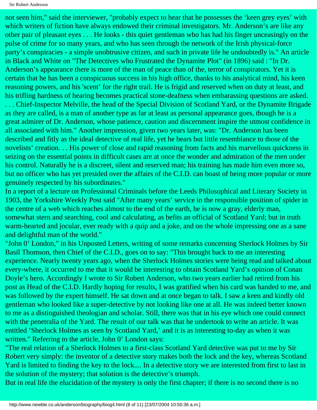not seen him," said the interviewer, "probably expect to hear that he possesses the 'keen grey eyes' with which writers of fiction have always endowed their criminal investigators. Mr. Anderson's are like any other pair of pleasant eyes . . . He looks - this quiet gentleman who has had his finger unceasingly on the pulse of crime for so many years, and who has seen through the network of the Irish physical-force party's conspiracies - a simple unobtrusive citizen, and such in private life he undoubtedly is." An article in Black and White on "The Detectives who Frustrated the Dynamite Plot" (in 1896) said : "In Dr. Anderson's appearance there is more of the man of peace than of the, terror of conspirators. Yet it is certain that he has been a conspicuous success in his high office, thanks to his analytical mind, his keen reasoning powers, and his 'scent' for the right trail. He is frigid and reserved when on duty at least, and his trifling hardness of hearing becomes practical stone-deafness when embarassing questions are asked. . . . Chief-Inspector Melville, the head of the Special Division of Scotland Yard, or the Dynamite Brigade as they are called, is a man of another type as far at least as personal appearance goes, though he is a great admirer of Dr. Anderson, whose patience, caution and discernment inspire the utmost confidence in all associated with him." Another impression, given two years later, was: "Dr. Anderson has been described and fitly as the ideal detective of real life, yet he bears but little resemblance to those of the novelists' creation. . . His power of close and rapid reasoning from facts and his marvellous quickness in seizing on the essential points in difficult cases are at once the wonder and admiration of the men under his control. Naturally he is a discreet, silent and reserved man; his training has made him even more so, but no officer who has yet presided over the affairs of the C.I.D. can boast of being more popular or more genuinely respected by his subordinates."

In a report of a lecture on Professional Criminals before the Leeds Philosophical and Literary Society in 1903, the Yorkshire Weekly Post said "After many years' service in the responsible position of spider in the centre of a web which reaches almost to the end of the earth, he is now a gray, elderly man, somewhat stern and searching, cool and calculating, as befits an official of Scotland Yard; but in truth warm-hearted and jocular, ever ready with a quip and a joke, and on the whole impressing one as a sane and delightful man of the world."

"John 0' London," in his Unposted Letters, writing of some remarks concerning Sherlock Holmes by Sir Basil Thomson, then Chief of the C.I.D., goes on to say: "This brought back to me an interesting experience. Nearly twenty years ago, when the Sherlock Holmes stories were being read and talked about every-where, it occurred to me that it would be interesting to obtain Scotland Yard's opinion of Conan Doyle's hero. Accordingly I wrote to Sir Robert Anderson, who two years earlier had retired from his post as Head of the C.I.D. Hardly hoping for results, I was gratified when his card was handed to me, and was followed by the expert himself. He sat down and at once began to talk. I saw a keen and kindly old gentleman who looked like a super-detective by not looking like one at all. He was indeed better known to me as a distinguished theologian and scholar. Still, there was that in his eye which one could connect with the penetralia of the Yard. The result of our talk was that he undertook to write an article. It was entitled 'Sherlock Holmes as seen by Scotland Yard,' and it is as interesting to-day as when it was written." Referring to the article, John 0' London says:

"The real relation of a Sherlock Holmes to a first-class Scotland Yard detective was put to me by Sir Robert very simply: the inventor of a detective story makes both the lock and the key, whereas Scotland Yard is limited to finding the key to the lock.... In a detective story we are interested from first to last in the solution of the mystery; that solution is the detective's triumph.

But in real life the elucidation of the mystery is only the first chapter; if there is no second there is no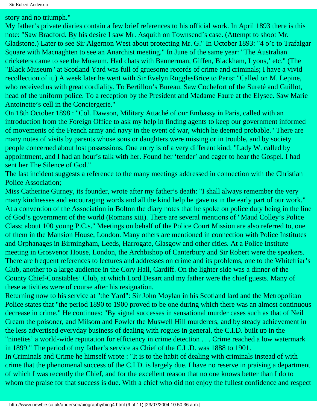story and no triumph."

My father's private diaries contain a few brief references to his official work. In April 1893 there is this note: "Saw Bradford. By his desire I saw Mr. Asquith on Townsend's case. (Attempt to shoot Mr. Gladstone.) Later to see Sir Algernon West about protecting Mr. G." In October 1893: "4 o'c to Trafalgar Square with Macnaghten to see an Anarchist meeting." In June of the same year: "The Australian cricketers came to see the Museum. Had chats with Bannerman, Giffen, Blackham, Lyons,' etc." (The "Black Museum" at Scotland Yard was full of gruesome records of crime and criminals; I have a vivid recollection of it.) A week later he went with Sir Evelyn RugglesBrice to Paris: "Called on M. Lepine, who received us with great cordiality. To Bertillon's Bureau. Saw Cochefort of the Sureté and Guillot, head of the uniform police. To a reception by the President and Madame Faure at the Elysee. Saw Marie Antoinette's cell in the Conciergerie."

On 18th October 1898 : "Col. Dawson, Military Attaché of our Embassy in Paris, called with an introduction from the Foreign Office to ask my help in finding agents to keep our government informed of movements of the French army and navy in the event of war, which he deemed probable." There are many notes of visits by parents whose sons or daughters were missing or in trouble, and by society people concerned about lost possessions. One entry is of a very different kind: "Lady W. called by appointment, and I had an hour's talk with her. Found her 'tender' and eager to hear the Gospel. I had sent her The Silence of God."

The last incident suggests a reference to the many meetings addressed in connection with the Christian Police Association;

Miss Catherine Gurney, its founder, wrote after my father's death: "I shall always remember the very many kindnesses and encouraging words and all the kind help he gave us in the early part of our work." At a convention of the Association in Bolton the diary notes that he spoke on police duty being in the line of God's government of the world (Romans xiii). There are several mentions of "Maud Colley's Police Class; about 100 young P.C.s." Meetings on behalf of the Police Court Mission are also referred to, one of them in the Mansion House, London. Many others are mentioned in connection with Police Institutes and Orphanages in Birmingham, Leeds, Harrogate, Glasgow and other cities. At a Police Institute meeting in Grosvenor House, London, the Archbishop of Canterbury and Sir Robert were the speakers. There are frequent references to lectures and addresses on crime and its problems, one to the Whitefriar's Club, another to a large audience in the Cory Hall, Cardiff. On the lighter side was a dinner of the County Chief-Constables' Club, at which Lord Desart and my father were the chief guests. Many of these activities were of course after his resignation.

Returning now to his service at "the Yard": Sir John Moylan in his Scotland lard and the Metropolitan Police states that "the period 1890 to 1900 proved to be one during which there was an almost continuous decrease in crime." He continues: "By signal successes in sensational murder cases such as that of Neil Cream the poisoner, and Milsom and Fowler the Muswell Hill murderers, and by steady achievement in the less advertised everyday business of dealing with rogues in general, the C.I.D. built up in the "nineties' a world-wide reputation for efficiency in crime detection . . . Crime reached a low watermark in 1899." The period of my father's service as Chief of the C.I .D. was 1888 to 1901.

In Criminals and Crime he himself wrote : "It is to the habit of dealing with criminals instead of with crime that the phenomenal success of the C.I.D. is largely due. I have no reserve in praising a department of which I was recently the Chief, and for the excellent reason that no one knows better than I do to whom the praise for that success is due. With a chief who did not enjoy the fullest confidence and respect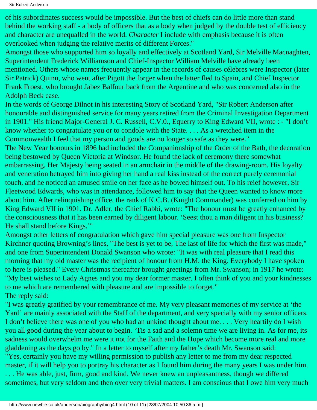Sir Robert Anderson

of his subordinates success would be impossible. But the best of chiefs can do little more than stand behind the working staff - a body of officers that as a body when judged by the double test of efficiency and character are unequalled in the world. *Character* I include with emphasis because it is often overlooked when judging the relative merits of different Forces."

Amongst those who supported him so loyally and effectively at Scotland Yard, Sir Melville Macnaghten, Superintendent Frederick Williamson and Chief-Inspector William Melville have already been mentioned. Others whose names frequently appear in the records of causes célebres were Inspector (later Sir Patrick) Quinn, who went after Pigott the forger when the latter fled to Spain, and Chief Inspector Frank Froest, who brought Jabez Balfour back from the Argentine and who was concerned also in the Adolph Beck case.

In the words of George Dilnot in his interesting Story of Scotland Yard, "Sir Robert Anderson after honourable and distinguished service for many years retired from the Criminal Investigation Department in 1901." His friend Major-General J. C. Russell, C.V.0., Equerry to King Edward VII, wrote : - "I don't know whether to congratulate you or to condole with the State. . . . As a wretched item in the Commonwealth I feel that my person and goods are no longer so safe as they were."

The New Year honours in 1896 had included the Companionship of the Order of the Bath, the decoration being bestowed by Queen Victoria at Windsor. He found the lack of ceremony there somewhat embarrassing, Her Majesty being seated in an armchair in the middle of the drawing-room. His loyalty and veneration betrayed him into giving her hand a real kiss instead of the correct purely ceremonial touch, and he noticed an amused smile on her face as he bowed himself out. To his reief however, Sir Fleetwood Edwards, who was in attendance, followed him to say that the Queen wanted to know more about him. After relinquishing office, the rank of K.C.B. (Knight Commander) was conferred on him by King Edward VII in 1901. Dr. Adler, the Chief Rabbi, wrote: "The honour must be greatly enhanced by the consciousness that it has been earned by diligent labour. 'Seest thou a man diligent in his business? He shall stand before Kings.'"

Amongst other letters of congratulation which gave him special pleasure was one from Inspector Kirchner quoting Browning's lines, "The best is yet to be, The last of life for which the first was made," and one from Superintendent Donald Swanson who wrote: "It was with real pleasure that I read this morning that my old master was the recipient of honour from H.M. the King. Everybody I have spoken to here is pleased." Every Christmas thereafter brought greetings from Mr. Swanson; in 1917 he wrote: "My best wishes to Lady Agnes and you my dear former master. I often think of you and your kindnesses to me which are remembered with pleasure and are impossible to forget." The reply said:

"I was greatly gratified by your remembrance of me. My very pleasant memories of my service at 'the Yard' are mainly associated with the Staff of the department, and very specially with my senior officers. I don't believe there was one of you who had an unkind thought about me. . . . Very heartily do I wish you all good during the year about to begin. 'Tis a sad and a solemn time we are living in. As for me, its sadness would overwhelm me were it not for the Faith and the Hope which become more real and more gladdening as the days go by." In a letter to myself after my father's death Mr. Swanson said: "Yes, certainly you have my willing permission to publish any letter to me from my dear respected master, if it will help you to portray his character as I found him during the many years I was under him. . . . He was able, just, firm, good and kind. We never knew an unpleasantness, though we differed sometimes, but very seldom and then over very trivial matters. I am conscious that I owe him very much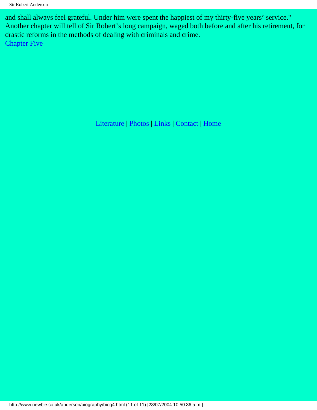and shall always feel grateful. Under him were spent the happiest of my thirty-five years' service." Another chapter will tell of Sir Robert's long campaign, waged both before and after his retirement, for drastic reforms in the methods of dealing with criminals and crime. **[Chapter Five](#page-39-0)** 

[Literature](http://www.newble.co.uk/anderson/literature.html) | [Photos](http://www.newble.co.uk/anderson/photos.html) | [Links](http://www.newble.co.uk/anderson/links.html) | [Contact](mailto:aln3639@netscape.net) | [Home](http://www.newble.co.uk/anderson/index.html)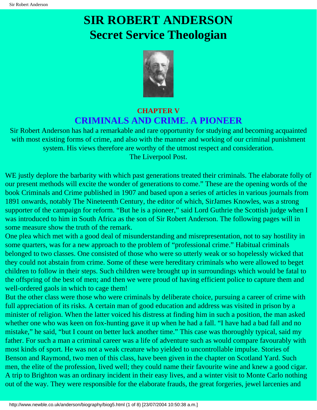# <span id="page-39-0"></span>**SIR ROBERT ANDERSON Secret Service Theologian**



### **CHAPTER V CRIMINALS AND CRIME. A PIONEER**

Sir Robert Anderson has had a remarkable and rare opportunity for studying and becoming acquainted with most existing forms of crime, and also with the manner and working of our criminal punishment system. His views therefore are worthy of the utmost respect and consideration. The Liverpool Post.

WE justly deplore the barbarity with which past generations treated their criminals. The elaborate folly of our present methods will excite the wonder of generations to come." These are the opening words of the book Criminals and Crime published in 1907 and based upon a series of articles in various journals from 1891 onwards, notably The Nineteenth Century, the editor of which, SirJames Knowles, was a strong supporter of the campaign for reform. "But he is a pioneer," said Lord Guthrie the Scottish judge when I was introduced to him in South Africa as the son of Sir Robert Anderson. The following pages will in some measure show the truth of the remark.

One plea which met with a good deal of misunderstanding and misrepresentation, not to say hostility in some quarters, was for a new approach to the problem of "professional crime." Habitual criminals belonged to two classes. One consisted of those who were so utterly weak or so hopelessly wicked that they could not abstain from crime. Some of these were hereditary criminals who were allowed to beget children to follow in their steps. Such children were brought up in surroundings which would be fatal to the offspring of the best of men; and then we were proud of having efficient police to capture them and well-ordered gaols in which to cage them!

But the other class were those who were criminals by deliberate choice, pursuing a career of crime with full appreciation of its risks. A certain man of good education and address was visited in prison by a minister of religion. When the latter voiced his distress at finding him in such a position, the man asked whether one who was keen on fox-hunting gave it up when he had a fall. "I have had a bad fall and no mistake," he said, "but I count on better luck another time." This case was thoroughly typical, said my father. For such a man a criminal career was a life of adventure such as would compare favourably with most kinds of sport. He was not a weak creature who yielded to uncontrollable impulse. Stories of Benson and Raymond, two men of this class, have been given in the chapter on Scotland Yard. Such men, the elite of the profession, lived well; they could name their favourite wine and knew a good cigar. A trip to Brighton was an ordinary incident in their easy lives, and a winter visit to Monte Carlo nothing out of the way. They were responsible for the elaborate frauds, the great forgeries, jewel larcenies and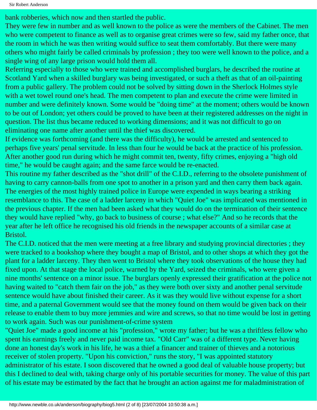bank robberies, which now and then startled the public.

They were few in number and as well known to the police as were the members of the Cabinet. The men who were competent to finance as well as to organise great crimes were so few, said my father once, that the room in which he was then writing would suffice to seat them comfortably. But there were many others who might fairly be called criminals by profession ; they too were well known to the police, and a single wing of any large prison would hold them all.

Referring especially to those who were trained and accomplished burglars, he described the routine at Scotland Yard when a skilled burglary was being investigated, or such a theft as that of an oil-painting from a public gallery. The problem could not be solved by sitting down in the Sherlock Holmes style with a wet towel round one's head. The men competent to plan and execute the crime were limited in number and were definitely known. Some would be "doing time" at the moment; others would be known to be out of London; yet others could be proved to have been at their registered addresses on the night in question. The list thus became reduced to working dimensions; and it was not difficult to go on eliminating one name after another until the thief was discovered.

If evidence was forthcoming (and there was the difficulty), he would be arrested and sentenced to perhaps five years' penal servitude. In less than four he would be back at the practice of his profession. After another good run during which he might commit ten, twenty, fifty crimes, enjoying a "high old time," he would be caught again; and the same farce would be re-enacted.

This routine my father described as the "shot drill" of the C.I.D., referring to the obsolete punishment of having to carry cannon-balls from one spot to another in a prison yard and then carry them back again. The energies of the most highly trained police in Europe were expended in ways bearing a striking resemblance to this. The case of a ladder larceny in which "Quiet Joe" was implicated was mentioned in the previous chapter. If the men had been asked what they would do on the termination of their sentence they would have replied "why, go back to business of course ; what else?" And so he records that the year after he left office he recognised his old friends in the newspaper accounts of a similar case at Bristol.

The C.I.D. noticed that the men were meeting at a free library and studying provincial directories ; they were tracked to a bookshop where they bought a map of Bristol, and to other shops at which they got the plant for a ladder larceny. They then went to Bristol where they took observations of the house they had fixed upon. At that stage the local police, warned by the Yard, seized the criminals, who were given a nine months' sentence on a minor issue. The burglars openly expressed their gratification at the police not having waited to "catch them fair on the job," as they were both over sixty and another penal servitude sentence would have about finished their career. As it was they would live without expense for a short time, and a paternal Government would see that the money found on them would be given back on their release to enable them to buy more jemmies and wire and screws, so that no time would be lost in getting to work again. Such was our punishment-of-crime system

"Quiet Joe" made a good income at his "profession," wrote my father; but he was a thriftless fellow who spent his earnings freely and never paid income tax. "Old Carr" was of a different type. Never having done an honest day's work in his life, he was a thief a financer and trainer of thieves and a notorious receiver of stolen property. "Upon his conviction," runs the story, "I was appointed statutory administrator of his estate. I soon discovered that he owned a good deal of valuable house property; but this I declined to deal with, taking charge only of his portable securities for money. The value of this part of his estate may be estimated by the fact that he brought an action against me for maladministration of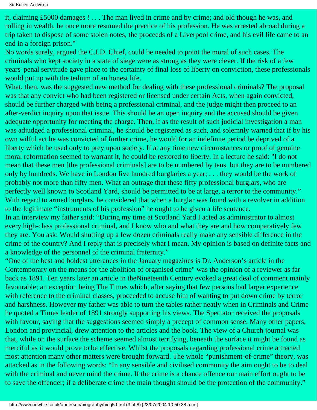it, claiming £5000 damages ! . . . The man lived in crime and by crime; and old though he was, and rolling in wealth, he once more resumed the practice of his profession. He was arrested abroad during a trip taken to dispose of some stolen notes, the proceeds of a Liverpool crime, and his evil life came to an end in a foreign prison."

No words surely, argued the C.I.D. Chief, could be needed to point the moral of such cases. The criminals who kept society in a state of siege were as strong as they were clever. If the risk of a few years' penal servitude gave place to the certainty of final loss of liberty on conviction, these professionals would put up with the tedium of an honest life.

What, then, was the suggested new method for dealing with these professional criminals? The proposal was that any convict who had been registered or licensed under certain Acts, when again convicted, should be further charged with being a professional criminal, and the judge might then proceed to an after-verdict inquiry upon that issue. This should be an open inquiry and the accused should be given adequate opportunity for meeting the charge. Then, if as the result of such judicial investigation a man was adjudged a professional criminal, he should be registered as such, and solemnly warned that if by his own wilful act he was convicted of further crime, he would for an indefinite period be deprived of a liberty which he used only to prey upon society. If at any time new circumstances or proof of genuine moral reformation seemed to warrant it, he could be restored to liberty. In a lecture he said: "I do not mean that these men [the professional criminals] are to be numbered by tens, but they are to be numbered only by hundreds. We have in London five hundred burglaries a year; . . . they would be the work of probably not more than fifty men. What an outrage that these fifty professional burglars, who are perfectly well known to Scotland Yard, should be permitted to be at large, a terror to the community." With regard to armed burglars, he considered that when a burglar was found with a revolver in addition to the legitimate "instruments of his profession" he ought to be given a life sentence.

In an interview my father said: "During my time at Scotland Yard I acted as administrator to almost every high-class professional criminal, and I know who and what they are and how comparatively few they are. You ask: Would shutting up a few dozen criminals really make any sensible difference in the crime of the country? And I reply that is precisely what I mean. My opinion is based on definite facts and a knowledge of the personnel of the criminal fraternity."

"One of the best and boldest utterances in the January magazines is Dr. Anderson's article in the Contemporary on the means for the abolition of organised crime" was the opinion of a reviewer as far back as 1891. Ten years later an article in theNineteenth Century evoked a great deal of comment mainly favourable; an exception being The Times which, after saying that few persons had larger experience with reference to the criminal classes, proceeded to accuse him of wanting to put down crime by terror and harshness. However my father was able to turn the tables rather neatly when in Criminals and Crime he quoted a Times leader of 1891 strongly supporting his views. The Spectator received the proposals with favour, saying that the suggestions seemed simply a precept of common sense. Many other papers, London and provincial, drew attention to the articles and the book. The view of a Church journal was that, while on the surface the scheme seemed almost terrifying, beneath the surface it might be found as merciful as it would prove to be effective. Whilst the proposals regarding professional crime attracted most attention many other matters were brought forward. The whole "punishment-of-crime" theory, was attacked as in the following words: "In any sensible and civilised community the aim ought to be to deal with the criminal and never mind the crime. If the crime is a chance offence our main effort ought to be to save the offender; if a deliberate crime the main thought should be the protection of the community."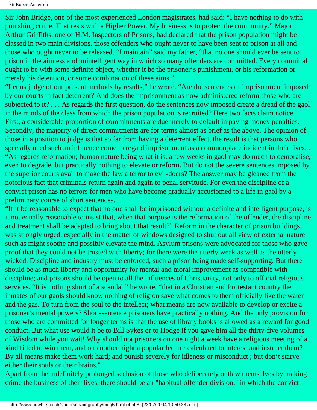Sir John Bridge, one of the most experienced London magistrates, had said: "I have nothing to do with punishing crime. That rests with a Higher Power. My business is to protect the community." Major Arthur Griffiths, one of H.M. Inspectors of Prisons, had declared that the prison population might be classed in two main divisions, those offenders who ought never to have been sent to prison at all and those who ought never to be released. "I maintain" said my father, "that no one should ever be sent to prison in the aimless and unintelligent way in which so many offenders are committed. Every committal ought to be with some definite object, whether it be the prisoner's punishment, or his reformation or merely his detention, or some combination of these aims."

"Let us judge of our present methods by results," he wrote. "Are the sentences of imprisonment imposed by our courts in fact deterrent? And does the imprisonment as now administered reform those who are subjected to it? . . . As regards the first question, do the sentences now imposed create a dread of the gaol in the minds of the class from which the prison population is recruited? Here two facts claim notice. First, a considerable proportion of commitments are due merely to default in paying money penalties. Secondly, the majority of direct commitments are for terms almost as brief as the above. The opinion of those in a position to judge is that so far from having a deterrent effect, the result is that persons who specially need such an influence come to regard imprisonment as a commonplace incident in their lives. . "As regards reformation; human nature being what it is, a few weeks in gaol may do much to demoralise, even to degrade, but practically nothing to elevate or reform. But do not the severe sentences imposed by the superior courts avail to make the law a terror to evil-doers? The answer may be gleaned from the notorious fact that criminals return again and again to penal servitude. For even the discipline of a convict prison has no terrors for men who have become gradually accustomed to a life in gaol by a preliminary course of short sentences.

"If it be reasonable to expect that no one shall be imprisoned without a definite and intelligent purpose, is it not equally reasonable to insist that, when that purpose is the reformation of the offender, the discipline and treatment shall be adapted to bring about that result?" Reform in the character of prison buildings was strongly urged, especially in the matter of windows designed to shut out all view of external nature such as might soothe and possibly elevate the mind. Asylum prisons were advocated for those who gave proof that they could not be trusted with liberty; for there were the utterly weak as well as the utterly wicked. Discipline and industry must be enforced, such a prison being made self-supporting. But there should be as much liberty and opportunity for mental and moral improvement as compatible with discipline; and prisons should be open to all the influences of Christianity, not only to official religious services. "It is nothing short of a scandal," he wrote, "that in a Christian and Protestant country the inmates of our gaols should know nothing of religion save what comes to them officially like the water and the gas. To turn from the soul to the intellect; what means are now available to develop or excite a prisoner's mental powers? Short-sentence prisoners have practically nothing. And the only provision for those who are committed for longer terms is that the use of library books is allowed as a reward for good conduct. But what use would it be to Bill Sykes or to Hodge if you gave him all the thirty-five volumes of Wisdom while you wait! Why should not prisoners on one night a week have a religious meeting of a kind fitted to win them, and on another night a popular lecture calculated to interest and instruct them? By all means make them work hard; and punish severely for idleness or misconduct ; but don't starve either their souls or their brains."

Apart from the indefinitely prolonged seclusion of those who deliberately outlaw themselves by making crime the business of their lives, there should be an "habitual offender division," in which the convict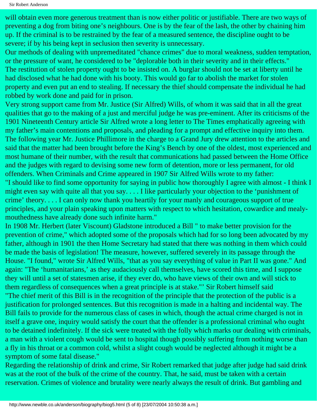Sir Robert Anderson

will obtain even more generous treatment than is now either politic or justifiable. There are two ways of preventing a dog from biting one's neighbours. One is by the fear of the lash, the other by chaining him up. If the criminal is to be restrained by the fear of a measured sentence, the discipline ought to be severe; if by his being kept in seclusion then severity is unnecessary.

Our methods of dealing with unpremeditated "chance crimes" due to moral weakness, sudden temptation, or the pressure of want, he considered to be "deplorable both in their severity and in their effects." The restitution of stolen property ought to be insisted on. A burglar should not be set at liberty until he had disclosed what he had done with his booty. This would go far to abolish the market for stolen property and even put an end to stealing. If necessary the thief should compensate the individual he had robbed by work done and paid for in prison.

Very strong support came from Mr. Justice (Sir Alfred) Wills, of whom it was said that in all the great qualities that go to the making of a just and merciful judge he was pre-eminent. After its criticisms of the 1901 Nineteenth Century article Sir Alfred wrote a long letter to The Times emphatically agreeing with my father's main contentions and proposals, and pleading for a prompt and effective inquiry into them. The following year Mr. Justice Phillimore in the charge to a Grand Jury drew attention to the articles and said that the matter had been brought before the King's Bench by one of the oldest, most experienced and most humane of their number, with the result that communications had passed between the Home Office and the judges with regard to devising some new form of detention, more or less permanent, for old offenders. When Criminals and Crime appeared in 1907 Sir Alfred Wills wrote to my father: "I should like to find some opportunity for saying in public how thoroughly I agree with almost - I think I might even say with quite all that you say. . . . I like particularly your objection to the 'punishment of crime' theory. . . . I can only now thank you heartily for your manly and courageous support of true principles, and your plain speaking upon matters with respect to which hesitation, cowardice and mealymouthedness have already done such infinite harm."

In 1908 Mr. Herbert (later Viscount) Gladstone introduced a Bill " to make better provision for the prevention of crime," which adopted some of the proposals which had for so long been advocated by my father, although in 1901 the then Home Secretary had stated that there was nothing in them which could be made the basis of legislation! The measure, however, suffered severely in its passage through the House. "I found," wrote Sir Alfred Wills, "that as you say everything of value in Part II was gone." And again: "The 'humanitarians,' as they audaciously call themselves, have scored this time, and I suppose they will until a set of statesmen arise, if they ever do, who have views of their own and will stick to them regardless of consequences when a great principle is at stake."' Sir Robert himself said "The chief merit of this Bill is in the recognition of the principle that the protection of the public is a justification for prolonged sentences. But this recognition is made in a halting and incidental way. The Bill fails to provide for the numerous class of cases in which, though the actual crime charged is not in itself a grave one, inquiry would satisfy the court that the offender is a professional criminal who ought to be detained indefinitely. If the sick were treated with the folly which marks our dealing with criminals, a man with a violent cough would be sent to hospital though possibly suffering from nothing worse than a fly in his throat or a common cold, whilst a slight cough would be neglected although it might be a symptom of some fatal disease."

Regarding the relationship of drink and crime, Sir Robert remarked that judge after judge had said drink was at the root of the bulk of the crime of the country. That, he said, must be taken with a certain reservation. Crimes of violence and brutality were nearly always the result of drink. But gambling and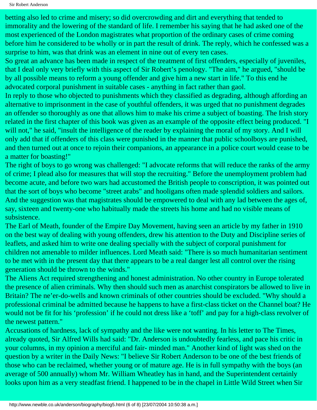Sir Robert Anderson

betting also led to crime and misery; so did overcrowding and dirt and everything that tended to immorality and the lowering of the standard of life. I remember his saying that he had asked one of the most experienced of the London magistrates what proportion of the ordinary cases of crime coming before him he considered to be wholly or in part the result of drink. The reply, which he confessed was a surprise to him, was that drink was an element in nine out of every ten cases.

So great an advance has been made in respect of the treatment of first offenders, especially of juveniles, that I deal only very briefly with this aspect of Sir Robert's penology. "The aim," he argued, "should be by all possible means to reform a young offender and give him a new start in life." To this end he advocated corporal punishment in suitable cases - anything in fact rather than gaol.

In reply to those who objected to punishments which they classified as degrading, although affording an alternative to imprisonment in the case of youthful offenders, it was urged that no punishment degrades an offender so thoroughly as one that allows him to make his crime a subject of boasting. The Irish story related in the first chapter of this book was given as an example of the opposite effect being produced. "I will not," he said, "insult the intelligence of the reader by explaining the moral of my story. And I will only add that if offenders of this class were punished in the manner that public schoolboys are punished, and then turned out at once to rejoin their companions, an appearance in a police court would cease to be a matter for boasting!"

The right of boys to go wrong was challenged: "I advocate reforms that will reduce the ranks of the army of crime; I plead also for measures that will stop the recruiting." Before the unemployment problem had become acute, and before two wars had accustomed the British people to conscription, it was pointed out that the sort of boys who become "street arabs" and hooligans often made splendid soldiers and sailors. And the suggestion was that magistrates should be empowered to deal with any lad between the ages of, say, sixteen and twenty-one who habitually made the streets his home and had no visible means of subsistence.

The Earl of Meath, founder of the Empire Day Movement, having seen an article by my father in 1910 on the best way of dealing with young offenders, drew his attention to the Duty and Discipline series of leaflets, and asked him to write one dealing specially with the subject of corporal punishment for children not amenable to milder influences. Lord Meath said: "There is so much humanitarian sentiment to be met with in the present day that there appears to be a real danger lest all control over the rising generation should be thrown to the winds."

The Aliens Act required strengthening and honest administration. No other country in Europe tolerated the presence of alien criminals. Why then should such men as anarchist conspirators be allowed to live in Britain? The ne'er-do-wells and known criminals of other countries should be excluded. "Why should a professional criminal be admitted because he happens to have a first-class ticket on the Channel boat? He would not be fit for his 'profession' if he could not dress like a 'toff' and pay for a high-class revolver of the newest pattern."

Accusations of hardness, lack of sympathy and the like were not wanting. In his letter to The Times, already quoted, Sir Alfred Wills had said: "Dr. Anderson is undoubtedly fearless, and pace his critic in your columns, in my opinion a merciful and fair- minded man." Another kind of light was shed on the question by a writer in the Daily News: "I believe Sir Robert Anderson to be one of the best friends of those who can be reclaimed, whether young or of mature age. He is in full sympathy with the boys (an average of 500 annually) whom Mr. William Wheatley has in hand, and the Superintendent certainly looks upon him as a very steadfast friend. I happened to be in the chapel in Little Wild Street when Sir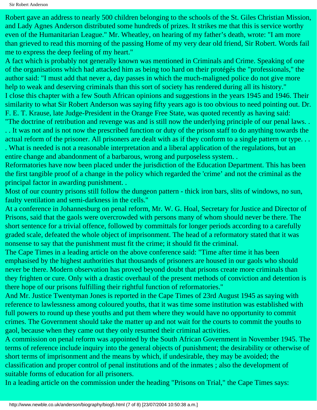Robert gave an address to nearly 500 children belonging to the schools of the St. Giles Christian Mission, and Lady Agnes Anderson distributed some hundreds of prizes. It strikes me that this is service worthy even of the Humanitarian League." Mr. Wheatley, on hearing of my father's death, wrote: "I am more than grieved to read this morning of the passing Home of my very dear old friend, Sir Robert. Words fail me to express the deep feeling of my heart."

A fact which is probably not generally known was mentioned in Criminals and Crime. Speaking of one of the organisations which had attacked him as being too hard on their protégés the "professionals," the author said: "I must add that never a, day passes in which the much-maligned police do not give more help to weak and deserving criminals than this sort of society has rendered during all its history." I close this chapter with a few South African opinions and suggestions in the years 1945 and 1946. Their similarity to what Sir Robert Anderson was saying fifty years ago is too obvious to need pointing out. Dr. F. E. T. Krause, late Judge-President in the Orange Free State, was quoted recently as having said: "The doctrine of retribution and revenge was and is still now the underlying principle of our penal laws. . . . It was not and is not now the prescribed function or duty of the prison staff to do anything towards the actual reform of the prisoner. All prisoners are dealt with as if they conform to a single pattern or type. . .

. What is needed is not a reasonable interpretation and a liberal application of the regulations, but an entire change and abandonment of a barbarous, wrong and purposeless system. .

Reformatories have now been placed under the jurisdiction of the Education Department. This has been the first tangible proof of a change in the policy which regarded the 'crime' and not the criminal as the principal factor in awarding punishment. .

Most of our country prisons still follow the dungeon pattern - thick iron bars, slits of windows, no sun, faulty ventilation and semi-darkness in the cells."

At a conference in Johannesburg on penal reform, Mr. W. G. Hoal, Secretary for Justice and Director of Prisons, said that the gaols were overcrowded with persons many of whom should never be there. The short sentence for a trivial offence, followed by committals for longer periods according to a carefully graded scale, defeated the whole object of imprisonment. The head of a reformatory stated that it was nonsense to say that the punishment must fit the crime; it should fit the criminal.

The Cape Times in a leading article on the above conference said: "Time after time it has been emphasised by the highest authorities that thousands of prisoners are housed in our gaols who should never be there. Modern observation has proved beyond doubt that prisons create more criminals than they frighten or cure. Only with a drastic overhaul of the present methods of conviction and detention is there hope of our prisons fulfilling their rightful function of reformatories."

And Mr. Justice Twentyman Jones is reported in the Cape Times of 23rd August 1945 as saying with reference to lawlessness among coloured youths, that it was time some institution was established with full powers to round up these youths and put them where they would have no opportunity to commit crimes. The Government should take the matter up and not wait for the courts to commit the youths to gaol, because when they came out they only resumed their criminal activities.

A commission on penal reform was appointed by the South African Government in November 1945. The terms of reference include inquiry into the general objects of punishment; the desirability or otherwise of short terms of imprisonment and the means by which, if undesirable, they may be avoided; the classification and proper control of penal institutions and of the inmates ; also the development of suitable forms of education for all prisoners.

In a leading article on the commission under the heading "Prisons on Trial," the Cape Times says: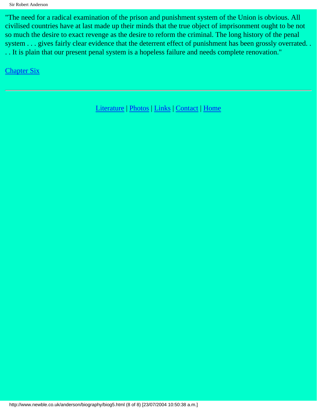"The need for a radical examination of the prison and punishment system of the Union is obvious. All civilised countries have at last made up their minds that the true object of imprisonment ought to be not so much the desire to exact revenge as the desire to reform the criminal. The long history of the penal system . . . gives fairly clear evidence that the deterrent effect of punishment has been grossly overrated. . . . It is plain that our present penal system is a hopeless failure and needs complete renovation."

**[Chapter Six](#page-47-0)** 

[Literature](http://www.newble.co.uk/anderson/literature.html) | [Photos](http://www.newble.co.uk/anderson/photos.html) | [Links](http://www.newble.co.uk/anderson/links.html) | [Contact](mailto:webmaster@newble.co.uk) | [Home](http://www.newble.co.uk/anderson/index.html)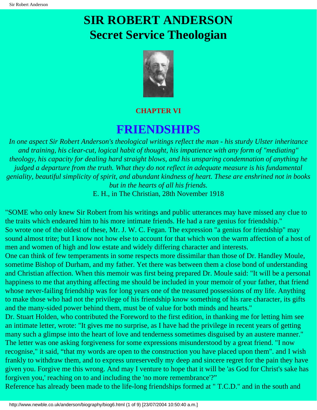# <span id="page-47-0"></span>**SIR ROBERT ANDERSON Secret Service Theologian**



#### **CHAPTER VI**

## **FRIENDSHIPS**

*In one aspect Sir Robert Anderson's theological writings reflect the man - his sturdy Ulster inheritance and training, his clear-cut, logical habit of thought, his impatience with any form of "mediating" theology, his capacity for dealing hard straight blows, and his unsparing condemnation of anything he judged a departure from the truth. What they do not reflect in adequate measure is his fundamental geniality, beautiful simplicity of spirit, and abundant kindness of heart. These are enshrined not in books but in the hearts of all his friends.*  E. H., in The Christian, 28th November 1918

"SOME who only knew Sir Robert from his writings and public utterances may have missed any clue to the traits which endeared him to his more intimate friends. He had a rare genius for friendship." So wrote one of the oldest of these, Mr. J. W. C. Fegan. The expression "a genius for friendship" may sound almost trite; but I know not how else to account for that which won the warm affection of a host of men and women of high and low estate and widely differing character and interests. One can think of few temperaments in some respects more dissimilar than those of Dr. Handley Moule,

sometime Bishop of Durham, and my father. Yet there was between them a close bond of understanding and Christian affection. When this memoir was first being prepared Dr. Moule said: "It will be a personal happiness to me that anything affecting me should be included in your memoir of your father, that friend whose never-failing friendship was for long years one of the treasured possessions of my life. Anything to make those who had not the privilege of his friendship know something of his rare character, its gifts and the many-sided power behind them, must be of value for both minds and hearts."

Dr. Stuart Holden, who contributed the Foreword to the first edition, in thanking me for letting him see an intimate letter, wrote: "It gives me no surprise, as I have had the privilege in recent years of getting many such a glimpse into the heart of love and tenderness sometimes disguised by an austere manner." The letter was one asking forgiveness for some expressions misunderstood by a great friend. "I now recognise," it said, "that my words are open to the construction you have placed upon them". and I wish frankly to withdraw them, and to express unreservedly my deep and sincere regret for the pain they have given you. Forgive me this wrong. And may I venture to hope that it will be 'as God for Christ's sake has forgiven you,' reaching on to and including the 'no more remembrance'?"

Reference has already been made to the life-long friendships formed at " T.C.D." and in the south and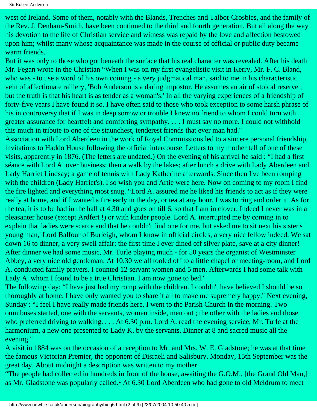west of Ireland. Some of them, notably with the Blands, Trenches and Talbot-Crosbies, and the family of the Rev. J. Denham-Smith, have been continued to the third and fourth generation. But all along the way his devotion to the life of Christian service and witness was repaid by the love and affection bestowed upon him; whilst many whose acquaintance was made in the course of official or public duty became warm friends.

But it was only to those who got beneath the surface that his real character was revealed. After his death Mr. Fegan wrote in the Christian "When I was on my first evangelistic visit in Kerry, Mr. F. C. Bland, who was - to use a word of his own coining - a very judgmatical man, said to me in his characteristic vein of affectionate raillery, 'Bob Anderson is a daring impostor. He assumes an air of stoical reserve ; but the truth is that his heart is as tender as a woman's.' In all the varying experiences of a friendship of forty-five years I have found it so. I have often said to those who took exception to some harsh phrase of his in controversy that if I was in deep sorrow or trouble I knew no friend to whom I could turn with greater assurance for heartfelt and comforting sympathy. . . . I must say no more. I could not withhold this much in tribute to one of the staunchest, tenderest friends that ever man had."

Association with Lord Aberdeen in the work of Royal Commissions led to a sincere personal friendship, invitations to Haddo House following the official intercourse. Letters to my mother tell of one of these visits, apparently in 1876. (The letters are undated.) On the evening of his arrival he said : "I had a first séance with Lord A. over business; then a walk by the lakes; after lunch a drive with Lady Aberdeen and Lady Harriet Lindsay; a game of tennis with Lady Katherine afterwards. Since then I've been romping with the children (Lady Harriet's). I so wish you and Artie were here. Now on coming to my room I find the fire lighted and everything most snug. "Lord A. assured me he liked his friends to act as if they were really at home, and if I wanted a fire early in the day, or tea at any hour, I was to ring and order it. As for the tea, it is to be had in the hall at 4.30 and goes on till 6, so that I am in clover. Indeed I never was in a pleasanter house (except Ardfert !) or with kinder people. Lord A. interrupted me by coming in to explain that ladies were scarce and that he couldn't find one for me, but asked me to sit next his sister's ' young man,' Lord Balfour of Burleigh, whom I know in official circles, a very nice fellow indeed. We sat down 16 to dinner, a very swell affair; the first time I ever dined off silver plate, save at a city dinner! After dinner we had some music, Mr. Turle playing much - for 50 years the organist of Westminster Abbey, a very nice old gentleman. At 10.30 we all tooled off to a little chapel or meeting-room, and Lord A. conducted family prayers. I counted 12 servant women and 5 men. Afterwards I had some talk with Lady A. whom I found to be a true Christian. I am now gone to bed."

The following day: "I have just had my romp with the children. I couldn't have believed I should be so thoroughly at home. I have only wanted you to share it all to make me supremely happy." Next evening, Sunday : "I feel I have really made friends here. I went to the Parish Church in the morning. Two omnibuses started, one with the servants, women inside, men out ; the other with the ladies and those who preferred driving to walking. . . . At 6.30 p.m. Lord A. read the evening service, Mr. Turle at the harmonium, a new one presented to Lady K. by the servants. Dinner at 8 and sacred music all the evening."

A visit in 1884 was on the occasion of a reception to Mr. and Mrs. W. E. Gladstone; he was at that time the famous Victorian Premier, the opponent of Disraeli and Salisbury. Monday, 15th September was the great day. About midnight a description was written to my mother

"The people had collected in hundreds in front of the house, awaiting the G.O.M., [the Grand Old Man,] as Mr. Gladstone was popularly called.• At 6.30 Lord Aberdeen who had gone to old Meldrum to meet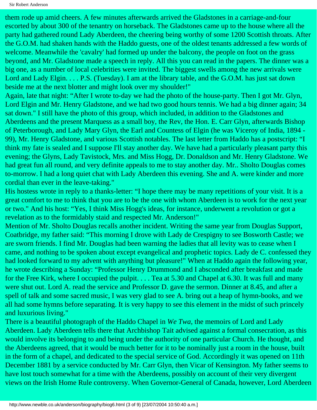them rode up amid cheers. A few minutes afterwards arrived the Gladstones in a carriage-and-four escorted by about 300 of the tenantry on horseback. The Gladstones came up to the house where all the party had gathered round Lady Aberdeen, the cheering being worthy of some 1200 Scottish throats. After the G.O.M. had shaken hands with the Haddo guests, one of the oldest tenants addressed a few words of welcome. Meanwhile the 'cavalry' had formed up under the balcony, the people on foot on the grass beyond, and Mr. Gladstone made a speech in reply. All this you can read in the papers. The dinner was a big one, as a number of local celebrities were invited. The biggest swells among the new arrivals were Lord and Lady Elgin. . . . P.S. (Tuesday). I am at the library table, and the G.O.M. has just sat down beside me at the next blotter and might look over my shoulder!"

Again, late that night: "After I wrote to-day we had the photo of the house-party. Then I got Mr. Glyn, Lord Elgin and Mr. Henry Gladstone, and we had two good hours tennis. We had a big dinner again; 34 sat down." I still have the photo of this group, which included, in addition to the Gladstones and Aberdeens and the present Marquess as a small boy, the Rev, the Hon. E. Carr Glyn, afterwards Bishop of Peterborough, and Lady Mary Glyn, the Earl and Countess of Elgin (he was Viceroy of India, 1894 - 99), Mr. Henry Gladstone, and various Scottish notables. The last letter from Haddo has a postscript: "I think my fate is sealed and I suppose I'll stay another day. We have had a particularly pleasant party this evening; the Glyns, Lady Tavistock, Mrs. and Miss Hogg, Dr. Donaldson and Mr. Henry Gladstone. We had great fun all round, and very definite appeals to me to stay another day. Mr.. Sholto Douglas comes to-morrow. I had a long quiet chat with Lady Aberdeen this evening. She and A. were kinder and more cordial than ever in the leave-taking."

His hostess wrote in reply to a thanks-letter: "I hope there may be many repetitions of your visit. It is a great comfort to me to think that you are to be the one with whom Aberdeen is to work for the next year or two." And his host: "Yes, I think Miss Hogg's ideas, for instance, underwent a revolution or got a revelation as to the formidably staid and respected Mr. Anderson!"

Mention of Mr. Sholto Douglas recalls another incident. Writing the same year from Douglas Support, Coatbridge, my father said: "This morning I drove with Lady de Crespigny to see Bosworth Castle; we are sworn friends. I find Mr. Douglas had been warning the ladies that all levity was to cease when I came, and nothing to be spoken about except evangelical and prophetic topics. Lady de C. confessed they had looked forward to my advent with anything but pleasure!" When at Haddo again the following year, he wrote describing a Sunday: "Professor Henry Drummond and I absconded after breakfast and made for the Free Kirk, where I occupied the pulpit. . . . Tea at 5.30 and Chapel at 6.30. It was full and many were shut out. Lord A. read the service and Professor D. gave the sermon. Dinner at 8.45, and after a spell of talk and some sacred music, I was very glad to see A. bring out a heap of hymn-books, and we all had some hymns before separating. It is very happy to see this element in the midst of such princely and luxurious living."

There is a beautiful photograph of the Haddo Chapel in *We Twa*, the memoirs of Lord and Lady Aberdeen. Lady Aberdeen tells there that Archbishop Tait advised against a formal consecration, as this would involve its belonging to and being under the authority of one particular Church. He thought, and the Aberdeens agreed, that it would be much better for it to be nominally just a room in the house, built in the form of a chapel, and dedicated to the special service of God. Accordingly it was opened on 11th December 1881 by a service conducted by Mr. Carr Glyn, then Vicar of Kensington. My father seems to have lost touch somewhat for a time with the Aberdeens, possibly on account of their very divergent views on the Irish Home Rule controversy. When Governor-General of Canada, however, Lord Aberdeen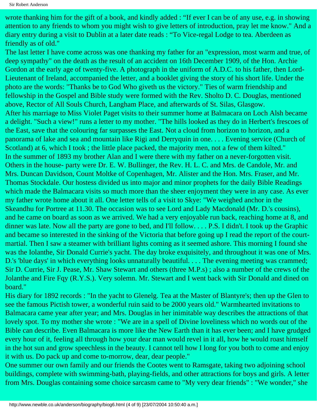wrote thanking him for the gift of a book, and kindly added : "If ever I can be of any use, e.g. in showing attention to any friends to whom you might wish to give letters of introduction, pray let me know." And a diary entry during a visit to Dublin at a later date reads : "To Vice-regal Lodge to tea. Aberdeen as friendly as of old."

The last letter I have come across was one thanking my father for an "expression, most warm and true, of deep sympathy" on the death as the result of an accident on 16th December 1909, of the Hon. Archie Gordon at the early age of twenty-five. A photograph in the uniform of A.D.C. to his father, then Lord-Lieutenant of Ireland, accompanied the letter, and a booklet giving the story of his short life. Under the photo are the words: "Thanks be to God Who giveth us the victory." Ties of warm friendship and fellowship in the Gospel and Bible study were formed with the Rev. Sholto D. C. Douglas, mentioned above, Rector of All Souls Church, Langham Place, and afterwards of St. Silas, Glasgow. After his marriage to Miss Violet Paget visits to their summer home at Balmacara on Loch Alsh became a delight. "Such a view!" runs a letter to my mother. "The hills looked as they do in Herbert's frescoes of the East, save that the colouring far surpasses the East. Not a cloud from horizon to horizon, and a panorama of lake and sea and mountain like Rigi and Derryquin in one. . . . Evening service (Church of Scotland) at 6, which I took; the little place packed, the majority men, not a few of them kilted." In the summer of 1893 my brother Alan and I were there with my father on a never-forgotten visit. Others in the house- party were Dr. E. W. Bullinger, the Rev. H. L. C. and Mrs. de Candole, Mr. and Mrs. Duncan Davidson, Count Moltke of Copenhagen, Mr. Alister and the Hon. Mrs. Fraser, and Mr. Thomas Stockdale. Our hostess divided us into major and minor prophets for the daily Bible Readings which made the Balmacara visits so much more than the sheer enjoyment they were in any case. As ever my father wrote home about it all. One letter tells of a visit to Skye: "We weighed anchor in the Skeandhu for Portree at 11.30. The occasion was to see Lord and Lady Macdonald (Mr. D.'s cousins), and he came on board as soon as we arrived. We had a very enjoyable run back, reaching home at 8, and dinner was late. Now all the party are gone to bed, and I'll follow. . . . P.S. I didn't. I took up the Graphic and became so interested in the sinking of the Victoria that before going up I read the report of the courtmartial. Then I saw a steamer with brilliant lights coming as it seemed ashore. This morning I found she was the Iolanthe, Sir Donald Currie's yacht. The day broke exquisitely, and throughout it was one of Mrs. D.'s 'blue days' in which everything looks unnaturally beautiful. . . . The evening meeting was crammed; Sir D. Currie, Sir J. Pease, Mr. Shaw Stewart and others (three M.P.s) ; also a number of the crews of the Jolanthe and Fire Fqy (R.Y.S.). Very solemn. Mr. Stewart and I went back with Sir Donald and dined on board."

His diary for 1892 records : "In the yacht to Glenelg. Tea at the Master of Blantyre's; then up the Glen to see the famous Pictish tower, a wonderful ruin said to be 2000 years old." Warmhearted invitations to Balmacara came year after year; and Mrs. Douglas in her inimitable way describes the attractions of that lovely spot. To my mother she wrote : "We are in a spell of Divine loveliness which no words out of the Bible can describe. Even Balmacara is more like the New Earth than it has ever been; and I have grudged every hour of it, feeling all through how your dear man would revel in it all, how he would roast himself in the hot sun and grow speechless in the beauty. I cannot tell how I long for you both to come and enjoy it with us. Do pack up and come to-morrow, dear, dear people."

One summer our own family and our friends the Cootes went to Ramsgate, taking two adjoining school buildings, complete with swimming-bath, playing-fields, and other attractions for boys and girls. A letter from Mrs. Douglas containing some choice sarcasm came to "My very dear friends" : "We wonder," she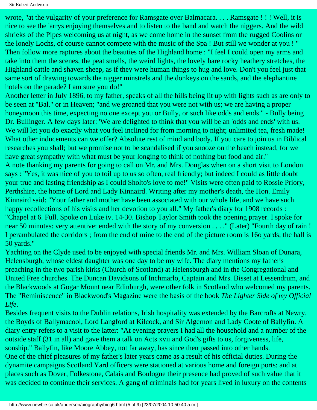Sir Robert Anderson

wrote, "at the vulgarity of your preference for Ramsgate over Balmacara. . . . Ramsgate ! ! ! Well, it is nice to see the 'arrys enjoying themselves and to listen to the band and watch the niggers. And the wild shrieks of the Pipes welcoming us at night, as we come home in the sunset from the rugged Coolins or the lonely Lochs, of course cannot compete with the music of the Spa ! But still we wonder at you ! " Then follow more raptures about the beauties of the Highland home : "I feel I could open my arms and take into them the scenes, the peat smells, the weird lights, the lovely bare rocky heathery stretches, the Highland cattle and shaven sheep, as if they were human things to hug and love. Don't you feel just that same sort of drawing towards the nigger minstrels and the donkeys on the sands, and the elephantine hotels on the parade? I am sure you do!"

Another letter in July 1896, to my father, speaks of all the hills being lit up with lights such as are only to be seen at "Bal." or in Heaven; "and we groaned that you were not with us; we are having a proper honeymoon this time, expecting no one except you or Bully, or such like odds and ends " - Bully being Dr. Bullinger. A few days later: 'We are delighted to think that you will be an 'odds and ends' with us. We will let you do exactly what you feel inclined for from morning to night; unlimited tea, fresh made! What other inducements can we offer? Absolute rest of mind and body. If you care to join us in Biblical researches you shall; but we promise not to be scandalised if you snooze on the beach instead, for we have great sympathy with what must be your longing to think of nothing but food and air." A note thanking my parents for going to call on Mr. and Mrs. Douglas when on a short visit to London says : "Yes, it was nice of you to toil up to us so often, real friendly; but indeed I could as little doubt your true and lasting friendship as I could Sholto's love to me!" Visits were often paid to Rossie Priory, Perthshire, the home of Lord and Lady Kinnaird. Writing after my mother's death, the Hon. Emily Kinnaird said: "Your father and mother have been associated with our whole life, and we have such happy recollections of his visits and her devotion to you all." My father's diary for 1908 records : "Chapel at 6. Full. Spoke on Luke iv. 14-30. Bishop Taylor Smith took the opening prayer. I spoke for near 50 minutes: very attentive: ended with the story of my conversion . . . ." (Later) "Fourth day of rain ! I perambulated the corridors ; from the end of mine to the end of the picture room is 16o yards; the hall is 50 yards."

Yachting on the Clyde used to be enjoyed with special friends Mr. and Mrs. William Sloan of Dunara, Helensburgh, whose eldest daughter was one day to be my wife. The diary mentions my father's preaching in the two parish kirks (Church of Scotland) at Helensburgh and in the Congregational and United Free churches. The Duncan Davidsons of Inchmarlo, Captain and Mrs. Bisset at Lessendrum, and the Blackwoods at Gogar Mount near Edinburgh, were other folk in Scotland who welcomed my parents. The "Reminiscence" in Blackwood's Magazine were the basis of the book *The Lighter Side of my Official Life*.

Besides frequent visits to the Dublin relations, Irish hospitality was extended by the Barcrofts at Newry, the Boyds of Ballymacool, Lord Langford at Kilcock, and Sir Algernon and Lady Coote of Ballyfin. A diary entry refers to a visit to the latter: "At evening prayers I had all the household and a number of the outside staff (31 in all) and gave them a talk on Acts xvii and God's gifts to us, forgiveness, life, sonship." Ballyfin, like Moore Abbey, not far away, has since then passed into other hands. One of the chief pleasures of my father's later years came as a result of his official duties. During the dynamite campaigns Scotland Yard officers were stationed at various home and foreign ports: and at places such as Dover, Folkestone, Calais and Boulogne their presence had proved of such value that it was decided to continue their services. A gang of criminals had for years lived in luxury on the contents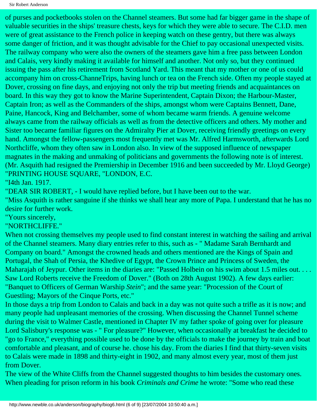of purses and pocketbooks stolen on the Channel steamers. But some had far bigger game in the shape of valuable securities in the ships' treasure chests, keys for which they were able to secure. The C.I.D. men were of great assistance to the French police in keeping watch on these gentry, but there was always some danger of friction, and it was thought advisable for the Chief to pay occasional unexpected visits. The railway company who were also the owners of the steamers gave him a free pass between London and Calais, very kindly making it available for himself and another. Not only so, but they continued issuing the pass after his retirement from Scotland Yard. This meant that my mother or one of us could accompany him on cross-ChanneTrips, having lunch or tea on the French side. Often my people stayed at Dover, crossing on fine days, and enjoying not only the trip but meeting friends and acquaintances on board. In this way they got to know the Marine Superintendent, Captain Dixon; the Harbour-Master, Captain Iron; as well as the Commanders of the ships, amongst whom were Captains Bennett, Dane, Paine, Hancock, King and Belchamber, some of whom became warm friends. A genuine welcome always came from the railway officials as well as from the detective officers and others. My mother and Sister too became familiar figures on the Admiralty Pier at Dover, receiving friendly greetings on every hand. Amongst the fellow-passengers most frequently met was Mr. Alfred Harmsworth, afterwards Lord Northcliffe, whom they often saw in London also. In view of the supposed influence of newspaper magnates in the making and unmaking of politicians and governments the following note is of interest. (Mr. Asquith had resigned the Premiership in December 1916 and been succeeded by Mr. Lloyd George) "PRINTING HOUSE SQUARE, "LONDON, E.C.

"I4th Jan. 1917.

"DEAR SIR ROBERT, - I would have replied before, but I have been out to the war.

"Miss Asquith is rather sanguine if she thinks we shall hear any more of Papa. I understand that he has no desire for further work.

"Yours sincerely,

"NORTHCLIFFE."

When not crossing themselves my people used to find constant interest in watching the sailing and arrival of the Channel steamers. Many diary entries refer to this, such as - " Madame Sarah Bernhardt and Company on board." Amongst the crowned heads and others mentioned are the Kings of Spain and Portugal, the Shah of Persia, the Khedive of Egypt, the Crown Prince and Princess of Sweden, the Maharajah of Jeypur. Other items in the diaries are: "Passed Holbein on his swim about 1.5 miles out. . . . Saw Lord Roberts receive the Freedom of Dover." (Both on 28th August 1902). A few days earlier: "Banquet to Officers of German Warship *Stein*"; and the same year: "Procession of the Court of Guestling; Mayors of the Cinque Ports, etc."

In those days a trip from London to Calais and back in a day was not quite such a trifle as it is now; and many people had unpleasant memories of the crossing. When discussing the Channel Tunnel scheme during the visit to Walmer Castle, mentioned in Chapter IV my father spoke of going over for pleasure Lord Salisbury's response was - " For pleasure?" However, when occasionally at breakfast he decided to "go to France," everything possible used to be done by the officials to make the journey by train and boat comfortable and pleasant, and of course he. chose his day. From the diaries I find that thirty-seven visits to Calais were made in 1898 and thirty-eight in 1902, and many almost every year, most of them just from Dover.

The view of the White Cliffs from the Channel suggested thoughts to him besides the customary ones. When pleading for prison reform in his book *Criminals and Crime* he wrote: "Some who read these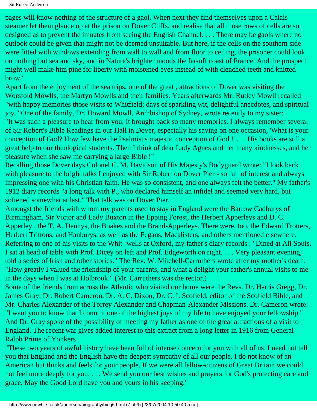Sir Robert Anderson

pages will know nothing of the structure of a gaol. When next they find themselves upon a Calais steamer let them glance up at the prison on Dover Cliffs, and realise that all those rows of cells are so designed as to prevent the imnates from seeing the English Channel. . . . There may be gaols where no outlook could be given that might not be deemed unsuitable. But here, if the cells on the southern side were fitted with windows extending from wall to wall and from floor to ceiling, the prisoner could look on nothing but sea and sky, and in Nature's brighter moods the far-off coast of France. And the prospect might well make him pine for liberty with moistened eyes instead of with clenched teeth and knitted brow."

Apart from the enjoyment of the sea trips, one of the great , attractions of Dover was visiting the Worsfold Mowlls, the Martyn Mowlls and their families. Years afterwards Mr. Rutley Mowll recalled "with happy memories those visits to Whitfield; days of sparkling wit, delightful anecdotes, and spiritual joy." One of the family, Dr. Howard Mowll, Archbishop of Sydney, wrote recently to my sister: "It was such a pleasure to hear from you. It brought back so many memories. I always remember several of Sir Robert's Bible Readings in our Hall in Dover, especially his saying on one occasion, 'What is your conception of God? How few have the Psalmist's majestic conception of God !' . . . His books are still a great help to our theological students. Then I think of dear Lady Agnes and her many kindnesses, and her pleasure when she saw me carrying a large Bible !"

Recalling those Dover days Colonel C. M. Davidson of His Majesty's Bodyguard wrote: "I look back with pleasure to the bright talks I enjoyed with Sir Robert on Dover Pier - so full of interest and always impressing one with his Christian faith. He was so consistent, and one always felt the better." My father's 1912 diary records "a long talk with P., who declared himself an infidel and seemed very hard, but softened somewhat at last." That talk was on Dover Pier.

Amongst the friends with whom my parents used to stay in England were the Barrow Cadburys of Birmingham, Sir Victor and Lady Buxton in the Epping Forest, the Herbert Apperleys and D. C. Apperley , the T. A. Dennys, the Boakes and the Brand-Apperleys. There were, too, the Edward Trotters, Herbert Trittons, and Hanburys, as well as the Fegans, Macalisters, and others mentioned elsewhere. Referring to one of his visits to the Whit- wells at Oxford, my father's diary records : "Dined at All Souls. I sat at head of table with Prof. Dicey on left and Prof. Edgeworth on right. . . . Very pleasant evening; told a series of Irish and other stories." The Rev. W. Mitchell-Carruthers wrote after my mother's death: "How greatly I valued the friendship of your parents, and what a delight your father's annual visits to me in the days when I was at Holbrook." (Mr. Carruthers was the rector.)

Some of the friends from across the Atlantic who visited our home were the Revs. Dr. Harris Gregg, Dr. James Gray, Dr. Robert Cameron, Dr. A. C. Dixon, Dr. C. I. Scofield, editor of the Scofield Bible, and Mr. Charles Alexander of the Torrey Alexander and Chapman-Alexander Missions. Dr. Cameron wrote: "I want you to know that I count it one of the highest joys of my life to have enjoyed your fellowship." And Dr. Gray spoke of the possibility of meeting my father as one of the great attractions of a visit to England. The recent war gives added interest to this extract from a long letter in 1916 from General Ralph Prime of Yonkers

"These two years of awful history have been full of intense concern for you with all of us. I need not tell you that England and the English have the deepest sympathy of all our people. I do not know of an American but thinks and feels for your people. If we were all fellow-citizens of Great Britain we could not feel more deeply for you. . . . We send you our best wishes and prayers for God's protecting care and grace. May the Good Lord have you and yours in his keeping."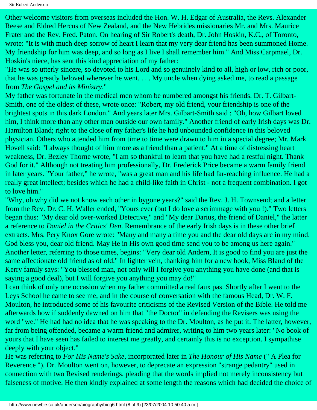Sir Robert Anderson

Other welcome visitors from overseas included the Hon. W. H. Edgar of Australia, the Revs. Alexander Reese and Eldred Hercus of New Zealand, and the New Hebrides missionaries Mr. and Mrs. Maurice Frater and the Rev. Fred. Paton. On hearing of Sir Robert's death, Dr. John Hoskin, K.C., of Toronto, wrote: "It is with much deep sorrow of heart I learn that my very dear friend has been summoned Home. My friendship for him was deep, and so long as I live I shall remember him." And Miss Carpmael, Dr. Hoskin's niece, has sent this kind appreciation of my father:

"He was so utterly sincere, so devoted to his Lord and so genuinely kind to all, high or low, rich or poor, that he was greatly beloved wherever he went. . . . My uncle when dying asked me, to read a passage from *The Gospel and its Ministry*."

My father was fortunate in the medical men whom be numbered amongst his friends. Dr. T. Gilbart-Smith, one of the oldest of these, wrote once: "Robert, my old friend, your friendship is one of the brightest spots in this dark London." And years later Mrs. Gilbart-Smith said : "Oh, how Gilbart loved him, I think more than any other man outside our own family." Another friend of early Irish days was Dr. Hamilton Bland; right to the close of my father's life he had unbounded confidence in this beloved physician. Others who attended him from time to time were drawn to him in a special degree; Mr. Mark Hovell said: "I always thought of him more as a friend than a patient." At a time of distressing heart weakness, Dr. Bezley Thorne wrote, "I am so thankful to learn that you have had a restful night. Thank God for it." Although not treating him professionally, Dr. Frederick Price became a warm family friend in later years. "Your father," he wrote, "was a great man and his life had far-reaching influence. He had a really great intellect; besides which he had a child-like faith in Christ - not a frequent combination. I got to love him."

"Why, oh why did we not know each other in bygone years?" said the Rev. J. H. Townsend; and a letter from the Rev. Dr. C. H. Waller ended, "Yours ever (but I do love a scrimmage with you !)." Two letters began thus: "My dear old over-worked Detective," and "My dear Darius, the friend of Daniel," the latter a reference to *Daniel in the Critics' Den*. Remembrance of the early Irish days is in these other brief extracts. Mrs. Pery Knox Gore wrote: "Many and many a time you and the dear old days are in my mind. God bless you, dear old friend. May He in His own good time send you to be among us here again." Another letter, referring to those times, begins: "Very dear old Andern, It is good to find you are just the same affectionate old friend as of old." In lighter vein, thanking him for a new book, Miss Bland of the Kerry family says: "You blessed man, not only will I forgive you anything you have done (and that is saying a good deal), but I will forgive you anything you may do!"

I can think of only one occasion when my father committed a real faux pas. Shortly after I went to the Leys School he came to see me, and in the course of conversation with the famous Head, Dr. W. F. Moulton, he introduced some of his favourite criticisms of the Revised Version of the Bible. He told me afterwards how if suddenly dawned on him that "the Doctor" in defending the Revisers was using the word "we." He had had no idea that he was speaking to the Dr. Moulton, as he put it. The latter, however, far from being offended, became a warm friend and admirer, writing to him two years later: "No book of yours that I have seen has failed to interest me greatly, and certainly this is no exception. I sympathise deeply with your object."

He was referring to *For His Name's Sake*, incorporated later in *The Honour of His Name* (" A Plea for Reverence "). Dr. Moulton went on, however, to deprecate an expression "strange pedantry" used in connection with two Revised renderings, pleading that the words implied not merely inconsistency but falseness of motive. He then kindly explained at some length the reasons which had decided the choice of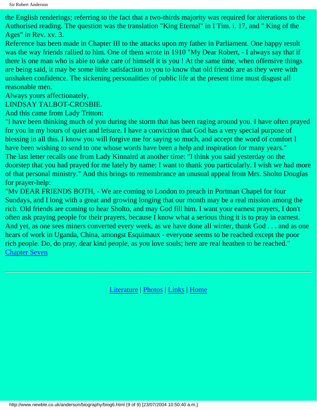the English renderings; referring to the fact that a two-thirds majority was required for alterations to the Authorised reading. The question was the translation "King Eternal" in I Tim. i. 17, and " King of the Ages" in Rev. xv. 3.

Reference has been made in Chapter III to the attacks upon my father in Parliament. One happy result was the way friends rallied to him. One of them wrote in 1910 "My Dear Robert, - I always say that if there is one man who is able to take care of himself it is you ! At the same time, when offensive things are being said, it may be some little satisfaction to you to know that old friends are as they were with unshaken confidence. The sickening personalities of public life at the present time must disgust all reasonable men.

Always yours affectionately,

LINDSAY TALBOT-CROSBIE.

And this came from Lady Tritton:

"I have been thinking much of you during the storm that has been raging around you. I have often prayed for you in my hours of quiet and leisure. I have a conviction that God has a very special purpose of blessing in all this. I know you will forgive me for saying so much, and accept the word of comfort I have been wishing to send to one whose words have been a help and inspiration for many years." The last letter recalls one from Lady Kinnaird at another time: "I think you said yesterday on the doorstep that you had prayed for me lately by name; I want to thank you particularly. I wish we had more of that personal ministry." And this brings to remembrance an unusual appeal from Mrs. Sholto Douglas for prayer-help:

"Mv DEAR FRIENDS BOTH, - We are coming to London to preach in Portman Chapel for four Sundays, and I long with a great and growing longing that our month may be a real mission among the rich. Old friends are coming to hear Sholto, and may God fill him. I want your earnest prayers, I don't often ask praying people for their prayers, because I know what a serious thing it is to pray in earnest. And yet, as one sees miners converted every week, as we have done all winter, thank God . . . and as one hears of work in Uganda, China, amongst Esquimaux - everyone seems to be reached except the poor rich people. Do, do pray, dear kind people, as you love souls; here are real heathen to be reached." [Chapter Seven](#page-56-0)

[Literature](http://www.newble.co.uk/anderson/literature.html) | [Photos](http://www.newble.co.uk/anderson/photos.html) | [Links](http://www.newble.co.uk/anderson/links.html) | [Home](http://www.newble.co.uk/anderson/index.html)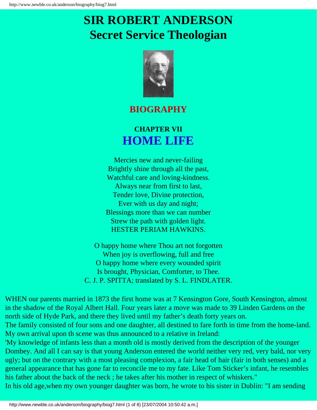# <span id="page-56-0"></span>**SIR ROBERT ANDERSON Secret Service Theologian**



### **BIOGRAPHY**

## **CHAPTER VII HOME LIFE**

Mercies new and never-failing Brightly shine through all the past, Watchful care and loving-kindness. Always near from first to last, Tender love, Divine protection, Ever with us day and night; Blessings more than we can number Strew the path with golden light. HESTER PERIAM HAWKINS.

O happy home where Thou art not forgotten When joy is overflowing, full and free O happy home where every wounded spirit Is brought, Physician, Comforter, to Thee. C. J. P. SPITTA; translated by S. L. FINDLATER.

WHEN our parents married in 1873 the first home was at 7 Kensington Gore, South Kensington, almost in the shadow of the Royal Albert Hall. Four years later a move was made to 39 Linden Gardens on the north side of Hyde Park, and there they lived until my father's death forty years on.

The family consisted of four sons and one daughter, all destined to fare forth in time from the home-land. My own arrival upon th scene was thus announced to a relative in Ireland:

'My knowledge of infants less than a month old is mostly derived from the description of the younger Dombey. And all I can say is that young Anderson entered the world neither very red, very bald, nor very ugly; but on the contrary with a most pleasing complexion, a fair head of hair (fair in both senses) and a general appearance that has gone far to reconcile me to my fate. Like Tom Sticker's infant, he resembles his father about the back of the neck ; he takes after his mother in respect of whiskers."

In his old age,when my own younger daughter was born, he wrote to his sister in Dublin: "I am sending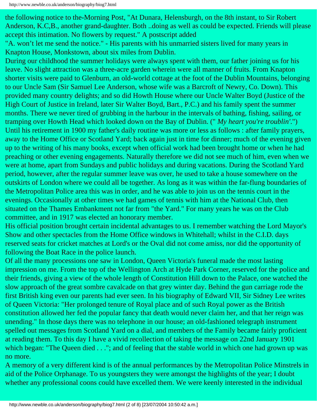the following notice to the-Morning Post, "At Dunara, Helensburgh, on the 8th instant, to Sir Robert Anderson, K.C,B., another grand-daughter. Both ..doing as well as could be expected. Friends will please accept this intimation. No flowers by request." A postscript added

"A. won't let me send the notice." - His parents with his unmarried sisters lived for many years in Knapton House, Monkstown, about six miles from Dublin.

During our childhood the summer holidays were always spent with them, our father joining us for his leave. No slight attraction was a three-acre garden wherein were all manner of fruits. From Knapton shorter visits were paid to Glenburn, an old-world cottage at the foot of the Dublin Mountains, belonging to our Uncle Sam (Sir Samuel Lee Anderson, whose wife was a Barcroft of Newry, Co. Down). This provided many country delights; and so did Howth House where our Uncle Walter Boyd (Justice of the High Court of Justice in Ireland, later Sir Walter Boyd, Bart., P.C.) and his family spent the summer months. There we never tired of grubbing in the harbour in the intervals of bathing, fishing, sailing, or tramping over Howth Head which looked down on the Bay of Dublin. (" *My heart you're troublin'*.") Until his retirement in 1900 my father's daily routine was more or less as follows : after family prayers, away to the Home Office or Scotland Yard; back again just in time for dinner; much of the evening given up to the writing of his many books, except when official work had been brought home or when he had preaching or other evening engagements. Naturally therefore we did not see much of him, even when we were at home, apart from Sundays and public holidays and during vacations. During the Scotland Yard period, however, after the regular summer leave was over, he used to take a house somewhere on the outskirts of London where we could all be together. As long as it was within the far-flung boundaries of the Metropolitan Police area this was in order, and he was able to join us on the tennis court in the evenings. Occasionally at other times we had games of tennis with him at the National Club, then situated on the Thames Embankment not far from "the Yard." For many years he was on the Club committee, and in 1917 was elected an honorary member.

His official position brought certain incidental advantages to us. I remember watching the Lord Mayor's Show and other spectacles from the Home Office windows in Whitehall; whilst in the C.I.D. days reserved seats for cricket matches at Lord's or the Oval did not come amiss, nor did the opportunity of following the Boat Race in the police launch.

Of all the many processions one saw in London, Queen Victoria's funeral made the most lasting impression on me. From the top of the Wellington Arch at Hyde Park Corner, reserved for the police and their friends, giving a view of the whole length of Constitution Hill down to the Palace, one watched the slow approach of the great sombre cavalcade on that grey winter day. Behind the gun carriage rode the first British king even our parents had ever seen. In his biography of Edward VII, Sir Sidney Lee writes of Queen Victoria: "Her prolonged tenure of Royal place and of such Royal power as the British constitution allowed her fed the popular fancy that death would never claim her, and that her reign was unending." In those days there was no telephone in our house; an old-fashioned telegraph instrument spelled out messages from Scotland Yard on a dial, and members of the Family became fairly proficient at reading them. To this day I have a vivid recollection of taking the message on 22nd January 1901 which began: "The Queen died . . ."; and of feeling that the stable world in which one had grown up was no more.

A memory of a very different kind is of the annual performances by the Metropolitan Police Minstrels in aid of the Police Orphanage. To us youngsters they were amongst the highlights of the year; I doubt whether any professional coons could have excelled them. We were keenly interested in the individual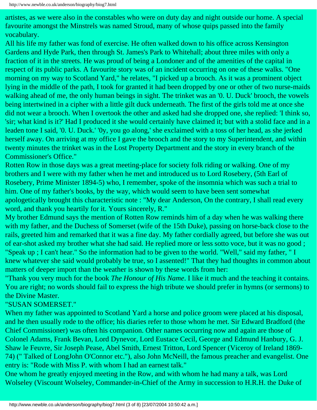artistes, as we were also in the constables who were on duty day and night outside our home. A special favourite amongst the Minstrels was named Stroud, many of whose quips passed into the family vocabulary.

All his life my father was fond of exercise. He often walked down to his office across Kensington Gardens and Hyde Park, then through St. James's Park to Whitehall; about three miles with only a fraction of it in the streets. He was proud of being a Londoner and of the amenities of the capital in respect of its public parks. A favourite story was of an incident occurring on one of these walks. "One morning on my way to Scotland Yard," he relates, "I picked up a brooch. As it was a prominent object lying in the middle of the path, I took for granted it had been dropped by one or other of two nurse-maids walking ahead of me, the only human beings in sight. The trinket was an '0. U. Duck' brooch, the vowels being intertwined in a cipher with a little gilt duck underneath. The first of the girls told me at once she did not wear a brooch. When I overtook the other and asked had she dropped one, she replied: 'I think so, 'sir; what kind is it?' Had I produced it she would certainly have claimed it; but with a stolid face and in a leaden tone I said, '0. U. Duck.' '0y, you go along,' she exclaimed with a toss of her head, as she jerked herself away. On arriving at my office I gave the brooch and the story to my Superintendent, and within twenty minutes the trinket was in the Lost Property Department and the story in every branch of the Commissioner's Office."

Rotten Row in those days was a great meeting-place for society folk riding or walking. One of my brothers and I were with my father when he met and introduced us to Lord Rosebery, (5th Earl of Rosebery, Prime Minister 1894-5) who, I remember, spoke of the insomnia which was such a trial to him. One of my father's books, by the way, which would seem to have been sent somewhat apologetically brought this characteristic note : "My dear Anderson, On the contrary, I shall read every word, and thank you heartily for it. Yours sincerely, R."

My brother Edmund says the mention of Rotten Row reminds him of a day when he was walking there with my father, and the Duchess of Somerset (wife of the 15th Duke), passing on horse-back close to the rails, greeted him and remarked that it was a fine day. My father cordially agreed, but before she was out of ear-shot asked my brother what she had said. He replied more or less sotto voce, but it was no good ; "Speak up ; I can't hear." So the information had to be given to the world. "Well," said my father, " I knew whatever she said would probably be true, so I assented!" That they had thoughts in common about matters of deeper import than the weather is shown by these words from her:

"Thank you very much for the book *The Honour of His Name*. I like it much and the teaching it contains. You are right; no words should fail to express the high tribute we should prefer in hymns (or sermons) to the Divine Master.

#### "SUSAN SOMERSET."

When my father was appointed to Scotland Yard a horse and police groom were placed at his disposal, and he then usually rode to the office; his diaries refer to those whom he met. Sir Edward Bradford (the Chief Commissioner) was often his companion. Other names occurring now and again are those of Colonel Adams, Frank Bevan, Lord Dynevor, Lord Eustace Cecil, George and Edmund Hanbury, G. J. Shaw le Feuvre, Sir Joseph Pease, Abel Smith, Ernest Tritton, Lord Spencer (Viceroy of Ireland 1869- 74) (" Talked of LongJohn O'Connor etc."), also John McNeill, the famous preacher and evangelist. One entry is: "Rode with Miss P. with whom I had an earnest talk."

One whom he greatly enjoyed meeting in the Row, and with whom he had many a talk, was Lord Wolseley (Viscount Wolseley, Commander-in-Chief of the Army in succession to H.R.H. the Duke of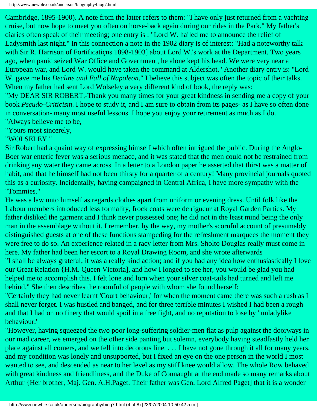Cambridge, 1895-1900). A note from the latter refers to them: "I have only just returned from a yachting cruise, but now hope to meet you often on horse-back again during our rides in the Park." My father's diaries often speak of their meeting; one entry is : "Lord W. hailed me to announce the relief of Ladysmith last night." In this connection a note in the 1902 diary is of interest: "Had a noteworthy talk with Sir R. Harrison of Fortifications 1898-1903] about Lord W.'s work at the Department. Two years ago, when panic seized War Office and Government, he alone kept his head. We were very near a European war, and Lord W. would have taken the command at Aldershot." Another diary entry is: "Lord W. gave me his *Decline and Fall of Napoleon*." I believe this subject was often the topic of their talks. When my father had sent Lord Wolseley a very different kind of book, the reply was:

"My DEAR SIR ROBERT,-Thank you many times for your great kindness in sending me a copy of your book *Pseudo-Criticism*. I hope to study it, and I am sure to obtain from its pages- as I have so often done in conversation- many most useful lessons. I hope you enjoy your retirement as much as I do. "Always believe me to be,

"Yours most sincerely,

"WOLSELEY."

Sir Robert had a quaint way of expressing himself which often intrigued the public. During the Anglo-Boer war enteric fever was a serious menace, and it was stated that the men could not be restrained from drinking any water they came across. In a letter to a London paper he asserted that thirst was a matter of habit, and that he himself had not been thirsty for a quarter of a century! Many provincial journals quoted this as a curiosity. Incidentally, having campaigned in Central Africa, I have more sympathy with the "Tommies."

He was a law unto himself as regards clothes apart from uniform or evening dress. Until folk like the Labour members introduced less formality, frock coats were de rigueur at Royal Garden Parties. My father disliked the garment and I think never possessed one; he did not in the least mind being the only man in the assemblage without it. I remember, by the way, my mother's scornful account of presumably distinguished guests at one of these functions stampeding for the refreshment marquees the moment they were free to do so. An experience related in a racy letter from Mrs. Sholto Douglas really must come in here. My father had been her escort to a Royal Drawing Room, and she wrote afterwards

"I shall be always grateful; it was a really kind action; and if you had any idea how enthusiastically I love our Great Relation {H.M. Queen Victoria], and how I longed to see her, you would be glad you had helped me to accomplish this. I felt lone and lorn when your silver coat-tails had turned and left me behind." She then describes the roomful of people with whom she found herself:

"Certainly they had never learnt 'Court behaviour,' for when the moment came there was such a rush as I shall never forget. I was hustled and banged, and for three terrible minutes I wished I had been a rough and that I had on no finery that would spoil in a free fight, and no reputation to lose by ' unladylike behaviour.'

"However, having squeezed the two poor long-suffering soldier-men flat as pulp against the doorways in our mad career, we emerged on the other side panting but solemn, everybody having steadfastly held her place against all comers, and we fell into decorous line. . . . I have not gone through it all for many years, and my condition was lonely and unsupported, but I fixed an eye on the one person in the world I most wanted to see, and descended as near to her level as my stiff knee would allow. The whole Row behaved with great kindness and friendliness, and the Duke of Connaught at the end made so many remarks about Arthur {Her brother, Maj. Gen. A.H.Paget. Their father was Gen. Lord Alfred Paget] that it is a wonder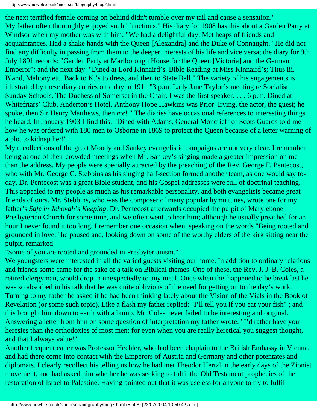the next terrified female coming on behind didn't tumble over my tail and cause a sensation." My father often thoroughly enjoyed such "functions." His diary for 1908 has this about a Garden Party at Windsor when my mother was with him: "We had a delightful day. Met heaps of friends and acquaintances. Had a shake hands with the Queen [Alexandra] and the Duke of Connaught." He did not find any difficulty in passing from them to the deeper interests of his life and vice versa; the diary for 9th July 1891 records: "Garden Party at Marlborough House for the Queen [Victoria] and the German Emperor"; and the next day: "Dined at Lord Kinnaird's. Bible Reading at Miss Kinnaird's; Titus iii. Bland, Mahony etc. Back to K.'s to dress, and then to State Ball." The variety of his engagements is illustrated by these diary entries on a day in 1911 "3 p.m. Lady Jane Taylor's meeting re Socialist Sunday Schools. The Duchess of Somerset in the Chair. I was the first speaker. . . . 6 p.m. Dined at Whitefriars' Club, Anderton's Hotel. Anthony Hope Hawkins was Prior. Irving, the actor, the guest; he spoke, then Sir Henry Matthews, then *me*! " The diaries have occasional references to interesting things he heard. In January 1903 I find this: "Dined with Adams. General Moncrieff of Scots Guards told me how he was ordered with 180 men to Osborne in 1869 to protect the Queen because of a letter warning of a plot to kidnap her!"

My recollections of the great Moody and Sankey evangelistic campaigns are not very clear. I remember being at one of their crowded meetings when Mr. Sankey's singing made a greater impression on me than the address. My people were specially attracted by the preaching of the Rev. George F. Pentecost, who with Mr. George C. Stebbins as his singing half-section formed another team, as one would say today. Dr. Pentecost was a great Bible student, and his Gospel addresses were full of doctrinal teaching. This appealed to my people as much as his remarkable personality, and both evangelists became great friends of ours. Mr. Stebbins, who was the composer of many popular hymn tunes, wrote one for my father's *Safe in Jehovah's Keeping*. Dr. Pentecost afterwards occupied the pulpit of Marylebone Presbyterian Church for some time, and we often went to hear him; although he usually preached for an hour I never found it too long. I remember one occasion when, speaking on the words "Being rooted and grounded in love," he paused and, looking down on some of the worthy elders of the kirk sitting near the pulpit, remarked:

"Some of you are rooted and grounded in Presbyterianism."

We youngsters were interested in all the varied guests visiting our home. In addition to ordinary relations and friends some came for the sake of a talk on Biblical themes. One of these, the Rev. J. J. B. Coles, a retired clergyman, would drop in unexpectedly to any meal. Once when this happened to be breakfast he was so absorbed in his talk that he was quite oblivious of the need for getting on to the day's work. Turning to my father he asked if he had been thinking lately about the Vision of the Vials in the Book of Revelation (or some such topic). Like a flash my father replied: "I'll tell you if you eat your fish" ; and this brought him down to earth with a bump. Mr. Coles never failed to be interesting and original. Answering a letter from him on some question of interpretation my father wrote: "I'd rather have your heresies than the orthodoxies of most men; for even when you are really heretical you suggest thought, and that I always value!"

Another frequent caller was Professor Hechler, who had been chaplain to the British Embassy in Vienna, and had there come into contact with the Emperors of Austria and Germany and other potentates and diplomats. I clearly recollect his telling us how he had met Theodor Hertzl in the early days of the Zionist movement, and had asked him whether he was seeking to fulfil the Old Testament prophecies of the restoration of Israel to Palestine. Having pointed out that it was useless for anyone to try to fulfil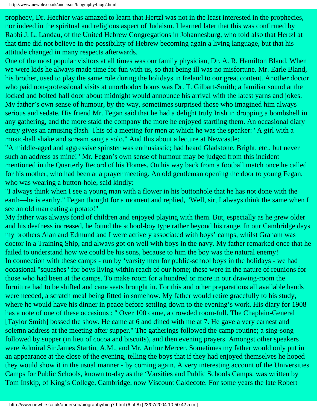prophecy, Dr. Hechier was amazed to learn that Hertzl was not in the least interested in the prophecies, nor indeed in the spiritual and religious aspect of Judaism. I learned later that this was confirmed by Rabbi J. L. Landau, of the United Hebrew Congregations in Johannesburg, who told also that Hertzl at that time did not believe in the possibility of Hebrew becoming again a living language, but that his attitude changed in many respects afterwards.

One of the most popular visitors at all times was our family physician, Dr. A. R. Hamilton Bland. When we were kids he always made time for fun with us, so that being ill was no misfortune. Mr. Earle Bland, his brother, used to play the same role during the holidays in Ireland to our great content. Another doctor who paid non-professional visits at unorthodox hours was Dr. T. Gilbart-Smith; a familiar sound at the locked and bolted hall door about midnight would announce his arrival with the latest yarns and jokes. My father's own sense of humour, by the way, sometimes surprised those who imagined him always serious and sedate. His friend Mr. Fegan said that he had a delight truly Irish in dropping a bombshell in any gathering, and the more staid the company the more he enjoyed startling them. An occasional diary entry gives an amusing flash. This of a meeting for men at which he was the speaker: "A girl with a music-hall shake and scream sang a solo." And this about a lecture at Newcastle:

"A middle-aged and aggressive spinster was enthusiastic; had heard Gladstone, Bright, etc., but never such an address as mine!" Mr. Fegan's own sense of humour may be judged from this incident mentioned in the Quarterly Record of his Homes. On his way back from a football match once he called for his mother, who had been at a prayer meeting. An old gentleman opening the door to young Fegan, who was wearing a button-hole, said kindly:

"I always think when I see a young man with a flower in his buttonhole that he has not done with the earth—he is earthy." Fegan thought for a moment and replied, "Well, sir, I always think the same when I see an old man eating a potato!"

My father was always fond of children and enjoyed playing with them. But, especially as he grew older and his deafness increased, he found the school-boy type rather beyond his range. In our Cambridge days my brothers Alan and Edmund and I were actively associated with boys' camps, whilst Graham was doctor in a Training Ship, and always got on well with boys in the navy. My father remarked once that he failed to understand how we could be his sons, because to him the boy was the natural enemy! In connection with these camps - run by 'varsity men for public-school boys in the holidays - we had occasional "squashes" for boys living within reach of our home; these were in the nature of reunions for those who had been at the camps. To make room for a hundred or more in our drawing-room the furniture had to be shifted and cane seats brought in. For this and other preparations all available hands were needed, a scratch meal being fitted in somehow. My father would retire gracefully to his study, where he would have his dinner in peace before settling down to the evening's work. His diary for 1908 has a note of one of these occasions : " Over 100 came, a crowded room-full. The Chaplain-General [Taylor Smith] bossed the show. He came at 6 and dined with me at 7. He gave a very earnest and solemn address at the meeting after supper." The gatherings followed the camp routine; a sing-song followed by supper (in lieu of cocoa and biscuits), and then evening prayers. Amongst other speakers were Admiral Sir James Startin, A.M., and Mr. Arthur Mercer. Sometimes my father would only put in an appearance at the close of the evening, telling the boys that if they had enjoyed themselves he hoped they would show it in the usual manner - by coming again. A very interesting account of the Universities Camps for Public Schools, known to-day as the 'Varsities and Public Schools Camps, was written by Tom Inskip, of King's College, Cambridge, now Viscount Caldecote. For some years the late Robert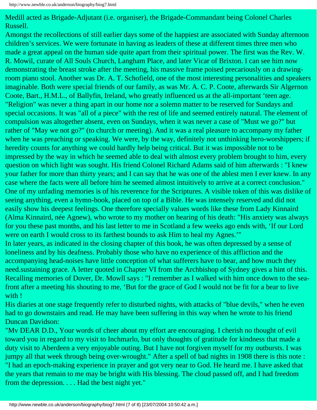Medill acted as Brigade-Adjutant (i.e. organiser), the Brigade-Commandant being Colonel Charles Russell.

Amongst the recollections of still earlier days some of the happiest are associated with Sunday afternoon children's services. We were fortunate in having as leaders of these at different times three men who made a great appeal on the human side quite apart from their spiritual power. The first was the Rev. W. R. Mowil, curate of All Souls Church, Langham Place, and later Vicar of Brixton. I can see him now demonstrating the breast stroke after the meeting, his massive frame poised precariously on a drawingroom piano stool. Another was Dr. A. T. Schofield, one of the most interesting personalities and speakers imaginable. Both were special friends of our family, as was Mr. A. C. P. Coote, afterwards Sir Algernon Coote, Bart., H.M.L., of Ballyfin, Ireland, who greatly influenced us at the all-important 'teen age. "Religion" was never a thing apart in our home nor a solemn matter to be reserved for Sundays and special occasions. It was "all of a piece" with the rest of life and seemed entirely natural. The element of compulsion was altogether absent, even on Sundays, when it was never a case of "Must we go?" but rather of "May we not go?" (to church or meeting). And it was a real pleasure to accompany my father when he was preaching or speaking. We were, by the way, definitely not unthinking hero-worshippers; if heredity counts for anything we could hardly help being critical. But it was impossible not to be impressed by the way in which he seemed able to deal with almost every problem brought to him, every question on which light was sought. His friend Colonel Richard Adams said of him afterwards : "I knew your father for more than thirty years; and I can say that he was one of the ablest men I ever knew. In any case where the facts were all before him he seemed almost intuitively to arrive at a correct conclusion." One of my unfading memories is of his reverence for the Scriptures. A visible token of this was dislike of seeing anything, even a hymn-book, placed on top of a Bible. He was intensely reserved and did not easily show his deepest feelings. One therefore specially values words like these from Lady Kinnaird (Alma Kinnaird, née Agnew), who wrote to my mother on hearing of his death: "His anxiety was always for you these past months, and his last letter to me in Scotland a few weeks ago ends with, 'If our Lord were on earth I would cross to its farthest bounds to ask Him to heal my Agnes.'" In later years, as indicated in the closing chapter of this book, he was often depressed by a sense of loneliness and by his deafness. Probably those who have no experience of this affliction and the accompanying head-noises have little conception of what sufferers have to bear, and how much they

need.sustaining grace. A letter quoted in Chapter VI from the Archbishop of Sydney gives a hint of this. Recalling memories of Dover, Dr. Mowll says : "I remember as I walked with him once down to the seafront after a meeting his shouting to me, 'But for the grace of God I would not be fit for a bear to live with !

His diaries at one stage frequently refer to disturbed nights, with attacks of "blue devils," when he even had to go downstairs and read. He may have been suffering in this way when he wrote to his friend Duncan Davidson:

"Mv DEAR D.D., Your words of cheer about my effort are encouraging. I cherish no thought of evil toward you in regard to my visit to Inchmarlo, but only thoughts of gratitude for kindness that made a duty visit to Aberdeen a very enjoyable outing. But I have not forgiven myself for my outbursts. I was jumpy all that week through being over-wrought." After a spell of bad nights in 1908 there is this note : "I had an epoch-making experience in prayer and got very near to God. He heard me. I have asked that the years that remain to me may be bright with His blessing. The cloud passed off, and I had freedom from the depression. . . . Had the best night yet."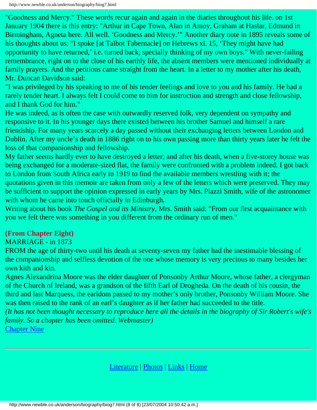"Goodness and Mercy." These words recur again and again in the diaries throughout his life. on 1st January 1904 there is this entry: "Arthur in Cape Town, Alan in Amoy, Graham at Haslar, Edmund in Birmingham, Agneta here. All well. 'Goodness and Mercy.'" Another diary note in 1895 reveals some of his thoughts about us: "I spoke [at Talbot Tabernacle] on Hebrews xi. 15, 'They might have had opportunity to have returned,' i.e. turned back; specially thinking of my own boys." With never-failing remembrance, right on to the close of his earthly life, the absent members were mentioned individually at family prayers. And the petitions came straight from the heart. In a letter to my mother after his death, Mr. Duncan Davidson said:

"I was privileged by his speaking to me of his tender feelings and love to you and his family. He had a rarely tender heart. I always felt I could come to him for instruction and strength and close fellowship, and I thank God for him."

He was indeed, as is often the case with outwardly reserved folk, very dependent on sympathy and responsive to it. In his younger days there existed between his brother Samuel and himself a rare friendship. For many years scarcely a day passed without their exchanging letters between London and Dublin. After my uncle's death in 1886 right on to his own passing more than thirty years later he felt the loss of that companionship and fellowship.

My father seems hardly ever to have destroyed a letter; and after his death, when a five-storey house was being exchanged for a moderate-sized flat, the family were confronted with a problem indeed. I got back to London from South Africa early in 1919 to find the available members wrestling with it; the quotations given in this memoir are taken from only a few of the letters which were preserved. They may be sufficient to support the opinion expressed in early years by Mrs. Piazzi Smith, wife of the astronomer with whom he came into touch officially in Edinburgh.

Writing about his book *The Gospel and its Ministry*, Mrs. Smith said: "From our first acquaintance with you we felt there was something in you different from the ordinary run of men."

#### **(From Chapter Eight)**

#### MARRIAGE - in 1873

FROM the age of thirty-two until his death at seventy-seven my father had the inestimable blessing of the companionship and selfless devotion of the one whose memory is very precious to many besides her own kith and kin.

Agnes Alexandrina Moore was the elder daughter of Ponsonby Arthur Moore, whose father, a clergyman of the Church of Ireland, was a grandson of the fifth Earl of Drogheda. On the death of his cousin, the third and last Marquess, the earldom passed to my mother's only brother, Ponsonby William Moore. She was then raised to the rank of an earl's daughter as if her father had succeeded to the title.

*(It has not been thought necessary to reproduce here all the details in the biography of Sir Robert's wife's family. So a chapter has been omitted. Webmaster)*

[Chapter Nine](#page-64-0)

[Literature](http://www.newble.co.uk/anderson/literature.html) | [Photos](http://www.newble.co.uk/anderson/photos.html) | [Links](http://www.newble.co.uk/anderson/links.html) | [Home](http://www.newble.co.uk/anderson/index.html)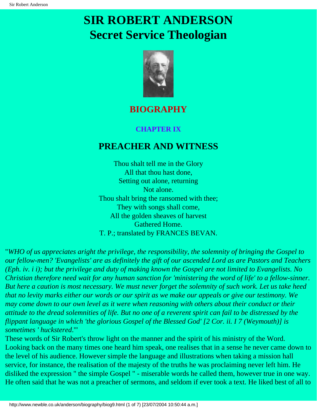## <span id="page-64-0"></span>**SIR ROBERT ANDERSON Secret Service Theologian**



### **BIOGRAPHY**

#### **CHAPTER IX**

### **PREACHER AND WITNESS**

Thou shalt tell me in the Glory All that thou hast done, Setting out alone, returning Not alone. Thou shalt bring the ransomed with thee; They with songs shall come, All the golden sheaves of harvest Gathered Home. T. P.; translated by FRANCES BEVAN.

"*WHO of us appreciates aright the privilege, the responsibility, the solemnity of bringing the Gospel to our fellow-men? 'Evangelists' are as definitely the gift of our ascended Lord as are Pastors and Teachers (Eph. iv. i i); but the privilege and duty of making known the Gospel are not limited to Evangelists. No Christian therefore need wait for any human sanction for 'ministering the word of life' to a fellow-sinner. But here a caution is most necessary. We must never forget the solemnity of such work. Let us take heed that no levity marks either our words or our spirit as we make our appeals or give our testimony. We may come down to our own level as it were when reasoning with others about their conduct or their attitude to the dread solemnities of life. But no one of a reverent spirit can fail to be distressed by the flippant language in which 'the glorious Gospel of the Blessed God' [2 Cor. ii. I 7 (Weymouth)] is sometimes ' huckstered*.'"

These words of Sir Robert's throw light on the manner and the spirit of his ministry of the Word. Looking back on the many times one heard him speak, one realises that in a sense he never came down to the level of his audience. However simple the language and illustrations when taking a mission hall service, for instance, the realisation of the majesty of the truths he was proclaiming never left him. He disliked the expression " the simple Gospel " - miserable words he called them, however true in one way. He often said that he was not a preacher of sermons, and seldom if ever took a text. He liked best of all to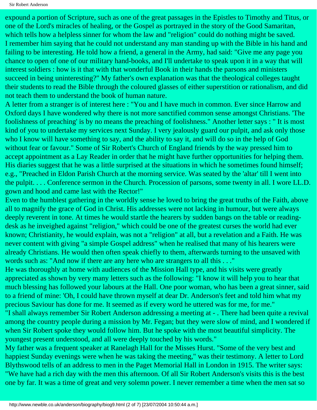Sir Robert Anderson

expound a portion of Scripture, such as one of the great passages in the Epistles to Timothy and Titus, or one of the Lord's miracles of healing, or the Gospel as portrayed in the story of the Good Samaritan, which tells how a helpless sinner for whom the law and "religion" could do nothing might be saved. I remember him saying that he could not understand any man standing up with the Bible in his hand and failing to be interesting. He told how a friend, a general in the Army, had said: "Give me any page you chance to open of one of our military hand-books, and I'll undertake to speak upon it in a way that will interest soldiers : how is it that with that wonderful Book in their hands the parsons and ministers succeed in being uninteresting?" My father's own explanation was that the theological colleges taught their students to read the Bible through the coloured glasses of either superstition or rationalism, and did not teach them to understand the book of human nature.

A letter from a stranger is of interest here : "You and I have much in common. Ever since Harrow and Oxford days I have wondered why there is not more sanctified common sense amongst Christians. 'The foolishness of preaching' is by no means the preaching of foolishness." Another letter says : " It is most kind of you to undertake my services next Sunday. I very jealously guard our pulpit, and ask only those who I know will have something to say, and the ability to say it, and will do so in the help of God without fear or favour." Some of Sir Robert's Church of England friends by the way pressed him to accept appointment as a Lay Reader in order that he might have further opportunities for helping them. His diaries suggest that he was a little surprised at the situations in which he sometimes found himself; e.g., "Preached in Eldon Parish Church at the morning service. Was seated by the 'altar' till I went into the pulpit. . . . Conference sermon in the Church. Procession of parsons, some twenty in all. I wore LL.D. gown and hood and came last with the Rector!"

Even to the humblest gathering in the worldly sense he loved to bring the great truths of the Faith, above all to magnify the grace of God in Christ. His addresses were not lacking in humour, but were always deeply reverent in tone. At times he would startle the hearers by sudden bangs on the table or readingdesk as he inveighed against "religion," which could be one of the greatest curses the world had ever known; Christianity, he would explain, was not a "religion" at all, but a revelation and a Faith. He was never content with giving "a simple Gospel address" when he realised that many of his hearers were already Christians. He would then often speak chiefly to them, afterwards turning to the unsaved with words such as: "And now if there are any here who are strangers to all this . . ."

He was thoroughly at home with audiences of the Mission Hall type, and his visits were greatly appreciated as shown by very many letters such as the following: "I know it will help you to hear that much blessing has followed your labours at the Hall. One poor woman, who has been a great sinner, said to a friend of mine: 'Oh, I could have thrown myself at dear Dr. Anderson's feet and told him what my precious Saviour has done for me. It seemed as if every word he uttered was for me, for me."

"I shall always remember Sir Robert Anderson addressing a meeting at - . There had been quite a revival among the country people during a mission by Mr. Fegan; but they were slow of mind, and I wondered if when Sir Robert spoke they would follow him. But he spoke with the most beautiful simplicity. The youngest present understood, and all were deeply touched by his words."

My father was a frequent speaker at Ranelagh Hall for the Misses Hurst. "Some of the very best and happiest Sunday evenings were when he was taking the meeting," was their testimony. A letter to Lord Blythswood tells of an address to men in the Paget Memorial Hall in London in 1915. The writer says: "We have had a rich day with the men this afternoon. Of all Sir Robert Anderson's visits this is the best one by far. It was a time of great and very solemn power. I never remember a time when the men sat so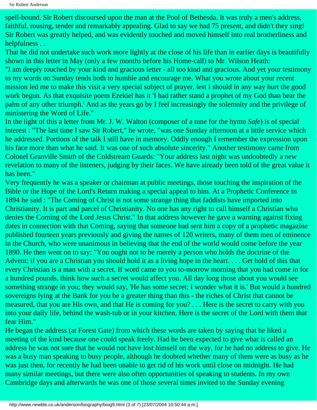spell-bound. Sir Robert discoursed upon the man at the Pool of Bethesda. It was truly a men's address, faithful, rousing, tender and remarkably appealing. Glad to say we had 75 present, and didn't they sing! Sir Robert was greatly helped, and was evidently touched and moved himself into real brotherliness and helpfulness . .

That he did not undertake such work more lightly at the close of his life than in earlier days is beautifully shown in this letter in May (only a few months before his Home-call) to Mr. Wilson Heath: "I am deeply touched by your kind and gracious letter - all too kind and gracious. And yet your testimony to my words on Sunday tends both to humble and encourage me. What you wrote about your recent mission led me to make this visit a very special subject of prayer, lest I should in any way hurt the good work begun. As that exquisite poem Ezekiel has it 'I had rather stand a prophet of my God than bear the palm of any other triumph.' And as the years go by I feel increasingly the solemnity and the privilege of ministering the Word of Life."

In the light of this a letter from Mr. J. W. Walton (composer of a tune for the hymn *Safe*) is of special interest : "The last time I saw Sir Robert," he wrote, "was one Sunday afternoon at a little service which he addressed. Portions of the talk I still have in memory. Oddly enough I remember the expression upon his face more than what he said. It was one of such absolute sincerity." Another testimony came from Colonel Granville Smith of the Coldstream Guards: "Your address last night was undoubtedly a new revelation to many of the listeners, judging by their faces. We have already been told of the great value it has been."

Very frequently he was a speaker or chairman at public meetings, those touching the inspiration of the Bible or the Hope of the Lord's Return making a special appeal to him. At a Prophetic Conference in 1894 he said : "The Coming of Christ is not some strange thing that faddists have imported into Christianity. It is part and parcel of Christianity. No one has any right to call himself a Christian who denies the Coming of the Lord Jesus Christ." In that address however he gave a warning against fixing dates in connection with that Coming, saying that someone had sent him a copy of a prophetic magazine published fourteen years previously and giving the names of 120 writers, many of them men of eminence in the Church, who were unanimous in believing that the end of the world would come before the year 1890. He then went on to say: "You ought not to be merely a person who holds the doctrine of the Advent; if you are a Christian you should hold it as a living hope in the heart. . . . Get hold of this that every Christian is a man with a secret. If word came to you to-morrow morning that you had come in for a hundred pounds, think how such a secret would affect you. All day long those about you would see something strange in you; they would say, 'He has some secret; I wonder what it is.' But would a hundred sovereigns lying at the Bank for you be a greater thing than this - the riches of Christ that cannot be measured, that you are His own, and that He is coming for you? . . . Here is the secret to carry with you into your daily life, behind the wash-tub or in your kitchen. Here is the secret of the Lord with them that fear Him."

He began the address (at Forest Gate) from which these words are taken by saying that he liked a meeting of the kind because one could speak freely. Had he been expected to give what is called an address he was not sure that he would not have lost himself on the way, for he had no address to give. He was a busy man speaking to busy people, although he doubted whether many of them were as busy as he was just then, for recently he had been unable to get rid of his work until close on midnight. He had many similar meetings, but there were also often opportunities of speaking to students. In my own Cambridge days and afterwards he was one of those several times invited to the Sunday evening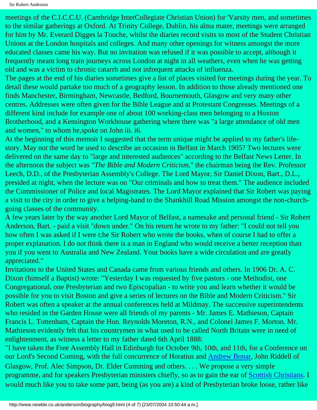meetings of the C.I.C.C.U. (Cambridge InterCollegiate Christian Union) for 'Varsity men, and sometimes to the similar gatherings at Oxford. At Trinity College, Dublin, his alma mater, meetings were arranged for him by Mr. Everard Digges la Touche, whilst the diaries record visits to most of the Student Christian Unions at the London hospitals and colleges. And many other openings for witness amongst the more educated classes came his way. But no invitation was refused if it was possible to accept, although it frequently meant long train journeys across London at night in all weathers, even when he was getting old and was a victim to chronic catarrh and not infrequent attacks of influenza.

The pages at the end of his diaries sometimes give a list of places visited for meetings during the year. To detail these would partake too much of a geography lesson. In addition to those already mentioned one finds Manchester, Birmingham, Newcastle, Bedford, Bournemouth, Glasgow and very many other centres. Addresses were often given for the Bible League and at Protestant Congresses. Meetings of a different kind include for example one of about 100 working-class men belonging to a Hoxton Brotherhood, and a Kensington Workhouse gathering where there was "a large attendance of old men and women," to whom he,spoke on John iii. i6.

At the beginning of this memoir I suggested that the term unique might be applied to my father's lifestory. May not the word be used to describe an occasion in Belfast in March 1905? Two lectures were delivered on the same day to "large and interested audiences" according to the Belfast News Letter. In the afternoon the subject was "*The Bible and Modern Criticism*," the chairman being the Rev. Professor Leech, D.D., of the Presbyterian Assembly's College. The Lord Mayor, Sir Daniel Dixon, Bart., D.L., presided at night, when the lecture was on "Our criminals and how to treat them." The audience included the Commissioner of Police and local Magistrates. The Lord Mayor explained that Sir Robert was paying a visit to the city in order to give a helping-hand to the Shankhill Road Mission amongst the non-churchgoing classes of the community.

A few years later by the way another Lord Mayor of Belfast, a namesake and personal friend - Sir Robert Anderson, Bart. - paid a visit "down under." On his return he wrote to my father: "I could not tell you how often I was asked if I were t;he Sir Robert who wrote the books, when of course I had to offer a proper explanation. I do not think there is a man in England who would receive a better reception than you if you went to Australia and New Zealand. Your books have a wide circulation and are greatly appreciated."

Invitations to the United States and Canada came from various friends and others. In 1906 Dr. A. C. Dixon (himself a Baptist) wrote: "Yesterday I was requested by five pastors - one Methodist, one Congregational, one Presbyterian and two Episcopalian - to write you and learn whether it would be possible for you to visit Boston and give a series of lectures on the Bible and Modern Criticism." Sir Robert was often a speaker at the annual conferences held at Mildmay. The successive superintendents who resided in the Garden House were all friends of my parents - Mr. James E. Mathieson, Captain Francis L. Tottenham, Captain the Hon. Reynolds Moreton, R.N., and Colonel James F. Morton. Mr. Mathieson evidently felt that his countrymen in what used to be called North Britain were in need of enlightenment, as witness a letter to my father dated 6th April 1888:

"I have taken the Free Assembly Hall in Edinburgh for October 9th, 10th, and 11th, for a Conference on our Lord's Second Coming, with the full concurrence of Horatius and [Andrew Bonar,](http://www.newblehome.co.uk/bonar/) John Riddell of Glasgow, Prof. Alec Simpson, Dr. Elder Cumming and others. . . . We propose a very simple programme, and for speakers Presbyterian ministers chiefly, so as to gain the ear of [Scottish Christians.](http://www.newble.co.uk/hall/) I would much like you to take some part, being (as you are) a kind of Presbyterian broke loose, rather like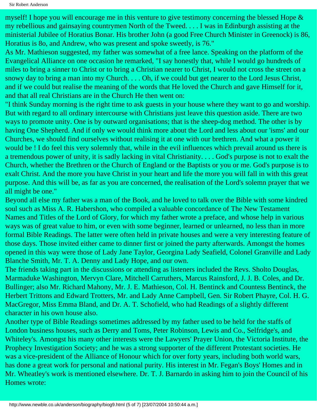myself! I hope you will encourage me in this venture to give testimony concerning the blessed Hope & my rebellious and gainsaying countrymen North of the Tweed. . . . I was in Edinburgh assisting at the ministerial Jubilee of Horatius Bonar. His brother John (a good Free Church Minister in Greenock) is 86, Horatius is 8o, and Andrew, who was present and spoke sweetly, is 76."

As Mr. Mathieson suggested, my father was somewhat of a free lance. Speaking on the platform of the Evangelical Alliance on one occasion he remarked, "I say honestly that, while I would go hundreds of miles to bring a sinner to Christ or to bring a Christian nearer to Christ, I would not cross the street on a snowy day to bring a man into my Church. . . . Oh, if we could but get nearer to the Lord Jesus Christ, and if we could but realise the meaning of the words that He loved the Church and gave Himself for it, and that all real Christians are in the Church He then went on:

"I think Sunday morning is the right time to ask guests in your house where they want to go and worship. But with regard to all ordinary intercourse with Christians just leave this question aside. There are two ways to promote unity. One is by outward organisations; that is the sheep-dog method. The other is by having One Shepherd. And if only we would think more about the Lord and less about our 'isms' and our Churches, we should find ourselves without realising it at one with our brethren. And what a power it would be ! I do feel this very solemnly that, while in the evil influences which prevail around us there is a tremendous power of unity, it is sadly lacking in vital Christianity. . . . God's purpose is not to exalt the Church, whether the Brethren or the Church of England or the Baptists or you or me. God's purpose is to exalt Christ. And the more you have Christ in your heart and life the more you will fall in with this great purpose. And this will be, as far as you are concerned, the realisation of the Lord's solemn prayer that we all might be one."

Beyond all else my father was a man of the Book, and he loved to talk over the Bible with some kindred soul such as Miss A. R. Habershon, who compiled a valuable concordance of The New Testament Names and Titles of the Lord of Glory, for which my father wrote a preface, and whose help in various ways was of great value to him, or even with some beginner, learned or unlearned, no less than in more formal Bible Readings. The latter were often held in private houses and were a very interesting feature of those days. Those invited either came to dinner first or joined the party afterwards. Amongst the homes opened in this way were those of Lady Jane Taylor, Georgina Lady Seafield, Colonel Granville and Lady Blanche Smith, Mr. T. A. Denny and Lady Hope, and our own.

The friends taking part in the discussions or attending as listeners included the Revs. Sholto Douglas, Marmaduke Washington, Mervyn Clare, Mitchell Carruthers, Marcus Rainsford, J. J. B. Coles, and Dr. Bullinger; also Mr. Richard Mahony, Mr. J. E. Mathieson, Col. H. Bentinck and Countess Bentinck, the Herbert Trittons and Edward Trotters, Mr. and Lady Anne Campbell, Gen. Sir Robert Phayre, Col. H. G. MacGregor, Miss Emma Bland, and Dr. A. T. Schofield, who had Readings of a slightly different character in his own house also.

Another type of Bible Readings sometimes addressed by my father used to be held for the staffs of London business houses, such as Derry and Toms, Peter Robinson, Lewis and Co., Selfridge's, and Whiteley's. Amongst his many other interests were the Lawyers' Prayer Union, the Victoria Institute, the Prophecy Investigation Society; and he was a strong supporter of the different Protestant societies. He was a vice-president of the Alliance of Honour which for over forty years, including both world wars, has done a great work for personal and national purity. His interest in Mr. Fegan's Boys' Homes and in Mr. Wheatley's work is mentioned elsewhere. Dr. T. J. Barnardo in asking him to join the Council of his Homes wrote: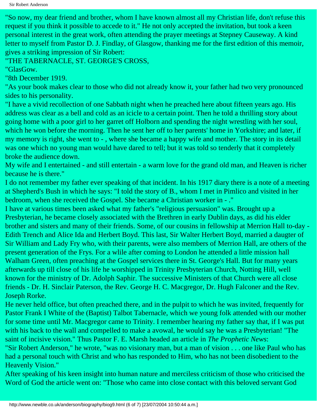Sir Robert Anderson

"So now, my dear friend and brother, whom I have known almost all my Christian life, don't refuse this request if you think it possible to accede to it." He not only accepted the invitation, but took a keen personal interest in the great work, often attending the prayer meetings at Stepney Causeway. A kind letter to myself from Pastor D. J. Findlay, of Glasgow, thanking me for the first edition of this memoir, gives a striking impression of Sir Robert:

"THE TABERNACLE, ST. GEORGE'S CROSS,

"GlasGow.

"8th December 1919.

"As your book makes clear to those who did not already know it, your father had two very pronounced sides to his personality.

"I have a vivid recollection of one Sabbath night when he preached here about fifteen years ago. His address was clear as a bell and cold as an icicle to a certain point. Then he told a thrilling story about going home with a poor girl to her garret off Holborn and spending the night wrestling with her soul, which he won before the morning. Then he sent her off to her parents' home in Yorkshire; and later, if my memory is right, she went to - , where she became a happy wife and mother. The story in its detail was one which no young man would have dared to tell; but it was told so tenderly that it completely broke the audience down.

My wife and I entertained - and still entertain - a warm love for the grand old man, and Heaven is richer because he is there."

I do not remember my father ever speaking of that incident. In his 1917 diary there is a note of a meeting at Shepherd's Bush in which he says: "I told the story of B., whom I met in Pimlico and visited in her bedroom, when she received the Gospel. She became a Christian worker in - ."

I have at various times been asked what my father's "religious persuasion" was. Brought up a Presbyterian, he became closely associated with the Brethren in early Dublin days, as did his elder brother and sisters and many of their friends. Some, of our cousins in fellowship at Merrion Hall to-day - Edith Trench and Alice Ida and Herbert Boyd. This last, Sir Walter Herbert Boyd, married a daugter of Sir William and Lady Fry who, with their parents, were also members of Merrion Hall, are others of the present generation of the Frys. For a wlile after coming to London he attended a little mission hall Walham Green, often preaching at the Gospel services there in St. George's Hall. But for many years afterwards up till close of his life he worshipped in Trinity Presbyterian Church, Notting Hill, well known for the ministry of Dr. Adolph Saphir. The successive Ministers of that Church were all close friends - Dr. H. Sinclair Paterson, the Rev. George H. C. Macgregor, Dr. Hugh Falconer and the Rev. Joseph Rorke.

He never held office, but often preached there, and in the pulpit to which he was invited, frequently for Pastor Frank I White of the (Baptist) Talbot Tabernacle, which we young folk attended with our mother for some time until Mr. Macgregor came to Trinity. I remember hearing my father say that, if I was put with his back to the wall and compelled to make a avowal, he would say he was a Presbyterian! "The saint of incisive vision." Thus Pastor F. E. Marsh headed an article in *The Prophetic News*:

"Sir Robert Anderson," he wrote, "was no visionary man, but a man of vision . . . one like Paul who has had a personal touch with Christ and who has responded to Him, who has not been disobedient to the Heavenly Vision."

After speaking of his keen insight into human nature and merciless criticism of those who criticised the Word of God the article went on: "Those who came into close contact with this beloved servant God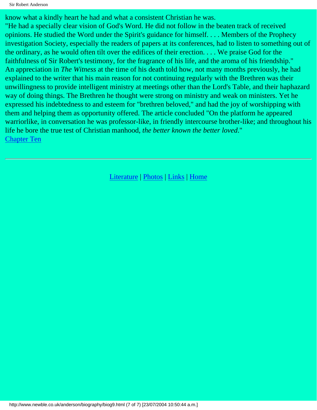Sir Robert Anderson

know what a kindly heart he had and what a consistent Christian he was.

"He had a specially clear vision of God's Word. He did not follow in the beaten track of received opinions. He studied the Word under the Spirit's guidance for himself. . . . Members of the Prophecy investigation Society, especially the readers of papers at its conferences, had to listen to something out of the ordinary, as he would often tilt over the edifices of their erection. . . . We praise God for the faithfulness of Sir Robert's testimony, for the fragrance of his life, and the aroma of his friendship." An appreciation in *The Witness* at the time of his death told how, not many months previously, he had explained to the writer that his main reason for not continuing regularly with the Brethren was their unwillingness to provide intelligent ministry at meetings other than the Lord's Table, and their haphazard way of doing things. The Brethren he thought were strong on ministry and weak on ministers. Yet he expressed his indebtedness to and esteem for "brethren beloved," and had the joy of worshipping with them and helping them as opportunity offered. The article concluded "On the platform he appeared warriorlike, in conversation he was professor-like, in friendly intercourse brother-like; and throughout his life he bore the true test of Christian manhood, *the better known the better loved*." [Chapter Ten](#page-71-0)

[Literature](http://www.newble.co.uk/anderson/literature.html) | [Photos](http://www.newble.co.uk/anderson/photos.html) | [Links](http://www.newble.co.uk/anderson/links.html) | [Home](http://www.newble.co.uk/anderson/index.html)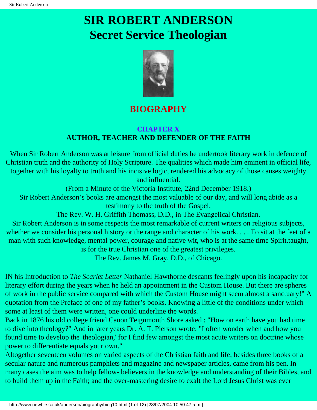## <span id="page-71-0"></span>**SIR ROBERT ANDERSON Secret Service Theologian**



### **BIOGRAPHY**

#### **CHAPTER X AUTHOR, TEACHER AND DEFENDER OF THE FAITH**

When Sir Robert Anderson was at leisure from official duties he undertook literary work in defence of Christian truth and the authority of Holy Scripture. The qualities which made him eminent in official life, together with his loyalty to truth and his incisive logic, rendered his advocacy of those causes weighty and influential.

(From a Minute of the Victoria Institute, 22nd December 1918.) Sir Robert Anderson's books are amongst the most valuable of our day, and will long abide as a testimony to the truth of the Gospel.

The Rev. W. H. Griffith Thomass, D.D., in The Evangelical Christian.

Sir Robert Anderson is in some respects the most remarkable of current writers on religious subjects, whether we consider his personal history or the range and character of his work. . . . To sit at the feet of a man with such knowledge, mental power, courage and native wit, who is at the same time Spirit.taught, is for the true Christian one of the greatest privileges.

The Rev. James M. Gray, D.D., of Chicago.

IN his Introduction to *The Scarlet Letter* Nathaniel Hawthorne descants feelingly upon his incapacity for literary effort during the years when he held an appointment in the Custom House. But there are spheres of work in the public service compared with which the Custom House might seem almost a sanctuary!" A quotation from the Preface of one of my father's books. Knowing a little of the conditions under which some at least of them were written, one could underline the words.

Back in 1876 his old college friend Canon Teignmouth Shore asked : "How on earth have you had time to dive into theology?" And in later years Dr. A. T. Pierson wrote: "I often wonder when and how you found time to develop the 'theologian,' for I find few amongst the most acute writers on doctrine whose power to differentiate equals your own."

Altogether seventeen volumes on varied aspects of the Christian faith and life, besides three books of a secular nature and numerous pamphlets and magazine and newspaper articles, came from his pen. In many cases the aim was to help fellow- believers in the knowledge and understanding of their Bibles, and to build them up in the Faith; and the over-mastering desire to exalt the Lord Jesus Christ was ever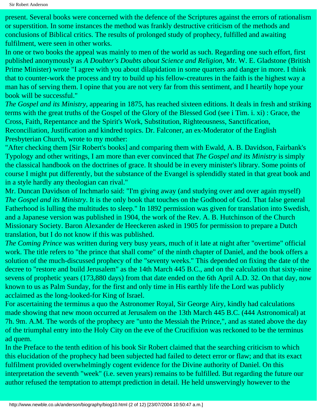present. Several books were concerned with the defence of the Scriptures against the errors of rationalism or superstition. In some instances the method was frankly destructive criticism of the methods and conclusions of Biblical critics. The results of prolonged study of prophecy, fulfilled and awaiting fulfilment, were seen in other works.

In one or two books the appeal was mainly to men of the world as such. Regarding one such effort, first published anonymously as *A Doubter's Doubts about Science and Religion*, Mr. W. E. Gladstone (British Prime Minister) wrote "I agree with you about dilapidation in some quarters and danger in more. I think that to counter-work the process and try to build up his fellow-creatures in the faith is the highest way a man has of serving them. I opine that you are not very far from this sentiment, and I heartily hope your book will be successful."

*The Gospel and its Ministry*, appearing in 1875, has reached sixteen editions. It deals in fresh and striking terms with the great truths of the Gospel of the Glory of the Blessed God (see i Tim. i. xi) : Grace, the Cross, Faith, Repentance and the Spirit's Work, Substitution, Righteousness, Sanctification, Reconciliation, Justification and kindred topics. Dr. Falconer, an ex-Moderator of the English Presbyterian Church, wrote to my mother:

"After checking them [Sir Robert's books] and comparing them with Ewald, A. B. Davidson, Fairbank's Typology and other writings, I am more than ever convinced that *The Gospel and its Ministry* is simply the classical handbook on the doctrines of grace. It should be in every minister's library. Some points of course I might put differently, but the substance of the Evangel is splendidly stated in that great book and in a style hardly any theologian can rival."

Mr. Duncan Davidson of Inchmarlo said: "I'm giving away (and studying over and over again myself) *The Gospel and its Ministry*. It is the only book that touches on the Godhood of God. That false general Fatherhood is lulling the multitudes to sleep." In 1892 permission was given for translation into Swedish, and a Japanese version was published in 1904, the work of the Rev. A. B. Hutchinson of the Church Missionary Society. Baron Alexander de Heeckeren asked in 1905 for permission to prepare a Dutch translation, but I do not know if this was published.

*The Coming Prince* was written during very busy years, much of it late at night after "overtime" official work. The title refers to "the prince that shall come" of the ninth chapter of Daniel, and the book offers a solution of the much-discussed prophecy of the "seventy weeks." This depended on fixing the date of the decree to "restore and build Jerusalem" as the 14th March 445 B.C., and on the calculation that sixty-nine sevens of prophetic years (173,880 days) from that date ended on the 6th April A.D. 32. On that day, now known to us as Palm Sunday, for the first and only time in His earthly life the Lord was publicly acclaimed as the long-looked-for King of Israel.

For ascertaining the terminus a quo the Astronomer Royal, Sir George Airy, kindly had calculations made showing that new moon occurred at Jerusalem on the 13th March 445 B.C. (444 Astronomical) at 7h. 9m. A.M. The words of the prophecy are "unto the Messiah the Prince,", and as stated above the day of the triumphal entry into the Holy City on the eve of the Crucifixion was reckoned to be the terminus ad quem.

In the Preface to the tenth edition of his book Sir Robert claimed that the searching criticism to which this elucidation of the prophecy had been subjected had failed to detect error or flaw; and that its exact fulfilment provided overwhelmingly cogent evidence for the Divine authority of Daniel. On this interpretation the seventh "week" (i.e. seven years) remains to be fulfilled. But regarding the future our author refused the temptation to attempt prediction in detail. He held unswervingly however to the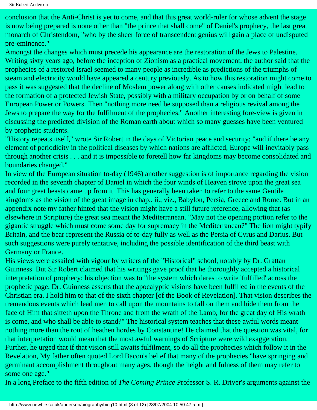conclusion that the Anti-Christ is yet to come, and that this great world-ruler for whose advent the stage is now being prepared is none other than "the prince that shall come" of Daniel's prophecy, the last great monarch of Christendom, "who by the sheer force of transcendent genius will gain a place of undisputed pre-eminence."

Amongst the changes which must precede his appearance are the restoration of the Jews to Palestine. Writing sixty years ago, before the inception of Zionism as a practical movement, the author said that the prophecies of a restored Israel seemed to many people as incredible as predictions of the triumphs of steam and electricity would have appeared a century previously. As to how this restoration might come to pass it was suggested that the decline of Moslem power along with other causes indicated might lead to the formation of a protected Jewish State, possibly with a military occupation by or on behalf of some European Power or Powers. Then "nothing more need be supposed than a religious revival among the Jews to prepare the way for the fulfilment of the prophecies." Another interesting fore-view is given in discussing the predicted division of the Roman earth about which so many guesses have been ventured by prophetic students.

"History repeats itself," wrote Sir Robert in the days of Victorian peace and security; "and if there be any element of periodicity in the political diseases by which nations are afflicted, Europe will inevitably pass through another crisis . . . and it is impossible to foretell how far kingdoms may become consolidated and boundaries changed."

In view of the European situation to-day (1946) another suggestion is of importance regarding the vision recorded in the seventh chapter of Daniel in which the four winds of Heaven strove upon the great sea and four great beasts came up from it. This has generally been taken to refer to the same Gentile kingdoms as the vision of the great image in chap.. ii., viz., Babylon, Persia, Greece and Rome. But in an appendix note my father hinted that the vision might have a still future reference, allowing that (as elsewhere in Scripture) the great sea meant the Mediterranean. "May not the opening portion refer to the gigantic struggle which must come some day for supremacy in the Mediterranean?" The lion might typify Britain, and the bear represent the Russia of to-day fully as well as the Persia of Cyrus and Darius. But such suggestions were purely tentative, including the possible identification of the third beast with Germany or France.

His views were assailed with vigour by writers of the "Historical" school, notably by Dr. Grattan Guinness. But Sir Robert claimed that his writings gave proof that he thoroughly accepted a historical interpretation of prophecy; his objection was to "the system which dares to write 'fulfilled' across the prophetic page. Dr. Guinness asserts that the apocalyptic visions have been fulfilled in the events of the Christian era. I hold him to that of the sixth chapter [of the Book of Revelation]. That vision describes the tremendous events which lead men to call upon the mountains to fall on them and hide them from the face of Him that sitteth upon the Throne and from the wrath of the Lamb, for the great day of His wrath is come, and who shall be able to stand?" The historical system teaches that these awful words meant nothing more than the rout of heathen hordes by Constantine! He claimed that the question was vital, for that interpretation would mean that the most awful warnings of Scripture were wild exaggeration. Further, he urged that if that vision still awaits fulfilment, so do all the prophecies which follow it in the Revelation, My father often quoted Lord Bacon's belief that many of the prophecies "have springing and germinant accomplishment throughout many ages, though the height and fulness of them may refer to some one age."

In a long Preface to the fifth edition of *The Coming Prince* Professor S. R. Driver's arguments against the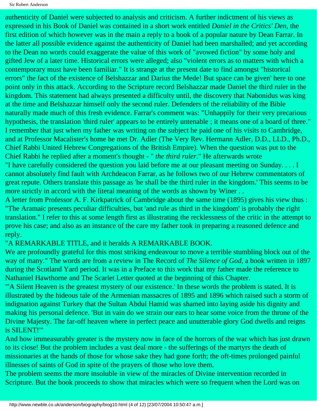authenticity of Daniel were subjected to analysis and criticism. A further indictment of his views as expressed in his Book of Daniel was contained in a short work entitled *Daniel in the Critics' Den*, the first edition of which however was in the main a reply to a book of a popular nature by Dean Farrar. In the latter all possible evidence against the authenticity of Daniel had been marshalled; and yet according to the Dean no words could exaggerate the value of this work of "avowed fiction" by some holy and gifted Jew of a later time. Historical errors were alleged; also "violent errors as to matters with which a contemporary must have been familiar." It is strange at the present date to find amongst "historical errors" the fact of the existence of Belshazzar and Darius the Mede! But space can be given' here to one point only in this attack. According to the Scripture record Belshazzar made Daniel the third ruler in the kingdom. This statement had always presented a difficulty until, the discovery that Nabonidus was king at the time and Belshazzar himself only the second ruler. Defenders of the reliability of the Bible naturally made much of this fresh evidence. Farrar's comment was: "Unhappily for their very precarious hypothesis, the translation 'third ruler' appears to be entirely untenable ; it means one of a board of three." I remember that just when my father was writing on the subject he paid one of his visits to Cambridge, and at Professor Macalister's home he met Dr. Adler (The Very Rev. Hermann Adler, D.D., LLD., Ph.D., Chief Rabbi United Hebrew Congregations of the British Empire). When the question was put to the Chief Rabbi he replied after a moment's thought - " *the third ruler*." He afterwards wrote "I have carefully considered the question you laid before me at our pleasant meeting on Sunday. . . . I cannot absolutely find fault with Archdeacon Farrar, as he follows two of our Hebrew commentators of great repute. Others translate this passage as 'he shall be the third ruler in the kingdom.' This seems to be

more strictly in accord with the literal meaning of the words as shown by Winer..

A letter from Professor A. F. Kirkpatrick of Cambridge about the same time (1895) gives his view thus : "The Aramaic presents peculiar difficulties, but 'and rule as third in the kingdom' is probably the right translation." I refer to this at some length first as illustrating the recklessness of the critic in the attempt to prove his case; and also as an instance of the care my father took in preparing a reasoned defence and reply.

#### "A REMARKABLE TITLE, and it heralds A REMARKABLE BOOK.

We are profoundly grateful for this most striking endeavour to move a terrible stumbling block out of the way of many." The words are from a review in The Record of *The Silence of God,* a book written in 1897 during the Scotland Yard period. It was in a Preface to this work that my father made the reference to Nathaniel Hawthorne and The Scarlet Letter quoted at the beginning of this Chapter.

"'A Silent Heaven is the greatest mystery of our existence.' In these words the problem is stated. It is illustrated by the hideous tale of the Armenian massacres of 1895 and 1896 which raised such a storm of indignation against Turkey that the Sultan Abdul Hamid was shamed into laying aside his dignity and making his personal defence. 'But in vain do we strain our ears to hear some voice from the throne of the Divine Majesty. The far-off heaven where in perfect peace and unutterable glory God dwells and reigns is SILENT!'"

And how immeasurably greater is the mystery now in face of the horrors of the war which has just drawn to its close! But the problem includes a vast deal more - the sufferings of the martyrs the death of missionaries at the hands of those for whose sake they had gone forth; the oft-times prolonged painful illnesses of saints of God in spite of the prayers of those who love them.

The problem seems the more insoluble in view of the miracles of Divine intervention recorded in Scripture. But the book proceeds to show that miracles which were so frequent when the Lord was on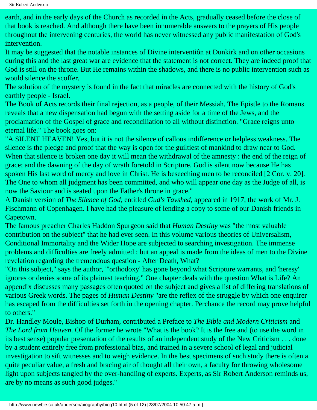earth, and in the early days of the Church as recorded in the Acts, gradually ceased before the close of that book is reached. And although there have been innumerable answers to the prayers of His people throughout the intervening centuries, the world has never witnessed any public manifestation of God's intervention.

It may be suggested that the notable instances of Divine interventiôn at Dunkirk and on other occasions during this and the last great war are evidence that the statement is not correct. They are indeed proof that God is still on the throne. But He remains within the shadows, and there is no public intervention such as would silence the scoffer.

The solution of the mystery is found in the fact that miracles are connected with the history of God's earthly people - Israel.

The Book of Acts records their final rejection, as a people, of their Messiah. The Epistle to the Romans reveals that a new dispensation had begun with the setting aside for a time of the Jews, and the proclamation of the Gospel of grace and reconciliation to all without distinction. "Grace reigns unto eternal life." The book goes on:

"A SILENT HEAVEN! Yes, but it is not the silence of callous indifference or helpless weakness. The silence is the pledge and proof that the way is open for the guiltiest of mankind to draw near to God. When that silence is broken one day it will mean the withdrawal of the amnesty : the end of the reign of grace; and the dawning of the day of wrath foretold in Scripture. God is silent now because He has spoken His last word of mercy and love in Christ. He is beseeching men to be reconciled [2 Cor. v. 20]. The One to whom all judgment has been committed, and who will appear one day as the Judge of all, is now the Saviour and is seated upon the Father's throne in grace."

A Danish version of *The Silence of God*, entitled *Gud's Tavshed*, appeared in 1917, the work of Mr. J. Fischmann of Copenhagen. I have had the pleasure of lending a copy to some of our Danish friends in Capetown.

The famous preacher Charles Haddon Spurgeon said that *Human Destiny* was "the most valuable contribution on the subject" that he had ever seen. In this volume various theories of Universalism, Conditional Immortality and the Wider Hope are subjected to searching investigation. The immense problems and difficulties are freely admitted ; but an appeal is made from the ideas of men to the Divine revelation regarding the tremendous question - After Death, What?

"On this subject," says the author, "'orthodoxy' has gone beyond what Scripture warrants, and 'heresy' ignores or denies some of its plainest teaching." One chapter deals with the question What is Life? An appendix discusses many passages often quoted on the subject and gives a list of differing translations of various Greek words. The pages of *Human Destiny* "are the reflex of the struggle by which one enquirer has escaped from the difficulties set forth in the opening chapter. Perchance the record may prove helpful to others."

Dr. Handley Moule, Bishop of Durham, contributed a Preface to *The Bible and Modern Criticism* and *The Lord from Heaven*. Of the former he wrote "What is the book? It is the free and (to use the word in its best sense) popular presentation of the results of an independent study of the New Criticism . . . done by a student entirely free from professional bias, and trained in a severe school of legal and judicial investigation to sift witnesses and to weigh evidence. In the best specimens of such study there is often a quite peculiar value, a fresh and bracing air of thought all their own, a faculty for throwing wholesome light upon subjects tangled by the over-handling of experts. Experts, as Sir Robert Anderson reminds us, are by no means as such good judges."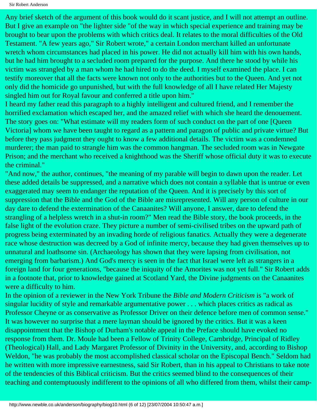Any brief sketch of the argument of this book would do it scant justice, and I will not attempt an outline. But I give an example on "the lighter side "of the way in which special experience and training may be brought to bear upon the problems with which critics deal. It relates to the moral difficulties of the Old Testament. "A few years ago," Sir Robert wrote," a certain London merchant killed an unfortunate wretch whom circumstances had placed in his power. He did not actually kill him with his own hands, but he had him brought to a secluded room prepared for the purpose. And there he stood by while his victim was strangled by a man whom he had hired to do the deed. I myself examined the place. I can testify moreover that all the facts were known not only to the authorities but to the Queen. And yet not only did the homicide go unpunished, but with the full knowledge of all I have related Her Majesty singled him out for Royal favour and conferred a title upon him."

I heard my father read this paragraph to a highly intelligent and cultured friend, and I remember the horrified exclamation which escaped her, and the amazed relief with which she heard the denouement. The story goes on: "What estimate will my readers form of such conduct on the part of one [Queen Victoria] whom we have been taught to regard as a pattern and paragon of public and private virtue? But before they pass judgment they ought to know a few additional details. The victim was a condemned murderer; the man paid to strangle him was the common hangman. The secluded room was in Newgate Prison; and the merchant who received a knighthood was the Sheriff whose official duty it was to execute the criminal."

"And now," the author, continues, "the meaning of my parable will begin to dawn upon the reader. Let these added details be suppressed, and a narrative which does not contain a syllable that is untrue or even exaggerated may seem to endanger the reputation of the Queen. And it is precisely by this sort of suppression that the Bible and the God of the Bible are misrepresented. Will any person of culture in our day dare to defend the extermination of the Canaanites? Will anyone, I answer, dare to defend the strangling of a helpless wretch in a shut-in room?" Men read the Bible story, the book proceeds, in the false light of the evolution craze. They picture a number of semi-civilised tribes on the upward path of progress being exterminated by an invading horde of religious fanatics. Actually they were a degenerate race whose destruction was decreed by a God of infinite mercy, because they had given themselves up to unnatural and loathsome sin. (Archaeology has shown that they were lapsing from civilisation, not emerging from barbarism.) And God's mercy is seen in the fact that Israel were left as strangers in a foreign land for four generations, "because the iniquity of the Amorites was not yet full." Sir Robert adds in a footnote that, prior to knowledge gained at Scotland Yard, the Divine judgments on the Canaanites were a difficulty to him.

In the opinion of a reviewer in the New York Tribune the *Bible and Modern Criticism* is "a work of singular lucidity of style and remarkable argumentative power . . . which places critics as radical as Professor Cheyne or as conservative as Professor Driver on their defence before men of common sense." It was however no surprise that a mere layman should be ignored by the critics. But it was a keen disappointment that the Bishop of Durham's notable appeal in the Preface should have evoked no response from them. Dr. Moule had been a Fellow of Trinity College, Cambridge, Principal of Ridley (Theological) Hall, and Lady Margaret Professor of Divinity in the University, and, according to Bishop Weldon, "he was probably the most accomplished classical scholar on the Episcopal Bench." Seldom had he written with more impressive earnestness, said Sir Robert, than in his appeal to Christians to take note of the tendencies of this Biblical criticism. But the critics seemed blind to the consequences of their teaching and contemptuously indifferent to the opinions of all who differed from them, whilst their camp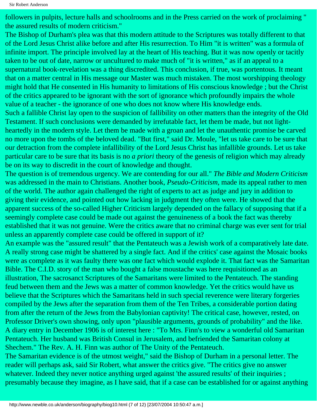followers in pulpits, lecture halls and schoolrooms and in the Press carried on the work of proclaiming " the assured results of modern criticism."

The Bishop of Durham's plea was that this modern attitude to the Scriptures was totally different to that of the Lord Jesus Christ alike before and after His resurrection. To Him "it is written" was a formula of infinite import. The principle involved lay at the heart of His teaching. But it was now openly or tacitly taken to be out of date, narrow or uncultured to make much of "it is written," as if an appeal to a supernatural book-revelation was a thing discredited. This conclusion, if true, was portentous. It meant that on a matter central in His message our Master was much mistaken. The most worshipping theology might hold that He consented in His humanity to limitations of His conscious knowledge ; but the Christ of the critics appeared to be ignorant with the sort of ignorance which profoundly impairs the whole value of a teacher - the ignorance of one who does not know where His knowledge ends.

Such a fallible Christ lay open to the suspicion of fallibility on other matters than the integrity of the Old Testament. If such conclusions were demanded by irrefutable fact, let them be made, but not lightheartedly in the modern style. Let them be made with a groan and let the unauthentic promise be carved no more upon the tombs of the beloved dead. "But first," said Dr. Moule, "let us take care to be sure that our detraction from the complete infallibility of the Lord Jesus Christ has infallible grounds. Let us take particular care to be sure that its basis is no *a priori* theory of the genesis of religion which may already be on its way to discredit in the court of knowledge and thought.

The question is of tremendous urgency. We are contending for our all." *The Bible and Modern Criticism* was addressed in the main to Christians. Another book, *Pseudo-Criticism*, made its appeal rather to men of the world. The author again challenged the right of experts to act as judge and jury in addition to giving their evidence, and pointed out how lacking in judgment they often were. He showed that the apparent success of the so-called Higher Criticism largely depended on the fallacy of supposing that if a seemingly complete case could be made out against the genuineness of a book the fact was thereby established that it was not genuine. Were the critics aware that no criminal charge was ever sent for trial unless an apparently complete case could be offered in support of it?

An example was the "assured result" that the Pentateuch was a Jewish work of a comparatively late date. A really strong case might be shattered by a single fact. And if the critics' case against the Mosaic books were as complete as it was faulty there was one fact which would explode it. That fact was the Samaritan Bible. The C.I.D. story of the man who bought a false moustache was here requisitioned as an illustration, The sacrosanct Scriptures of the Samaritans were limited to the Pentateuch. The standing feud between them and the Jews was a matter of common knowledge. Yet the critics would have us believe that the Scriptures which the Samaritans held in such special reverence were literary forgeries compiled by the Jews after the separation from them of the Ten Tribes, a considerable portion dating from after the return of the Jews from the Babylonian captivity! The critical case, however, rested, on Professor Driver's own showing, only upon "plausible arguments, grounds of probability" and the like. A diary entry in December 1906 is of interest here : "To Mrs. Finn's to view a wonderful old Samaritan Pentateuch. Her husband was British Consul in Jerusalem, and befriended the Samaritan colony at Shechem." The Rev. A. H. Finn was author of The Unity of the Pentateuch.

The Samaritan evidence is of the utmost weight," said the Bishop of Durham in a personal letter. The reader will perhaps ask, said Sir Robert, what answer the critics give. "The critics give no answer whatever. Indeed they never notice anything urged against 'the assured results' of their inquiries; presumably because they imagine, as I have said, that if a case can be established for or against anything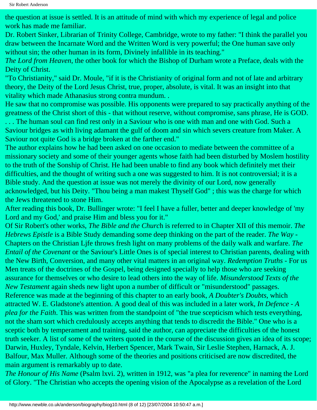the question at issue is settled. It is an attitude of mind with which my experience of legal and police work has made me familiar.

Dr. Robert Sinker, Librarian of Trinity College, Cambridge, wrote to my father: "I think the parallel you draw between the Incarnate Word and the Written Word is very powerful; the One human save only without sin; the other human in its form, Divinely infallible in its teaching."

*The Lord from Heaven*, the other book for which the Bishop of Durham wrote a Preface, deals with the Deity of Christ.

"To Christianity," said Dr. Moule, "if it is the Christianity of original form and not of late and arbitrary theory, the Deity of the Lord Jesus Christ, true, proper, absolute, is vital. It was an insight into that vitality which made Athanasius strong contra mundum. .

He saw that no compromise was possible. His opponents were prepared to say practically anything of the greatness of the Christ short of this - that without reserve, without compromise, sans phrase, He is GOD.

. . . The human soul can find rest only in a Saviour who is one with man and one with God. Such a Saviour bridges as with living adamant the gulf of doom and sin which severs creature from Maker. A Saviour not quite God is a bridge broken at the farther end."

The author explains how he had been asked on one occasion to mediate between the committee of a missionary society and some of their younger agents whose faith had been disturbed by Moslem hostility to the truth of the Sonship of Christ. He had been unable to find any book which definitely met their difficulties, and the thought of writing such a one was suggested to him. It is not controversial; it is a Bible study. And the question at issue was not merely the divinity of our Lord, now generally acknowledged, but his Deity. "Thou being a man makest Thyself God" ; this was the charge for which the Jews threatened to stone Him.

After reading this book, Dr. Bullinger wrote: "I feel I have a fuller, better and deeper knowledge of 'my Lord and my God,' and praise Him and bless you for it."

Of Sir Robert's other works, *The Bible and the Churc*h is referred to in Chapter XII of this memoir. *The Hebrews Epistle* is a Bible Study demanding some deep thinking on the part of the reader. *The Way* - Chapters on the Christian Ljfe throws fresh light on many problems of the daily walk and warfare. *The Entail of the Covenant* or the Saviour's Little Ones is of special interest to Christian parents, dealing with the New Birth, Conversion, and many other vital matters in an original way. *Redemption Truths* - For us Men treats of the doctrines of the Gospel, being designed specially to help those who are seeking assurance for themselves or who desire to lead others into the way of life. *Misunderstood Texts of the New Testament* again sheds new light upon a number of difficult or "misunderstood" passages. Reference was made at the beginning of this chapter to an early book, *A Doubter's Doubts*, which attracted W. E. Gladstone's attention. A good deal of this was included in a later work, *In Defence - A plea for the Faith*. This was written from the standpoint of "the true scepticism which tests everything, not the sham sort which credulously accepts anything that tends to discredit the Bible." One who is a sceptic both by temperament and training, said the author, can appreciate the difficulties of the honest truth seeker. A list of some of the writers quoted in the course of the discussion gives an idea of its scope; Darwin, Huxley, Tyndale, Kelvin, Herbert Spencer, Mark Twain, Sir Leslie Stephen, Harnack, A. J. Balfour, Max Muller. Although some of the theories and positions criticised are now discredited, the main argument is remarkably up to date.

*The Honour of His Name* (Psalm lxvi. 2), written in 1912, was "a plea for reverence" in naming the Lord of Glory. "The Christian who accepts the opening vision of the Apocalypse as a revelation of the Lord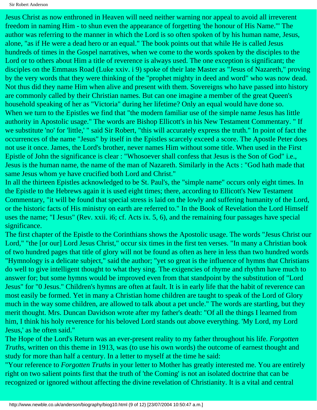Jesus Christ as now enthroned in Heaven will need neither warning nor appeal to avoid all irreverent freedom in naming Him - to shun even the appearance of forgetting 'the honour of His Name.'" The author was referring to the manner in which the Lord is so often spoken of by his human name, Jesus, alone, "as if He were a dead hero or an equal." The book points out that while He is called Jesus hundreds of times in the Gospel narratives, when we come to the words spoken by the disciples to the Lord or to others about Him a title of reverence is always used. The one exception is significant; the disciples on the Emmaus Road (Luke xxiv. i 9) spoke of their late Master as "Jesus of Nazareth," proving by the very words that they were thinking of the "prophet mighty in deed and word" who was now dead. Not thus did they name Him when alive and present with them. Sovereigns who have passed into history are commonly called by their Christian names. But can one imagine a member of the great Queen's household speaking of her as "Victoria" during her lifetime? Only an equal would have done so. When we turn to the Epistles we find that "the modern familiar use of the simple name Jesus has little authority in Apostolic usage." The words are Bishop Ellicott's in his New Testament Commentary. " If we substitute 'no' for 'little,' " said Sir Robert, "this will accurately express the truth." In point of fact the occurrences of the name "Jesus" by itself in the Epistles scarcely exceed a score. The Apostle Peter does not use it once. James, the Lord's brother, never names Him without some title. When used in the First Epistle of John the significance is clear : "Whosoever shall confess that Jesus is the Son of God" i.e., Jesus is the human name, the name of the man of Nazareth. Similarly in the Acts : "God hath made that same Jesus whom ye have crucified both Lord and Christ."

In all the thirteen Epistles acknowledged to be St. Paul's, the "simple name" occurs only eight times. In the Epistle to the Hebrews again it is used eight times; there, according to Ellicott's New Testament Commentary, "it will be found that special stress is laid on the lowly and suffering humanity of the Lord, or the historic facts of His ministry on earth are referred to." In the Book of Revelation the Lord Himself uses the name; "I Jesus" (Rev. xxii. i6; cf. Acts ix. 5, 6), and the remaining four passages have special significance.

The first chapter of the Epistle to the Corinthians shows the Apostolic usage. The words "Jesus Christ our Lord," "the [or our] Lord Jesus Christ," occur six times in the first ten verses. "In many a Christian book of two hundred pages that title of glory will not be found as often as here in less than two hundred words "Hymnology is a delicate subject," said the author; "yet so great is the influence of hymns that Christians do well to give intelligent thought to what they sing. The exigencies of rhyme and rhythm have much to answer for; but some hymns would be improved even from that standpoint by the substitution of "Lord Jesus" for "0 Jesus." Children's hymns are often at fault. It is in early life that the habit of reverence can most easily be formed. Yet in many a Christian home children are taught to speak of the Lord of Glory much in the way some children, are allowed to talk about a pet uncle." The words are startling, but they merit thought. Mrs. Duncan Davidson wrote after my father's death: "Of all the things I learned from him, I think his holy reverence for his beloved Lord stands out above everything. 'My Lord, my Lord Jesus,' as he often said."

The Hope of the Lord's Return was an ever-present reality to my father throughout his life. *Forgotten Truths*, written on this theme in 1913, was (to use his own words) the outcome of earnest thought and study for more than half a century. In a letter to myself at the time he said:

"Your reference to *Forgotten Truths* in your letter to Mother has greatly interested me. You are entirely right on two salient points first that the truth of 'the Coming' is not an isolated doctrine that can be recognized or ignored without affecting the divine revelation of Christianity. It is a vital and central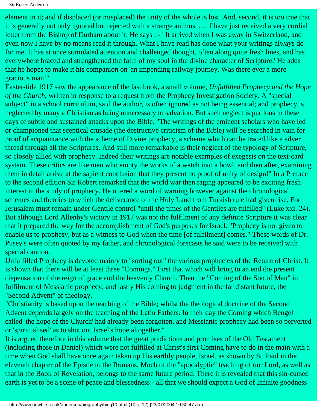Sir Robert Anderson

element in it; and if displaced (or misplaced) the unity of the whole is lost. And, second, it is too true that it is generally not only ignored but rejected with a strange animus. . . . I have just received a very cordial letter from the Bishop of Durham about it. He says : - 'It arrived when I was away in Switzerland, and even now I have by no means read it through. What I have read has done what your writings always do for me. It has at once stimulated attention and challenged thought, often along quite fresh lines, and has everywhere braced and strengthened the faith of my soul in the divine character of Scripture.' He adds that he hopes to make it his companion on 'an impending railway journey. Was there ever a more gracious man!"

Easter-tide 1917 saw the appearance of the last book, a small volume, *Unfulfilled Prophecy and the Hope of the Church*, written in response to a request from the Prophecy Investigation Society. A "special subject" in a school curriculum, said the author, is often ignored as not being essential; and prophecy is neglected by many a Christian as being unnecessary to salvation. But such neglect is perilous in these days of subtle and sustained attacks upon the Bible. "The writings of the eminent scholars who have led or championed that sceptical crusade (the destructive criticism of the Bible) will be searched in vain for proof of acquaintance with the scheme of Divine prophecy, a scheme which can be traced like a silver thread through all the Scriptures. And still more remarkable is their neglect of the typology of Scripture, so closely allied with prophecy. Indeed their writings are notable examples of exegesis on the text-card system. These critics are like men who empty the works of a watch into a bowl, and then after, examining them in detail arrive at the sapient conclusion that they present no proof of unity of design!" In a Preface to the second edition Sir Robert remarked that the world war then raging appeared to be exciting fresh interest in the study of prophecy. He uttered a word of warning however against the chronological schemes and theories to which the deliverance of the Holy Land from Turkish rule had given rise. For Jerusalem must remain under Gentile control "until the times of the Gentiles are fulfilled" (Luke xxi. 24). But although Lord Allenby's victory in 1917 was not the fulfilment of any definite Scripture it was clear that it prepared the way for the accomplishment of God's purposes for Israel. "Prophecy is not given to enable us to prophesy, but as a witness to God when the time [of fulfilment] comes." These words of Dr. Pusey's were often quoted by my father, and chronological forecasts he said were to be received with special caution.

Unfulfilled Prophecy is devoted mainly to "sorting out" the various prophecies of the Return of Christ. It is shown that there will be at least three "Comings." First that which will bring to an end the present dispensation of the reign of grace and the heavenly Church. Then the "Coming of the Son of Man" in fulfilment of Messianic prophecy; and lastly His coming to judgment in the far distant future, the "Second Advent" of theology.

"Christianity is based upon the teaching of the Bible; whilst the theological doctrine of the Second Advent depends largely on the teaching of the Latin Fathers. In their day the Coming which Bengel called 'the hope of the Church' had already been forgotten, and Messianic prophecy had been so perverted or 'spiritualised' as to shut out Israel's hope altogether."

It is argued therefore in this volume that the great predictions and promises of the Old Testament (including those in Daniel) which were not fulfilled at Christ's first Coming have to do in the main with a time when God shall have once again taken up His earthly people, Israel, as shown by St. Paul in the eleventh chapter of the Epistle to the Romans. Much of the "apocalyptic" teaching of our Lord, as well as that in the Book of Revelation, belongs to the same future period. There it is revealed that this sin-cursed earth is yet to be a scene of peace and blessedness - all that we should expect a God of Infinite goodness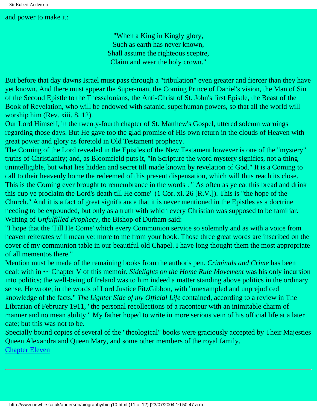#### and power to make it:

"When a King in Kingly glory, Such as earth has never known, Shall assume the righteous sceptre, Claim and wear the holy crown."

But before that day dawns Israel must pass through a "tribulation" even greater and fiercer than they have yet known. And there must appear the Super-man, the Coming Prince of Daniel's vision, the Man of Sin of the Second Epistle to the Thessalonians, the Anti-Christ of St. John's first Epistle, the Beast of the Book of Revelation, who will be endowed with satanic, superhuman powers, so that all the world will worship him (Rev. xiii. 8, 12).

Our Lord Himself, in the twenty-fourth chapter of St. Matthew's Gospel, uttered solemn warnings regarding those days. But He gave too the glad promise of His own return in the clouds of Heaven with great power and glory as foretold in Old Testament prophecy.

The Coming of the Lord revealed in the Epistles of the New Testament however is one of the "mystery" truths of Christianity; and, as Bloomfield puts it, "in Scripture the word mystery signifies, not a thing unintelligible, but what lies hidden and secret till made known by revelation of God." It is a Coming to call to their heavenly home the redeemed of this present dispensation, which will thus reach its close. This is the Coming ever brought to remembrance in the words : " As often as ye eat this bread and drink this cup ye proclaim the Lord's death till He come" (1 Cor. xi. 26 [R.V.]). This is "the hope of the Church." And it is a fact of great significance that it is never mentioned in the Epistles as a doctrine needing to be expounded, but only as a truth with which every Christian was supposed to be familiar. Writing of *Unfulfilled Prophecy*, the Bishop of Durham said:

"I hope that the 'Till He Come' which every Communion service so solemnly and as with a voice from heaven reiterates will mean yet more to me from your book. Those three great words are inscribed on the cover of my communion table in our beautiful old Chapel. I have long thought them the most appropriate of all mementos there."

Mention must be made of the remaining books from the author's pen. *Criminals and Crime* has been dealt with in •~ Chapter V of this memoir. *Sidelights on the Home Rule Movement* was his only incursion into politics; the well-being of Ireland was to him indeed a matter standing above politics in the ordinary sense. He wrote, in the words of Lord Justice FitzGibbon, with "unexampled and unprejudiced knowledge of the facts." *The Lighter Side of my Official Life* contained, according to a review in The Librarian of February 1911, "the personal recollections of a raconteur with an inimitable charm of manner and no mean ability." My father hoped to write in more serious vein of his official life at a later date; but this was not to be.

Specially bound copies of several of the "theological" books were graciously accepted by Their Majesties Queen Alexandra and Queen Mary, and some other members of the royal family. [Chapter Eleven](#page-83-0)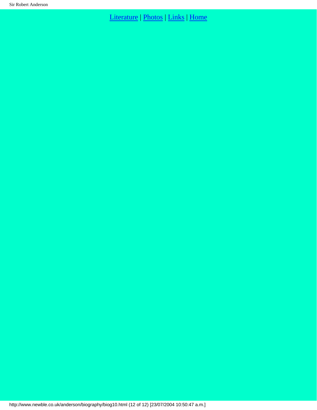## [Literature](http://www.newble.co.uk/anderson/literature.html) | [Photos](http://www.newble.co.uk/anderson/photos.html) | [Links](http://www.newble.co.uk/anderson/links.html) | [Home](http://www.newble.co.uk/anderson/index.html)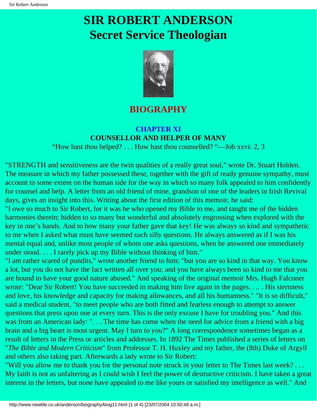# <span id="page-83-0"></span>**SIR ROBERT ANDERSON Secret Service Theologian**



## **BIOGRAPHY**

#### **CHAPTER XI COUNSELLOR AND HELPER OF MANY**

"How hast thou helped? . . . How hast thou counselled? "—Job xxvi: 2, 3

"STRENGTH and sensitiveness are the twin qualities of a really great soul," wrote Dr. Stuart Holden. The measure in which my father possessed these, together with the gift of ready genuine sympathy, must account to some extent on the human side for the way in which so many folk appealed to him confidently for counsel and help. A letter from an old friend of mine, grandson of one of the leaders in Irish Revival days, gives an insight into this. Writing about the first edition of this memoir, he said:

"I owe so much to Sir Robert, for it was he who opened my Bible to me, and taught me of the hidden harmonies therein; hidden to so many but wonderful and absolutely engrossing when explored with the key in one's hands. And to how many your father gave that key! He was always so kind and sympathetic to me when I asked what must have seemed such silly questions. He always answered as if I was his mental equal and, unlike most people of whom one asks questions, when he answered one immediately under stood. . . . I rarely pick up my Bible without thinking of him."

"I am rather scared of pundits," wrote another friend to him; "but you are so kind in that way. You know a lot, but you do not have the fact written all over you; and you have always been so kind to me that you are bound to have your good nature abused." And speaking of the original memoir Mrs. Hugh Falconer wrote: "Dear Sir Robert! You have succeeded in making him live again in the pages. . .. . His sternness and love, his knowledge and capacity for making allowances, and all his humanness." "It is so difficult," said a medical student, "to meet people who are both fitted and fearless enough to attempt to answer questions that press upon one at every turn. This is the only excuse I have for troubling you." And this was from an American lady: "... The time has come when the need for advice from a friend with a big brain and a big heart is most urgent. May I turn to you?" A long correspondence sometimes began as a result of letters in the Press or articles and addresses. In 1892 The Times published a series of letters on "*The Bible and Modern Criticism*" from Professor T. H. Huxley and my father, the (8th) Duke of Argyll and others also taking part. Afterwards a lady wrote to Sir Robert:

"Will you allow me to thank you for the personal note struck in your letter to The Times last week? . . . My faith is not as unfaltering as I could wish I feel the power of destructive criticism. I have taken a great interest in the letters, but none have appealed to me like yours or satisfied my intelligence as well." And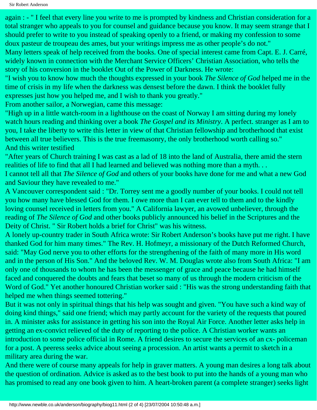again : - " I feel that every line you write to me is prompted by kindness and Christian consideration for a total stranger who appeals to you for counsel and guidance because you know. It may seem strange that I should prefer to write to you instead of speaking openly to a friend, or making my confession to some doux pasteur de troupeau des ames, but your writings impress me as other people's do not." Many letters speak of help received from the books. One of special interest came from Capt. E. J. Carré, widely known in connection with the Merchant Service Officers' Christian Association, who tells the

story of his conversion in the booklet Out of the Power of Darkness. He wrote:

"I wish you to know how much the thoughts expressed in your book *The Silence of God* helped me in the time of crisis in my life when the darkness was densest before the dawn. I think the booklet fully expresses just how you helped me, and I wish to thank you greatly."

From another sailor, a Norwegian, came this message:

"High up in a little watch-room in a lighthouse on the coast of Norway I am sitting during my lonely watch hours reading and thinking over a book *The Gospel and its Ministry*. A perfect. stranger as I am to you, I take the liberty to write this letter in view of that Christian fellowship and brotherhood that exist between all true believers. This is the true freemasonry, the only brotherhood worth calling so." And this writer testified

"After years of Church training I was cast as a lad of 18 into the land of Australia, there amid the stern realities of life to find that all I had learned and believed was nothing more than a myth. . .

I cannot tell all that *The Silence of God* and others of your books have done for me and what a new God and Saviour they have revealed to me."

A Vancouver correspondent said : "Dr. Torrey sent me a goodly number of your books. I could not tell you how many have blessed God for them. I owe more than I can ever tell to them and to the kindly loving counsel received in letters from you." A California lawyer, an avowed unbeliever, through the reading of *The Silence of God* and other books publicly announced his belief in the Scriptures and the Deity of Christ. " Sir Robert holds a brief for Christ" was his witness.

A lonely up-country trader in South Africa wrote: Sir Robert Anderson's books have put me right. I have thanked God for him many times." The Rev. H. Hofmeyr, a missionary of the Dutch Reformed Church, said: "May God nerve you to other efforts for the strengthening of the faith of many more in His word and in the person of His Son." And the beloved Rev. W. M. Douglas wrote also from South Africa: "I am only one of thousands to whom he has been the messenger of grace and peace because he had himself faced and conquered the doubts and fears that beset so many of us through the modern criticism of the Word of God." Yet another honoured Christian worker said : "His was the strong understanding faith that helped me when things seemed tottering."

But it was not only in spiritual things that his help was sought and given. "You have such a kind way of doing kind things," said one friend; which may partly account for the variety of the requests that poured in. A minister asks for assistance in getting his son into the Royal Air Force. Another letter asks help in getting an ex-convict relieved of the duty of reporting to the police. A Christian worker wants an introduction to some police official in Rome. A friend desires to secure the services of an cx- policeman for a post. A peeress seeks advice about seeing a procession. An artist wants a permit to sketch in a military area during the war.

And there were of course many appeals for help in graver matters. A young man desires a long talk about the question of ordination. Advice is asked as to the best book to put into the hands of a young man who has promised to read any one book given to him. A heart-broken parent (a complete stranger) seeks light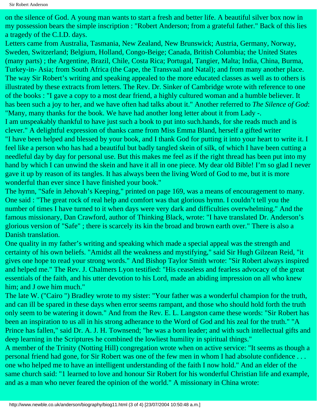on the silence of God. A young man wants to start a fresh and better life. A beautiful silver box now in my possession bears the simple inscription : "Robert Anderson; from a grateful father." Back of this lies a tragedy of the C.I.D. days.

Letters came from Australia, Tasmania, New Zealand, New Brunswick; Austria, Germany, Norway, Sweden, Switzerland; Belgium, Holland, Congo-Beige; Canada, British Columbia; the United States (many parts) ; the Argentine, Brazil, Chile, Costa Rica; Portugal, Tangier, Malta; India, China, Burma, Turkey-in- Asia; from South Africa (the Cape, the Transvaal and Natal); and from many another place. The way Sir Robert's writing and speaking appealed to the more educated classes as well as to others is illustrated by these extracts from letters. The Rev. Dr. Sinker of Cambridge wrote with reference to one of the books : "I gave a copy to a most dear friend, a highly cultured woman and a humble believer. It has been such a joy to her, and we have often had talks about it." Another referred to *The Silence of God*: "Many, many thanks for the book. We have had another long letter about it from Lady -. I am unspeakably thankful to have just such a book to put into such.hands, for she reads much and is clever." A delightful expression of thanks came from Miss Emma Bland, herself a gifted writer "I have been helped and blessed by your book, and I thank God for putting it into your heart to write it. I feel like a person who has had a beautiful but badly tangled skein of silk, of which I have been cutting a needleful day by day for personal use. But this makes me feel as if the right thread has been put into my hand by which I can unwind the skein and have it all in one piece. My dear old Bible! I'm so glad I never gave it up by reason of its tangles. It has always been the living Word of God to me, but it is more wonderful than ever since I have finished your book."

The hymn, "Safe in Jehovah's Keeping," printed on page 169, was a means of encouragement to many. One said : "The great rock of real help and comfort was that glorious hymn. I couldn't tell you the number of times I have turned to it when days were very dark and difficulties overwhelming." And the famous missionary, Dan Crawford, author of Thinking Black, wrote: "I have translated Dr. Anderson's glorious version of "Safe" ; there is scarcely its kin the broad and brown earth over." There is also a Danish translation.

One quality in my father's writing and speaking which made a special appeal was the strength and certainty of his own beliefs. "Amidst all the weakness and mystifying," said Sir Hugh Gilzean Reid, "it gives one hope to read your strong words." And Bishop Taylor Smith wrote: "Sir Robert always inspired and helped me." The Rev. J. Chalmers Lyon testified: "His ceaseless and fearless advocacy of the great essentials of the faith, and his utter devotion to his Lord, made an abiding impression on all who knew him; and J owe him much."

The late W. ("Cairo ") Bradley wrote to my sister: "Your father was a wonderful champion for the truth, and can ill be spared in these days when error seems rampant, and those who should hold forth the truth only seem to be watering it down." And from the Rev. E. L. Langston came these words: "Sir Robert has been an inspiration to us all in his strong adherance to the Word of God and his zeal for the truth." "A Prince has fallen," said Dr. A. J. H. Townsend; "he was a born leader; and with such intellectual gifts and deep learning in the Scriptures he combined the lowliest humility in spiritual things."

A member of the Trinity (Notting Hill) congregation wrote when on active service: "It seems as though a personal friend had gone, for Sir Robert was one of the few men in whom I had absolute confidence . . . one who helped me to have an intelligent understanding of the faith I now hold." And an elder of the same church said: "1 learned to love and honour Sir Robert for his wonderful Christian life and example, and as a man who never feared the opinion of the world." A missionary in China wrote: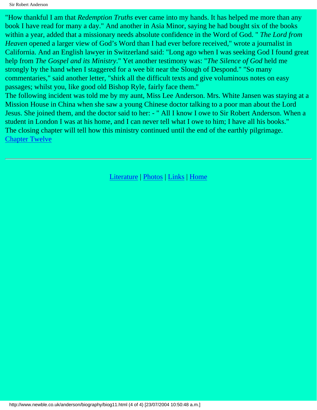Sir Robert Anderson

"How thankful I am that *Redemption Truths* ever came into my hands. It has helped me more than any book I have read for many a day." And another in Asia Minor, saying he had bought six of the books within a year, added that a missionary needs absolute confidence in the Word of God. " *The Lord from Heaven* opened a larger view of God's Word than I had ever before received," wrote a journalist in California. And an English lawyer in Switzerland said: "Long ago when I was seeking God I found great help from *The Gospel and its Ministry*." Yet another testimony was: "*The Silence of God* held me strongly by the hand when I staggered for a wee bit near the Slough of Despond." "So many commentaries," said another letter, "shirk all the difficult texts and give voluminous notes on easy passages; whilst you, like good old Bishop Ryle, fairly face them."

The following incident was told me by my aunt, Miss Lee Anderson. Mrs. White Jansen was staying at a Mission House in China when she saw a young Chinese doctor talking to a poor man about the Lord Jesus. She joined them, and the doctor said to her: - " All I know I owe to Sir Robert Anderson. When a student in London I was at his home, and I can never tell what I owe to him; I have all his books." The closing chapter will tell how this ministry continued until the end of the earthly pilgrimage. [Chapter Twelve](#page-87-0)

[Literature](http://www.newble.co.uk/anderson/literature.html) | [Photos](http://www.newble.co.uk/anderson/photos.html) | [Links](http://www.newble.co.uk/anderson/links.html) | [Home](http://www.newble.co.uk/anderson/index.html)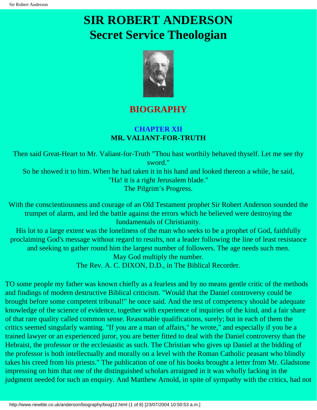# <span id="page-87-0"></span>**SIR ROBERT ANDERSON Secret Service Theologian**



## **BIOGRAPHY**

### **CHAPTER XII MR. VALIANT-FOR-TRUTH**

Then said Great-Heart to Mr. Valiant-for-Truth "Thou hast worthily behaved thyself. Let me see thy sword." So he showed it to him. When he had taken it in his hand and looked thereon a while, he said, "Ha! it is a right Jerusalem blade." The Pilgrim's Progress.

With the conscientiousness and courage of an Old Testament prophet Sir Robert Anderson sounded the trumpet of alarm, and led the battle against the errors which he believed were destroying the fundamentals of Christianity.

His lot to a large extent was the loneliness of the man who seeks to be a prophet of God, faithfully proclaiming God's message without regard to results, not a leader following the line of least resistance and seeking to gather round him the largest number of followers. The age needs such men. May God multiply the number.

The Rev. A. C. DIXON, D.D., in The Biblical Recorder.

TO some people my father was known chiefly as a fearless and by no means gentle critic of the methods and findings of modern destructive Biblical criticism. "Would that the Daniel controversy could be brought before some competent tribunal!" he once said. And the test of competency should be adequate knowledge of the science of evidence, together with experience of inquiries of the kind, and a fair share of that rare quality called common sense. Reasonable qualifications, surely; but in each of them the critics seemed singularly wanting. "If you are a man of affairs," he wrote," and especially if you be a trained lawyer or an experienced juror, you are better fitted to deal with the Daniel controversy than the Hebraist, the professor or the ecclesiastic as such. The Christian who gives up Daniel at the bidding of the professor is both intellectually and morally on a level with the Roman Catholic peasant who blindly takes his creed from his priests." The publication of one of his books brought a letter from Mr. Gladstone impressing on him that one of the distinguished scholars arraigned in it was wholly lacking in the judgment needed for such an enquiry. And Matthew Arnold, in spite of sympathy with the critics, had not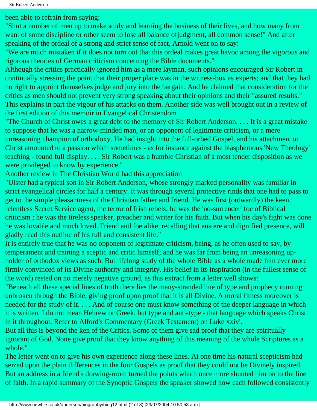been able to refrain from saying:

"Shut a number of men up to make study and learning the business of their lives, and how many from want of some discipline or other seem to lose all balance ofjudgment, all common sense!" And after speaking of the ordeal of a strong and strict sense of fact, Arnold went on to say:

"We are much mistaken if it does not turn out that this ordeal makes great havoc among the vigorous and rigorous theories of German criticism concerning the Bible documents."

Although the critics practically ignored him as a mere layman, such opinions encouraged Sir Robert in continually stressing the point that their proper place was in the witness-box as experts; and that they had no right to appoint themselves judge and jury into the bargain. And he claimed that consideration for the critics as men should not prevent very strong speaking about their opinions and their "assured results." This explains in part the vigour of his attacks on them. Another side was well brought out in a review of the first edition of this memoir in Evangelical Christendom

"The Church of Christ owes a great debt to the memory of Sir Robert Anderson. . . . It is a great mistake to suppose that he was a narrow-minded man, or an opponent of legitimate criticism, or a mere unreasoning champion of orthodoxy. He had insight into the full-orbed Gospel, and his attachment to Christ amounted to a passion which sometimes - as for instance against the blasphemous 'New Theology' teaching - found full display. . . . Sir Robert was a humble Christian of a most tender disposition as we were privileged to know by experience."

Another review in The Christian World had this appreciation

"Ulster had a typical son in Sir Robert Anderson, whose strongly marked personality was familiar in strict evangelical circles for half a century. It was through several protective rinds that one had to pass to get to the simple pleasantness of the Christian father and friend. He was first (outwardly) the keen, relentless Secret Service agent, the terror of Irish rebels; he was the 'no-surrender' foe of Biblical criticism ; he was the tireless speaker, preacher and writer for his faith. But when his day's fight was done he was lovable and much loved. Friend and foe alike, recalling that austere and dignified presence, will gladly read this outline of his full and consistent life."

It is entirely true that he was no opponent of legitimate criticism, being, as he often used to say, by temperament and training a sceptic and critic himself; and he was far from being an unreasoning upholder of orthodox views as such. But lifelong study of the whole Bible as a whole made him ever more firmly convinced of its Divine authority and integrity. His belief in its inspiration (in the fullest sense of the word) rested on no merely negative ground, as this extract from a letter well shows:

"Beneath all these special lines of truth there lies the many-stranded line of type and prophecy running unbroken through the Bible, giving proof upon proof that it is all Divine. A moral fitness moreover is needed for the study of it. . . . And of course one must know something of the deeper language in which it is written. I do not mean Hebrew or Greek, but type and anti-type - that language which speaks Christ in it throughout. Refer to Alford's Commentary (Greek Testament) on Luke xxiv'.

But all this is beyond the ken of the Critics. Some of them give sad proof that they are spiritually ignorant of God. None give proof that they know anything of this meaning of the whole Scriptures as a whole."

The letter went on to give his own experience along these lines. At one time his natural scepticism had seized upon the plain differences in the four Gospels as proof that they could not be Divinely inspired. But an address in a friend's drawing-room turned the points which once more shunted him on to the line of faith. In a rapid summary of the Synoptic Gospels the speaker showed how each followed consistently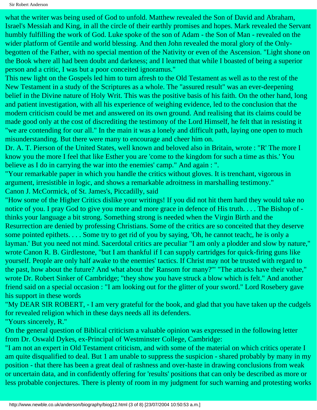Sir Robert Anderson

what the writer was being used of God to unfold. Matthew revealed the Son of David and Abraham, Israel's Messiah and King, in all the circle of their earthly promises and hopes. Mark revealed the Servant humbly fulfilling the work of God. Luke spoke of the son of Adam - the Son of Man - revealed on the wider platform of Gentile and world blessing. And then John revealed the moral glory of the Onlybegotten of the Father, with no special mention of the Nativity or even of the Ascension. "Light shone on the Book where all had been doubt and darkness; and I learned that while I boasted of being a superior person and a critic, I was but a poor conceited ignoramus."

This new light on the Gospels led him to turn afresh to the Old Testament as well as to the rest of the New Testament in a study of the Scriptures as a whole. The "assured result" was an ever-deepening belief in the Divine nature of Holy Writ. This was the positive basis of his faith. On the other hand, long and patient investigation, with all his experience of weighing evidence, led to the conclusion that the modern criticism could be met and answered on its own ground. And realising that its claims could be made good only at the cost of discrediting the testimony of the Lord Himself, he felt that in resisting it "we are contending for our all." In the main it was a lonely and difficult path, laying one open to much misunderstanding. But there were many to encourage and cheer him on.

Dr. A. T. Pierson of the United States, well known and beloved also in Britain, wrote : "R' The more I know you the more I feel that like Esther you are 'come to the kingdom for such a time as this.' You believe as I do in carrying the war into the enemies' camp." And again : ".

"Your remarkable paper in which you handle the critics without gloves. It is trenchant, vigorous in argument, irresistible in logic, and shows a remarkable adroitness in marshalling testimony." Canon J. McCormick, of St. James's, Piccadilly, said

"How some of the Higher Critics dislike your writings! If you did not hit them hard they would take no notice of you. I pray God to give you more and more grace in defence of His truth. . . . The Bishop of thinks your language a bit strong. Something strong is needed when the Virgin Birth and the Resurrection are denied by professing Christians. Some of the critics are so conceited that they deserve some pointed epithets. . . . Some try to get rid of you by saying, 'Oh, he cannot teach;, he is only a layman.' But you need not mind. Sacerdotal critics are peculiar "I am only a plodder and slow by nature," wrote Canon R. B. Girdlestone, "but I am thankful if I can supply cartridges for quick-firing guns like yourself. People are only half awake to the enemies' tactics. If Christ may not be trusted with regard to the past, how about the future? And what about the' Ransom for many?'" "The attacks have their value," wrote Dr. Robert Sinker of Cambridge; "they show you have struck a blow which is felt." And another friend said on a special occasion : "I am looking out for the glitter of your sword." Lord Rosebery gave his support in these words

"My DEAR SIR ROBERT, - I am very grateful for the book, and glad that you have taken up the cudgels for revealed religion which in these days needs all its defenders.

"Yours sincerely, R."

On the general question of Biblical criticism a valuable opinion was expressed in the following letter from Dr. Oswald Dykes, ex-Principal of Westminster College, Cambridge:

"I am not an expert in Old Testament criticism, and with some of the material on which critics operate I am quite disqualified to deal. But 1 am unable to suppress the suspicion - shared probably by many in my position - that there has been a great deal of rashness and over-haste in drawing conclusions from weak or uncertain data, and in confidently offering for 'results' positions that can only be described as more or less probable conjectures. There is plenty of room in my judgment for such warning and protesting works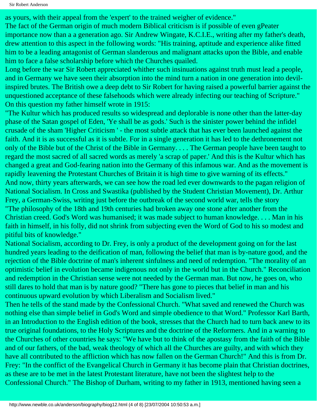as yours, with their appeal from the 'expert' to the trained weigher of evidence."

The fact of the German origin of much modern Biblical criticism is if possible of even gPeater importance now than a a generation ago. Sir Andrew Wingate, K.C.I.E., writing after my father's death, drew attention to this aspect in the following words: "His training, aptitude and experience alike fitted him to be a leading antagonist of German slanderous and malignant attacks upon the Bible, and enable him to face a false scholarship before which the Churches quailed.

Long before the war Sir Robert appreciated whither such insinuations against truth must lead a people, and in Germany we have seen their absorption into the mind turn a nation in one generation into devilinspired brutes. The British owe a deep debt to Sir Robert for having raised a powerful barrier against the unquestioned acceptance of these falsehoods which were already infecting our teaching of Scripture." On this question my father himself wrote in 1915:

"The Kultur which has produced results so widespread and deplorable is none other than the latter-day phase of the Satan gospel of Eden, 'Ye shall be as gods.' Such is the sinister power behind the infidel crusade of the sham 'Higher Criticism ' - the most subtle attack that has ever been launched against the faith. And it is as successful as it is subtle. For in a single generation it has led to the dethronement not only of the Bible but of the Christ of the Bible in Germany. . . . The German people have been taught to regard the most sacred of all sacred words as merely 'a scrap of paper.' And this is the Kultur which has changed a great and God-fearing nation into the Germany of this infamous war. And as the movement is rapidly leavening the Protestant Churches of Britain it is high time to give warning of its effects." And now, thirty years afterwards, we can see how the road led ever downwards to the pagan religion of National Socialism. In Cross and Swastika (published by the Student Christian Movement), Dr. Arthur Frey, a German-Swiss, writing just before the outbreak of the second world war, tells the story "The philosophy of the 18th and 19th centuries had broken away one stone after another from the Christian creed. God's Word was humanised; it was made subject to human knowledge. . . . Man in his faith in himself, in his folly, did not shrink from subjecting even the Word of God to his so modest and pitiful bits of knowledge."

National Socialism, according to Dr. Frey, is only a product of the development going on for the last hundred years leading to the deification of man, following the belief that man is by-nature good, and the rejection of the Bible doctrine of man's inherent sinfulness and need of redemption. "The morality of an optimistic belief in evolution became indigenous not only in the world but in the Church." Reconciliation and redemption in the Christian sense were not needed by the German man. But now, he goes on, who still dares to hold that man is by nature good? "There has gone to pieces that belief in man and his continuous upward evolution by which Liberalism and Socialism lived."

Then he tells of the stand made by the Confessional Church. "What saved and renewed the Church was nothing else than simple belief in God's Word and simple obedience to that Word." Professor Karl Barth, in an Introduction to the English edition of the book, stresses that the Church had to turn back anew to its true original foundations, to the Holy Scriptures and the doctrine of the Reformers. And in a warning to the Churches of other countries he says: "We have but to think of the apostasy from the faith of the Bible and of our fathers, of the bad, weak theology of which all the Churches are guilty, and with which they have all contributed to the affliction which has now fallen on the German Church!" And this is from Dr. Frey: "In the conffict of the Evangelical Church in Germany it has become plain that Christian doctrines, as these are to be met in the latest Protestant literature, have not been the slightest help to the Confessional Church." The Bishop of Durham, writing to my father in 1913, mentioned having seen a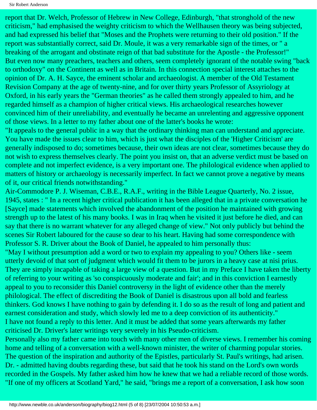report that Dr. Welch, Professor of Hebrew in New College, Edinburgh, "that stronghold of the new criticism," had emphasised the weighty criticism to which the Wellhausen theory was being subjected, and had expressed his belief that "Moses and the Prophets were returning to their old position." If the report was substantially correct, said Dr. Moule, it was a very remarkable sign of the times, or " a breaking of the arrogant and obstinate reign of that bad substitute for the Apostle - the Professor!" But even now many preachers, teachers and others, seem completely ignorant of the notable swing "back to orthodoxy" on the Continent as well as in Britain. In this connection special interest attaches to the opinion of Dr. A. H. Sayce, the eminent scholar and archaeologist. A member of the Old Testament Revision Company at the age of twenty-nine, and for over thirty years Professor of Assyriology at Oxford, in his early years the "German theories" as he called them strongly appealed to him, and he regarded himself as a champion of higher critical views. His archaeological researches however convinced him of their unreliability, and eventually he became an unrelenting and aggressive opponent of those views. In a letter to my father about one of the latter's books he wrote:

"It appeals to the general public in a way that the ordinary thinking man can understand and appreciate. You have made the issues clear to him, which is just what the disciples of the 'Higher Criticism' are generally indisposed to do; sometimes because, their own ideas are not clear, sometimes because they do not wish to express themselves clearly. The point you insist on, that an adverse verdict must be based on complete and not imperfect evidence, is a very important one. The philological evidence when applied to matters of history or archaeology is necessarily imperfect. In fact we cannot prove a negative by means of it, our critical friends notwithstanding."

Air-Commodore P. J. Wiseman, C.B.E., R.A.F., writing in the Bible League Quarterly, No. 2 issue, 1945, states : " In a recent higher critical publication it has been alleged that in a private conversation he [Sayce] made statements which involved the abandonment of the position he maintained with growing strength up to the latest of his many books. I was in Iraq when he visited it just before he died, and can say that there is no warrant whatever for any alleged change of view." Not only publicly but behind the scenes Sir Robert laboured for the cause so dear to his heart. Having had some correspondence with Professor S. R. Driver about the Book of Daniel, he appealed to him personally thus:

"May I without presumption add a word or two to explain my appealing to you? Others like - seem utterly devoid of that sort of judgment which would fit them to be jurors in a heavy case at nisi prius. They are simply incapable of taking a large view of a question. But in my Preface I have taken the liberty of referring to your writing as 'so conspicuously moderate and fair'; and in this conviction I earnestly appeal to you to reconsider this Daniel controversy in the light of evidence other than the merely philological. The effect of discrediting the Book of Daniel is disastrous upon all bold and fearless thinkers. God knows I have nothing to gain by defending it. I do so as the result of long and patient and earnest consideration and study, which slowly led me to a deep conviction of its authenticity." I have not found a reply to this letter. And it must be added that some years afterwards my father criticised Dr. Driver's later writings very severely in his Pseudo-criticism.

Personally also my father came into touch with many other men of diverse views. I remember his coming home and telling of a conversation with a well-known minister, the writer of charming popular stories. The question of the inspiration and authority of the Epistles, particularly St. Paul's writings, had arisen. Dr. - admitted having doubts regarding these, but said that he took his stand on the Lord's own words recorded in the Gospels. My father asked him how he knew that we had a reliable record of those words. "If one of my officers at Scotland Yard," he said, "brings me a report of a conversation, I ask how soon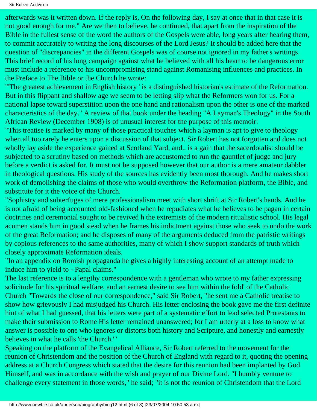afterwards was it written down. If the reply is, On the following day, I say at once that in that case it is not good enough for me." Are we then to believe, he continued, that apart from the inspiration of the Bible in the fullest sense of the word the authors of the Gospels were able, long years after hearing them, to commit accurately to writing the long discourses of the Lord Jesus? It should be added here that the question of "discrepancies" in the different Gospels was of course not ignored in my father's writings. This brief record of his long campaign against what he believed with all his heart to be dangerous error must include a reference to his uncompromising stand against Romanising influences and practices. In the Preface to The Bible or the Church he wrote:

"'The greatest achievement in English history ' is a distinguished historian's estimate of the Reformation. But in this flippant and shallow age we seem to be letting slip what the Reformers won for us. For a national lapse toward superstition upon the one hand and rationalism upon the other is one of the marked characteristics of the day." A review of that book under the heading "A Layman's Theology" in the South African Review (December 1908) is of unusual interest for the purpose of this memoir:

"This treatise is marked by many of those practical touches which a layman is apt to give to theology when all too rarely he enters upon a discussion of that subject. Sir Robert has not forgotten and does not wholly lay aside the experience gained at Scotland Yard, and.. is a gain that the sacerdotalist should be subjected to a scrutiny based on methods which are accustomed to run the gauntlet of judge and jury before a verdict is asked for. It must not be supposed however that our author is a mere amateur dabbler in theological questions. His study of the sources has evidently been most thorough. And he makes short work of demolishing the claims of those who would overthrow the Reformation platform, the Bible, and substitute for it the voice of the Church.

"Sophistry and subterfuges of mere professionalism meet with short shrift at Sir Robert's hands. And he is not afraid of being accounted old-fashioned when he repudiates what he believes to be pagan in certain doctrines and ceremonial sought to be revived h the extremists of the modern ritualistic school. His legal acumen stands him in good stead when he frames his indictment against those who seek to undo the work of the great Reformation; and he disposes of many of the arguments deduced from the patristic writings by copious references to the same authorities, many of which I show support standards of truth which closely approximate Reformation ideals.

"In an appendix on Romish propaganda he gives a highly interesting account of an attempt made to induce him to yield to - Papal claims."

The last reference is to a lengthy correspondence with a gentleman who wrote to my father expressing solicitude for his spiritual welfare, and an earnest desire to see him within the fold' of the Catholic Church "Towards the close of our correspondence," said Sir Robert, "he sent me a Catholic treatise to show how grievously I had misjudged his Church. His letter enclosing the book gave me the first definite hint of what I had guessed, that his letters were part of a systematic effort to lead selected Protestants to make their submission to Rome His letter remained unanswered; for I am utterly at a loss to know what answer is possible to one who ignores or distorts both history and Scripture, and honestly and earnestly believes in what he calls 'the Church.'"

Speaking on the platform of the Evangelical Alliance, Sir Robert referred to the movement for the reunion of Christendom and the position of the Church of England with regard to it, quoting the opening address at a Church Congress which stated that the desire for this reunion had been implanted by God Himself, and was in accordance with the wish and prayer of our Divine Lord. "I humbly venture to challenge every statement in those words," he said; "it is not the reunion of Christendom that the Lord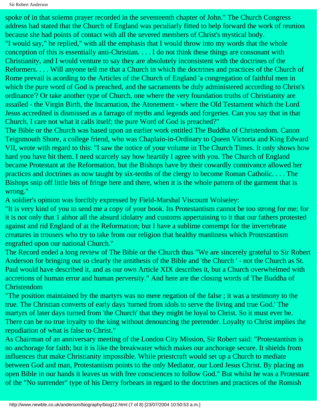spoke of in that solemn prayer recorded in the seventeenth chapter of John." The Church Congress address had stated that the Church of England was peculiarly fitted to help forward the work of reunion because she had points of contact with all the severed members of Christ's mystical body.

"I would say," he replied," with all the emphasis that I would throw into my words that the whole conception of this is essentially anti-Christian. . . . I do not think these things are consonant with Christianity, and I would venture to say they are absolutely inconsistent with the doctrines of the Reformers. . . . Will anyone tell me that a Church in which the doctrines and practices of the Church of Rome prevail is acording to the Articles of the Church of England 'a congregation of faithful men in which the pure word of God is preached, and the sacraments be duly administered according to Christ's ordinance'? Or take another type of Church, one where the very foundation truths of Christianity are assailed - the Virgin Birth, the Incarnation, the Atonement - where the Old Testament which the Lord Jesus accredited is dismissed as a farrago of myths and legends and forgeries. Can you say that in that Church, I care not what it calls itself; the pure Word of God is preached?"

The Bible or the Church was based upon an earlier work entitled The Buddha of Christendom. Canon Teignmouth Shore, a college friend, who was Chaplain-in-Ordinary to Queen Victoria and King Edward VII, wrote with regard to this: "I saw the notice of your volume in The Church Times. It only shows how hard you have hit them. I need scarcely say how heartily I agree with you. The Church of England became Protestant at the Reformation, but the Bishops have by their cowardly connivance allowed her practices and doctrines as now taught by six-tenths of the clergy to become Roman Catholic. . . . The Bishops snip off little bits of fringe here and there, when it is the whole pattern of the garment that is wrong."

A soldier's opinion was forcibly expressed by Field-Marshal Viscount Wolseley:

"It is very kind of you to send me a copy of your book. Its Protestantism cannot be too strong for me; for it is not only that 1 abhor all the absurd idolatry and customs appertaining to it that our fathers protested against and rid England of at the Reformation; but I have a sublime contempt for the invertebrate creatures in trousers who try to take from our religion that healthy manliness which Protestantism engrafted upon our national Church."

The Record ended a long review of The Bible or the Church thus "We are sincerely grateful to Sir Robert Anderson for bringing out so clearly the antithesis of the Bible and 'the Church ' - not the Church as St. Paul would have described it, and as our own Article XIX describes it, but a Church overwhelmed with accretions of human error and human perversity." And here are the closing words of The Buddha of Christendom

"The position maintained by the martyrs was no mere negation of the false ; it was a testimony to the true. The Christian converts of early days 'turned from idols to serve the living and true God.' The martyrs of later days turned from 'the Church' that they might be loyal to Christ. So it must ever be. There can be no true loyalty to the king without denouncing the pretender. Loyalty to Christ implies the repudiation of what is false to Christ."

As Chairman of an anniversary meeting of the London City Mission, Sir Robert said: "Protestantism is no anchorage for faith; but it is like the breakwater which makes our anchorage secure. It shields from influences that make Christianity impossible. While priestcraft would set up a Church to mediate between God and man, Protestantism points to the only Mediator, our Lord Jesus Christ. By placing an open Bible in our hands it leaves us with free consciences to follow God." But whilst he was a Protestant of the "No surrender" type of his Derry forbears in regard to the doctrines and practices of the Romish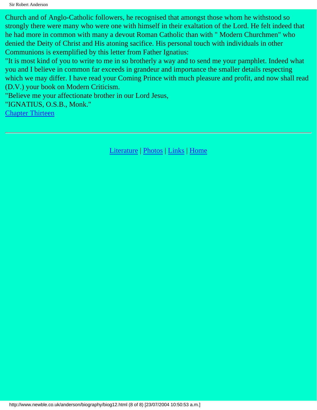Sir Robert Anderson

Church and of Anglo-Catholic followers, he recognised that amongst those whom he withstood so strongly there were many who were one with himself in their exaltation of the Lord. He felt indeed that he had more in common with many a devout Roman Catholic than with " Modern Churchmen" who denied the Deity of Christ and His atoning sacifice. His personal touch with individuals in other Communions is exemplified by this letter from Father Ignatius:

"It is most kind of you to write to me in so brotherly a way and to send me your pamphlet. Indeed what you and I believe in common far exceeds in grandeur and importance the smaller details respecting which we may differ. I have read your Coming Prince with much pleasure and profit, and now shall read (D.V.) your book on Modern Criticism.

"Believe me your affectionate brother in our Lord Jesus,

"IGNATIUS, O.S.B., Monk."

[Chapter Thirteen](#page-95-0)

[Literature](http://www.newble.co.uk/anderson/literature.html) | [Photos](http://www.newble.co.uk/anderson/photos.html) | [Links](http://www.newble.co.uk/anderson/links.html) | [Home](http://www.newble.co.uk/anderson/index.html)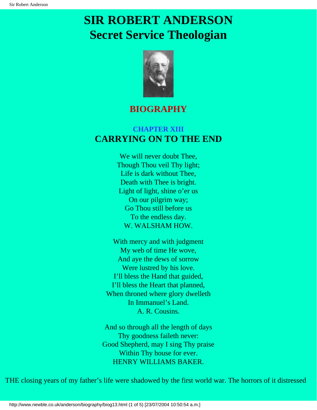## <span id="page-95-0"></span>**SIR ROBERT ANDERSON Secret Service Theologian**



### **BIOGRAPHY**

### **CHAPTER XIII CARRYING ON TO THE END**

We will never doubt Thee, Though Thou veil Thy light; Life is dark without Thee, Death with Thee is bright. Light of light, shine o'er us On our pilgrim way; Go Thou still before us To the endless day. W. WALSHAM HOW.

With mercy and with judgment My web of time He wove, And aye the dews of sorrow Were lustred by his love. I'll bless the Hand that guided, I'll bless the Heart that planned, When throned where glory dwelleth In Immanuel's Land. A. R. Cousins.

And so through all the length of days Thy goodness faileth never: Good Shepherd, may I sing Thy praise Within Thy house for ever. HENRY WILLIAMS BAKER.

THE closing years of my father's life were shadowed by the first world war. The horrors of it distressed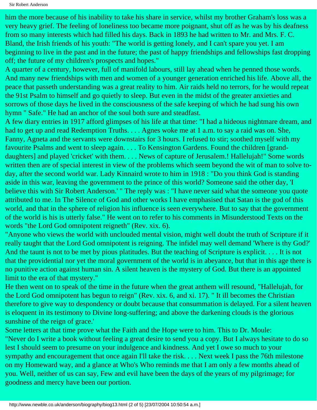Sir Robert Anderson

him the more because of his inability to take his share in service, whilst my brother Graham's loss was a very heavy grief. The feeling of loneliness too became more poignant, shut off as he was by his deafness from so many interests which had filled his days. Back in 1893 he had written to Mr. and Mrs. F. C. Bland, the Irish friends of his youth: "The world is getting lonely, and I can't spare you yet. I am beginning to live in the past and in the future; the past of happy friendships and fellowships fast dropping off; the future of my children's prospects and hopes."

A quarter of a century, however, full of manifold labours, still lay ahead when he penned those words. And many new friendships with men and women of a younger generation enriched his life. Above all, the peace that passeth understanding was a great reality to him. Air raids held no terrors, for he would repeat the 91st Psalm to himself and go quietly to sleep. But even in the midst of the greater anxieties and sorrows of those days he lived in the consciousness of the safe keeping of which he had sung his own hymn " Safe." He had an anchor of the soul both sure and steadfast.

A few diary entries in 1917 afford glimpses of his life at that time: "I had a hideous nightmare dream, and had to get up and read Redemption Truths. . . . Agnes woke me at 1 a.m. to say a raid was on. She, Fanny, Agneta and the servants were downstairs for 3 hours. I refused to stir; soothed myself with my favourite Psalms and went to sleep again. . . . To Kensington Gardens. Found the children [granddaughters] and played 'cricket' with them. . . . News of capture of Jerusalem.! Hallelujah!" Some words written then are of special interest in view of the problems which seem beyond the wit of man to solve today, after the second world war. Lady Kinnaird wrote to him in 1918 : "Do you think God is standing aside in this war, leaving the government to the prince of this world? Someone said the other day, 'I believe this with Sir Robert Anderson.' " The reply was : "I have never said what the someone you quote attributed to me. In The Silence of God and other works I have emphasised that Satan is the god of this world, and that in the sphere of religion his influence is seen everywhere. But to say that the government of the world is his is utterly false." He went on to refer to his comments in Misunderstood Texts on the words "the Lord God omnipotent reigneth" (Rev. xix. 6).

"Anyone who views the world with unclouded mental vision, might well doubt the truth of Scripture if it really taught that the Lord God omnipotent is reigning. The infidel may well demand 'Where is thy God?' And the taunt is not to be met by pious platitudes. But the teaching of Scripture is explicit. . . . It is not that the providential nor yet the moral government of the world is in abeyance, but that in this age there is no punitive action against human sin. A silent heaven is the mystery of God. But there is an appointed limit to the era of that mystery."

He then went on to speak of the time in the future when the great anthem will resound, "Hallelujah, for the Lord God omnipotent has begun to reign" (Rev. xix. 6, and xi. 17). " It ill becomes the Christian therefore to give way to despondency or doubt because that consummation is delayed. For a silent heaven is eloquent in its testimony to Divine long-suffering; and above the darkening clouds is the glorious sunshine of the reign of grace.'

Some letters at that time prove what the Faith and the Hope were to him. This to Dr. Moule: "Never do I write a book without feeling a great desire to send you a copy. But I always hesitate to do so lest I should seem to presume on your indulgence and kindness. And yet I owe so much to your sympathy and encouragement that once again I'll take the risk. . . . Next week I pass the 76th milestone on my Homeward way, and a glance at Who's Who reminds me that I am only a few months ahead of you. Well, neither of us can say, Few and evil have been the days of the years of my pilgrimage; for goodness and mercy have been our portion.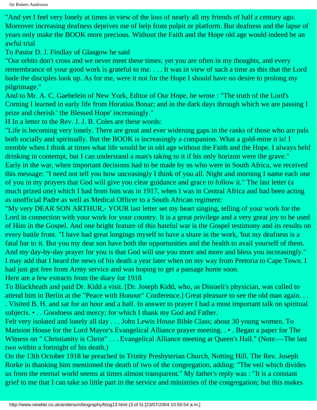"And yet I feel very lonely at times in view of the loss of nearly all my friends of half a century ago. Moreover increasing deafness deprives me of help from pulpit or platform. But deafness and the lapse of years only make the BOOK more precious. Without the Faith and the Hope old age would indeed be an awful trial

To Pastor D. J. Findlay of Glasgow he said

"Our orbits don't cross and we never meet these times; yet you are often in my thoughts, and every remembrance of your good work is grateful to me. . . . It was in view of such a time as this that the Lord bade the disciples look up. As for me, were it not for the Hope I should have no desire to prolong my pilgrimage."

And to Mr. A. C. Gaebelein of New York, Editor of Our Hope, he wrote : "The truth of the Lord's Coming I learned in early life from Horatius Bonar; and in the dark days through which we are passing I prize and cherish ' the Blessed Hope' increasingly."

H In a letter to the Rev. J. J. B. Coles are these words:

"Life is becoming very lonely. There are great and ever widening gaps in the ranks of those who are pals both socially and spiritually. But the BOOK is increasingly a companion. What a gold-mine it is! I tremble when I think at times what life would be in old age without the Faith and the Hope. I always held drinking in contempt, but I can understand a man's taking to it if his only horizon were the grave." Early in the war, when important decisions had to be made by us who were in South Africa, we received this message: "I need not tell you how unceasingly I think of you all. Night and morning I name each one of you in my prayers that God will give you clear guidance and grace to follow it." The last letter (a much prized one) which I had from him was in 1917, when I was in Central Africa and had been acting as unofficial Padre as well as Medical Officer to a South African regiment:

"My very DEAR SON ARTHUR,- YOUR last letter set my heart singing, telling of your work for the Lord in connection with your work for your country. It is a great privilege and a very great joy to be used of Him in the Gospel. And one bright feature of this hateful war is the Gospel testimony and its results on every battle front. "I have had great longings myself to have a share in the work, 'but my deafness is a fatal bar to it. But you my dear son have both the opportunities and the health to avail yourself of them. And my day-by-day prayer for you is that God will use you more and more and bless you increasingly." I may add that I heard the news of his death a year later when on my way from Pretoria to Cape Town. I had just got free from Army service and was hoping to get a passage home soon.

Here are a few extracts from the diary for 1918

To Blackheath and paid Dr. Kidd a visit. [Dr. Joseph Kidd, who, as Disraeli's physician, was called to attend him in Berlin at the "Peace with Honour" Conference.] Great pleasure to see the old man again. . . . Visited B. H. and sat for an hour and a half. In answer to prayer I had a most important talk on spiritual subjects. • . . Goodness and mercy; for which I thank my God and Father.

Felt very isolated and lonely all day . . . John Lewis House Bible Class; about 30 young women. To Mansion House for the Lord Mayor's Evangelical Alliance prayer meeting. . • . Began a paper for The Witness on " Christianity is Christ" . . . Evangelical Alliance meeting at Queen's Hall." (Note.—The last two within a fortnight of his death.)

On the 13th October 1918 he preached in Trinity Presbyterian Church, Notting Hill. The Rev. Joseph Rorke in thanking him mentioned the death of two of the congregation, adding: "The veil which divides us from the eternal world seems at times almost transparent." My father's reply was : "It is a constant grief to me that I can take so little part in the service and ministries of the congregation; but this makes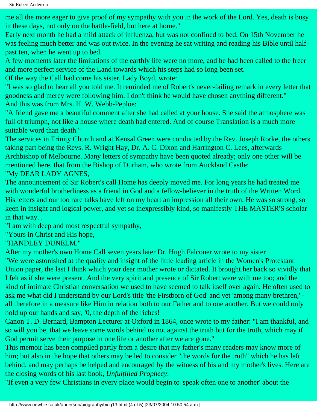me all the more eager to give proof of my sympathy with you in the work of the Lord. Yes, death is busy in these days, not only on the battle-field, but here at home."

Early next month he had a mild attack of influenza, but was not confined to bed. On 15th November he was feeling much better and was out twice. In the evening he sat writing and reading his Bible until halfpast ten, when he went up to bed.

A few moments later the limitations of the earthly life were no more, and he had been called to the freer and more perfect service of the Land towards which his steps had so long been set.

Of the way the Call had come his sister, Lady Boyd, wrote:

"I was so glad to hear all you told me. It reminded me of Robert's never-failing remark in every letter that goodness and mercy were following him. I don't think he would have chosen anything different." And this was from Mrs. H. W. Webb-Peploe:

"A friend gave me a beautiful comment after she had called at your house. She said the atmosphere was full of triumph, not like a house where death had entered. And of course Translation is a much more suitable word than death."

The services in Trinity Church and at Kensal Green were conducted by the Rev. Joseph Rorke, the others taking part being the Revs. R. Wright Hay, Dr. A. C. Dixon and Harrington C. Lees, afterwards Archbishop of Melbourne. Many letters of sympathy have been quoted already; only one other will be mentioned here, that from the Bishop of Durham, who wrote from Auckland Castle: "My DEAR LADY AGNES,

The announcement of Sir Robert's call Home has deeply moved me. For long years he had treated me with wonderful brotherliness as a friend in God and a fellow-believer in the truth of the Written Word. His letters and our too rare talks have left on my heart an impression all their own. He was so strong, so keen in insight and logical power, and yet so inexpressibly kind, so manifestly THE MASTER'S scholar in that way. .

"I am with deep and most respectful sympathy,

"Yours in Christ and His hope,

#### "HANDLEY DUNELM."

After my mother's own Home Call seven years later Dr. Hugh Falconer wrote to my sister

"We were astonished at the quality and insight of the little leading article in the Women's Protestant Union paper, the last I think which your dear mother wrote or dictated. It brought her back so vividly that I felt as if she were present. And the very spirit and presence of Sir Robert were with me too; and the kind of intimate Christian conversation we used to have seemed to talk itself over again. He often used to ask me what did I understand by our Lord's title 'the Firstborn of God' and yet 'among many brethren,' all therefore in a measure like Him in relation both to our Father and to one another. But we could only hold up our hands and say, '0, the depth of the riches!

Canon T. D. Bernard, Bampton Lecturer at Oxford in 1864, once wrote to my father: "I am thankful, and so will you be, that we leave some words behind us not against the truth but for the truth, which may if God permit serve their purpose in one life or another after we are gone."

This memoir has been compiled partly from a desire that my father's many readers may know more of him; but also in the hope that others may be led to consider "the words for the truth" which he has left behind, and may perhaps be helped and encouraged by the witness of his and my mother's lives. Here are the closing words of his last book, *Unfulfilled Prophecy*:

"If even a very few Christians in every place would begin to 'speak often one to another' about the